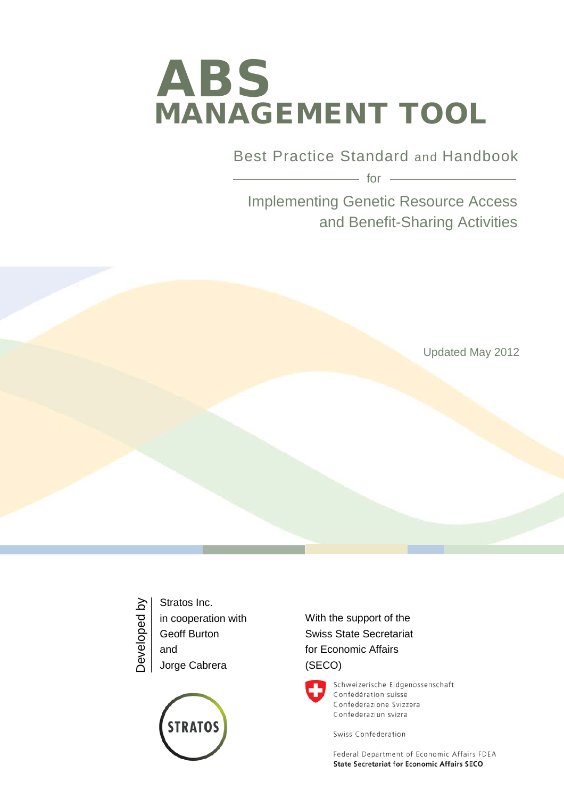# MANAGEMENT TOOL ABS

Best Practice Standard and Handbook

 $-$  for  $-$ 

Implementing Genetic Resource Access and Benefit-Sharing Activities

Updated May 2012

Stratos Inc. Developed byDeveloped by in cooperation with Geoff Burton and Jorge Cabrera



With the support of the Swiss State Secretariat for Economic Affairs (SECO)



Schweizerische Eidgenossenschaft Confédération suisse Confederazione Svizzera Confederaziun svizra

Swiss Confederation

Federal Department of Economic Affairs FDEA **State Secretariat for Economic Affairs SECO**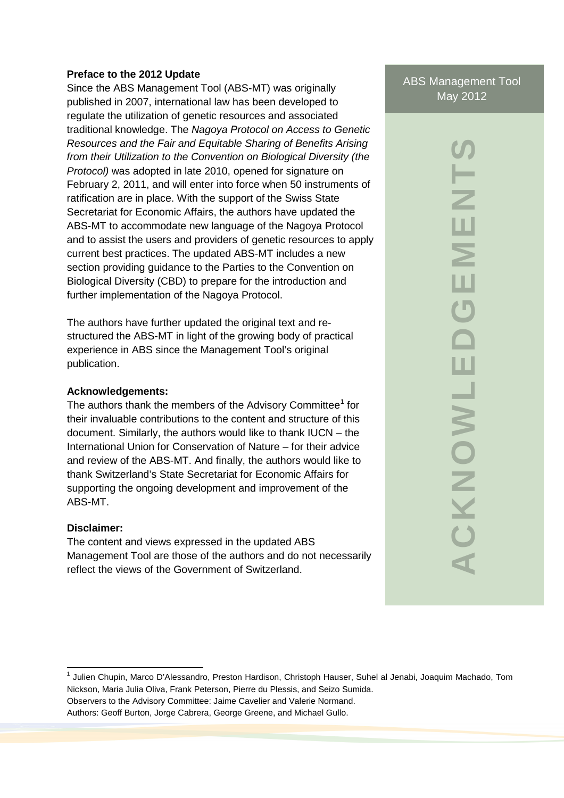#### **Preface to the 2012 Update**

Since the ABS Management Tool (ABS-MT) was originally published in 2007, international law has been developed to regulate the utilization of genetic resources and associated traditional knowledge. The *Nagoya Protocol on Access to Genetic Resources and the Fair and Equitable Sharing of Benefits Arising from their Utilization to the Convention on Biological Diversity (the Protocol)* was adopted in late 2010, opened for signature on February 2, 2011, and will enter into force when 50 instruments of ratification are in place. With the support of the Swiss State Secretariat for Economic Affairs, the authors have updated the ABS-MT to accommodate new language of the Nagoya Protocol and to assist the users and providers of genetic resources to apply current best practices. The updated ABS-MT includes a new section providing guidance to the Parties to the Convention on Biological Diversity (CBD) to prepare for the introduction and further implementation of the Nagoya Protocol.

The authors have further updated the original text and restructured the ABS-MT in light of the growing body of practical experience in ABS since the Management Tool's original publication.

#### **Acknowledgements:**

The authors thank the members of the Advisory Committee<sup>1</sup> for their invaluable contributions to the content and structure of this document. Similarly, the authors would like to thank IUCN – the International Union for Conservation of Nature – for their advice and review of the ABS-MT. And finally, the authors would like to thank Switzerland's State Secretariat for Economic Affairs for supporting the ongoing development and improvement of the ABS-MT.

#### **Disclaimer:**

The content and views expressed in the updated ABS Management Tool are those of the authors and do not necessarily reflect the views of the Government of Switzerland.

ABS Management Tool May 2012

> **ACKNOWLEDGEMENTS**  $\frac{1}{2}$ ш  $\geq$ ш  $\bigcup$  $\Delta$ ACKNOWLE

<sup>&</sup>lt;sup>1</sup> Julien Chupin, Marco D'Alessandro, Preston Hardison, Christoph Hauser, Suhel al Jenabi, Joaquim Machado, Tom Nickson, Maria Julia Oliva, Frank Peterson, Pierre du Plessis, and Seizo Sumida.

Observers to the Advisory Committee: Jaime Cavelier and Valerie Normand.

Authors: Geoff Burton, Jorge Cabrera, George Greene, and Michael Gullo.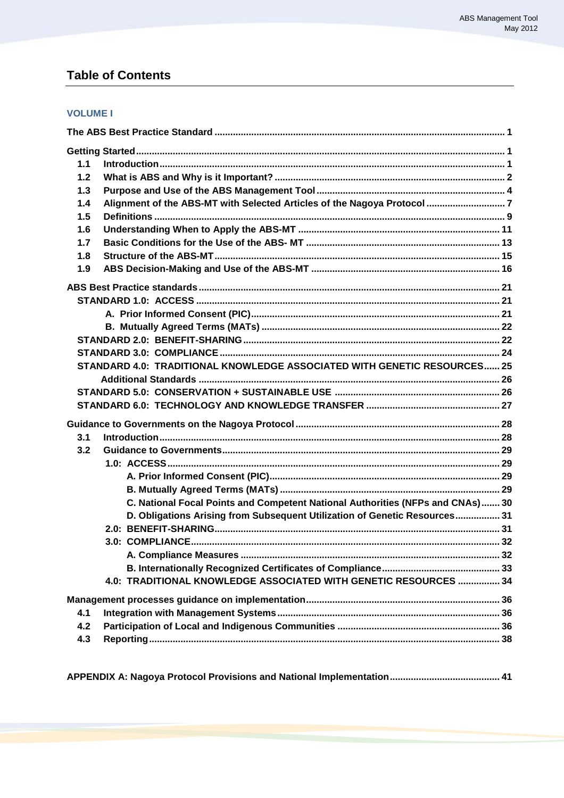# **Table of Contents**

#### **VOLUME I**

| 1.1 |                                                                                |  |
|-----|--------------------------------------------------------------------------------|--|
| 1.2 |                                                                                |  |
| 1.3 |                                                                                |  |
| 1.4 |                                                                                |  |
| 1.5 |                                                                                |  |
| 1.6 |                                                                                |  |
| 1.7 |                                                                                |  |
| 1.8 |                                                                                |  |
| 1.9 |                                                                                |  |
|     |                                                                                |  |
|     |                                                                                |  |
|     |                                                                                |  |
|     |                                                                                |  |
|     |                                                                                |  |
|     |                                                                                |  |
|     | STANDARD 4.0: TRADITIONAL KNOWLEDGE ASSOCIATED WITH GENETIC RESOURCES 25       |  |
|     |                                                                                |  |
|     |                                                                                |  |
|     |                                                                                |  |
|     |                                                                                |  |
| 3.1 |                                                                                |  |
| 3.2 |                                                                                |  |
|     |                                                                                |  |
|     |                                                                                |  |
|     |                                                                                |  |
|     | C. National Focal Points and Competent National Authorities (NFPs and CNAs) 30 |  |
|     | D. Obligations Arising from Subsequent Utilization of Genetic Resources 31     |  |
|     |                                                                                |  |
|     |                                                                                |  |
|     |                                                                                |  |
|     |                                                                                |  |
|     | 4.0: TRADITIONAL KNOWLEDGE ASSOCIATED WITH GENETIC RESOURCES  34               |  |
|     |                                                                                |  |
| 4.1 |                                                                                |  |
| 4.2 |                                                                                |  |
| 4.3 |                                                                                |  |
|     |                                                                                |  |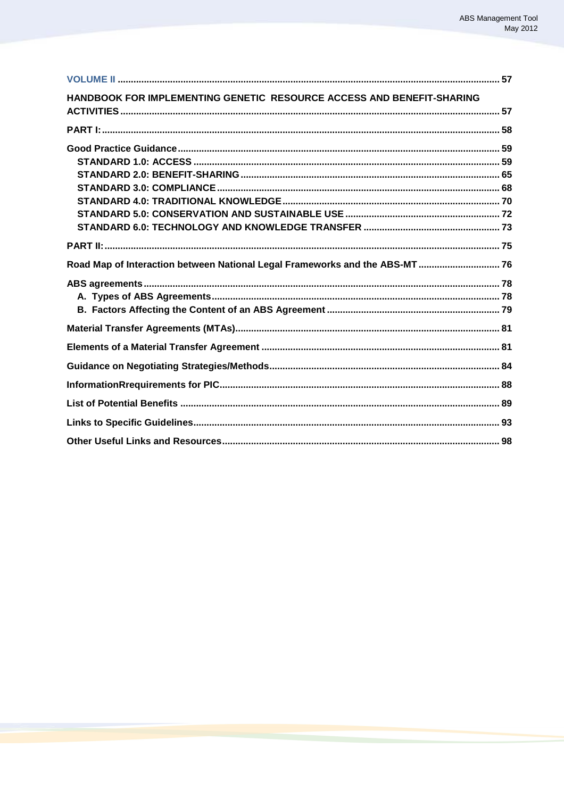| HANDBOOK FOR IMPLEMENTING GENETIC RESOURCE ACCESS AND BENEFIT-SHARING        |  |
|------------------------------------------------------------------------------|--|
|                                                                              |  |
|                                                                              |  |
|                                                                              |  |
|                                                                              |  |
|                                                                              |  |
|                                                                              |  |
|                                                                              |  |
|                                                                              |  |
|                                                                              |  |
| Road Map of Interaction between National Legal Frameworks and the ABS-MT  76 |  |
|                                                                              |  |
|                                                                              |  |
|                                                                              |  |
|                                                                              |  |
|                                                                              |  |
|                                                                              |  |
|                                                                              |  |
|                                                                              |  |
|                                                                              |  |
|                                                                              |  |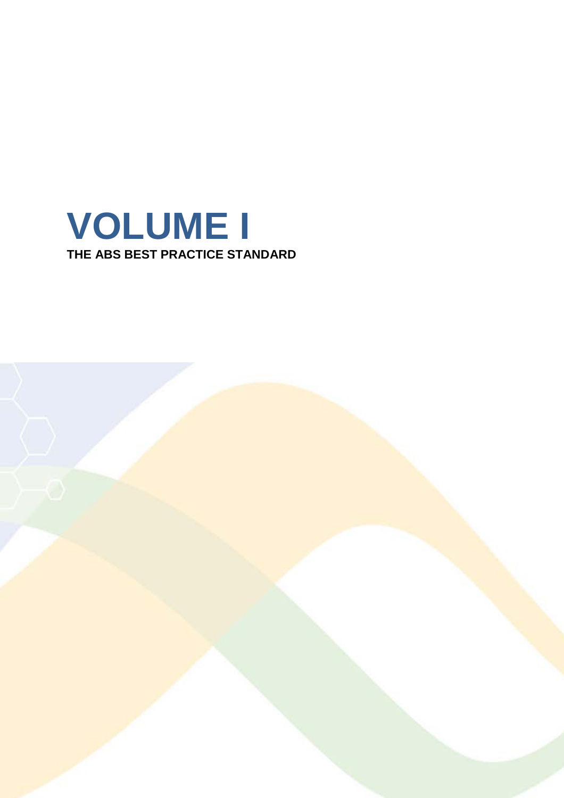

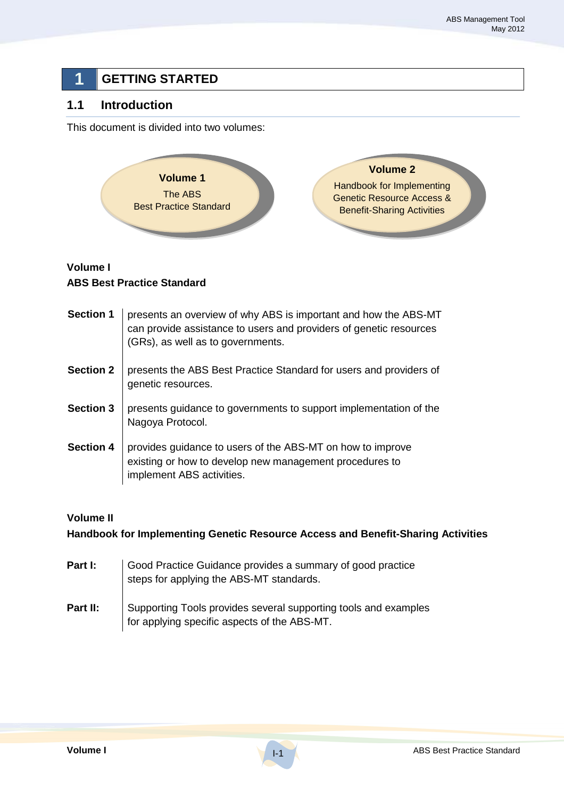# **1 GETTING STARTED**

## **1.1 Introduction**

This document is divided into two volumes:



## **Volume I ABS Best Practice Standard**

| <b>Section 1</b> | presents an overview of why ABS is important and how the ABS-MT<br>can provide assistance to users and providers of genetic resources<br>(GRs), as well as to governments. |
|------------------|----------------------------------------------------------------------------------------------------------------------------------------------------------------------------|
| <b>Section 2</b> | presents the ABS Best Practice Standard for users and providers of<br>genetic resources.                                                                                   |
| <b>Section 3</b> | presents guidance to governments to support implementation of the<br>Nagoya Protocol.                                                                                      |
| <b>Section 4</b> | provides guidance to users of the ABS-MT on how to improve<br>existing or how to develop new management procedures to<br>implement ABS activities.                         |

#### **Volume II**

**Handbook for Implementing Genetic Resource Access and Benefit-Sharing Activities** 

| Part I:  | Good Practice Guidance provides a summary of good practice<br>steps for applying the ABS-MT standards.          |
|----------|-----------------------------------------------------------------------------------------------------------------|
| Part II: | Supporting Tools provides several supporting tools and examples<br>for applying specific aspects of the ABS-MT. |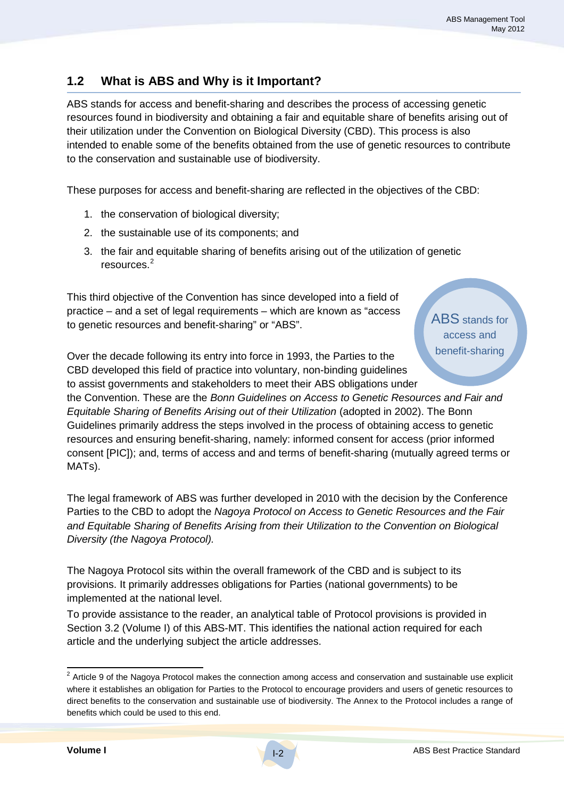# **1.2 What is ABS and Why is it Important?**

ABS stands for access and benefit-sharing and describes the process of accessing genetic resources found in biodiversity and obtaining a fair and equitable share of benefits arising out of their utilization under the Convention on Biological Diversity (CBD). This process is also intended to enable some of the benefits obtained from the use of genetic resources to contribute to the conservation and sustainable use of biodiversity.

These purposes for access and benefit-sharing are reflected in the objectives of the CBD:

- 1. the conservation of biological diversity;
- 2. the sustainable use of its components; and
- 3. the fair and equitable sharing of benefits arising out of the utilization of genetic resources.<sup>2</sup>

This third objective of the Convention has since developed into a field of practice – and a set of legal requirements – which are known as "access to genetic resources and benefit-sharing" or "ABS".

ABS stands for access and benefit-sharing

Over the decade following its entry into force in 1993, the Parties to the CBD developed this field of practice into voluntary, non-binding guidelines to assist governments and stakeholders to meet their ABS obligations under

the Convention. These are the *Bonn Guidelines on Access to Genetic Resources and Fair and Equitable Sharing of Benefits Arising out of their Utilization* (adopted in 2002). The Bonn Guidelines primarily address the steps involved in the process of obtaining access to genetic resources and ensuring benefit-sharing, namely: informed consent for access (prior informed consent [PIC]); and, terms of access and and terms of benefit-sharing (mutually agreed terms or MATs).

The legal framework of ABS was further developed in 2010 with the decision by the Conference Parties to the CBD to adopt the *Nagoya Protocol on Access to Genetic Resources and the Fair and Equitable Sharing of Benefits Arising from their Utilization to the Convention on Biological Diversity (the Nagoya Protocol).*

The Nagoya Protocol sits within the overall framework of the CBD and is subject to its provisions. It primarily addresses obligations for Parties (national governments) to be implemented at the national level.

To provide assistance to the reader, an analytical table of Protocol provisions is provided in Section 3.2 (Volume I) of this ABS-MT. This identifies the national action required for each article and the underlying subject the article addresses.

 $2$  Article 9 of the Nagoya Protocol makes the connection among access and conservation and sustainable use explicit where it establishes an obligation for Parties to the Protocol to encourage providers and users of genetic resources to direct benefits to the conservation and sustainable use of biodiversity. The Annex to the Protocol includes a range of benefits which could be used to this end.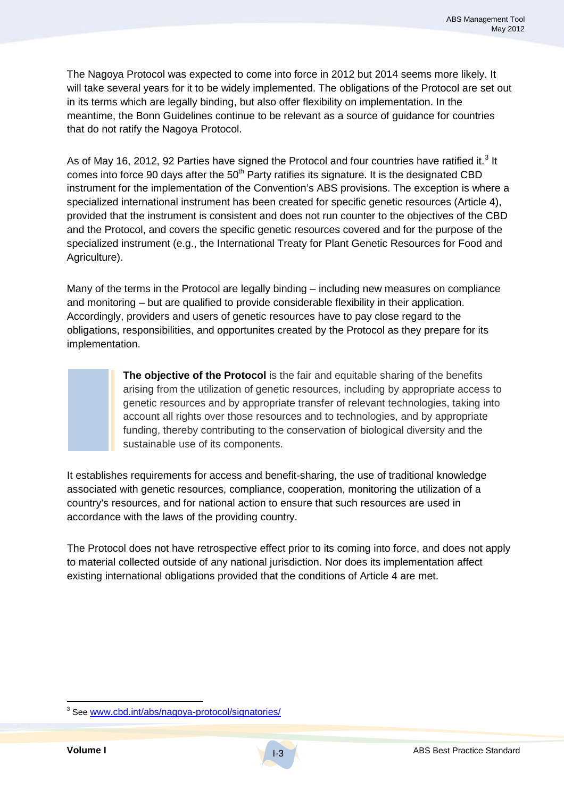The Nagoya Protocol was expected to come into force in 2012 but 2014 seems more likely. It will take several years for it to be widely implemented. The obligations of the Protocol are set out in its terms which are legally binding, but also offer flexibility on implementation. In the meantime, the Bonn Guidelines continue to be relevant as a source of guidance for countries that do not ratify the Nagoya Protocol.

As of May 16, 2012, 92 Parties have signed the Protocol and four countries have ratified it.<sup>3</sup> It comes into force 90 days after the  $50<sup>th</sup>$  Party ratifies its signature. It is the designated CBD instrument for the implementation of the Convention's ABS provisions. The exception is where a specialized international instrument has been created for specific genetic resources (Article 4), provided that the instrument is consistent and does not run counter to the objectives of the CBD and the Protocol, and covers the specific genetic resources covered and for the purpose of the specialized instrument (e.g., the International Treaty for Plant Genetic Resources for Food and Agriculture).

Many of the terms in the Protocol are legally binding – including new measures on compliance and monitoring – but are qualified to provide considerable flexibility in their application. Accordingly, providers and users of genetic resources have to pay close regard to the obligations, responsibilities, and opportunites created by the Protocol as they prepare for its implementation.

> **The objective of the Protocol** is the fair and equitable sharing of the benefits arising from the utilization of genetic resources, including by appropriate access to genetic resources and by appropriate transfer of relevant technologies, taking into account all rights over those resources and to technologies, and by appropriate funding, thereby contributing to the conservation of biological diversity and the sustainable use of its components.

It establishes requirements for access and benefit-sharing, the use of traditional knowledge associated with genetic resources, compliance, cooperation, monitoring the utilization of a country's resources, and for national action to ensure that such resources are used in accordance with the laws of the providing country.

The Protocol does not have retrospective effect prior to its coming into force, and does not apply to material collected outside of any national jurisdiction. Nor does its implementation affect existing international obligations provided that the conditions of Article 4 are met.

 <sup>3</sup> See www.cbd.int/abs/nagoya-protocol/signatories/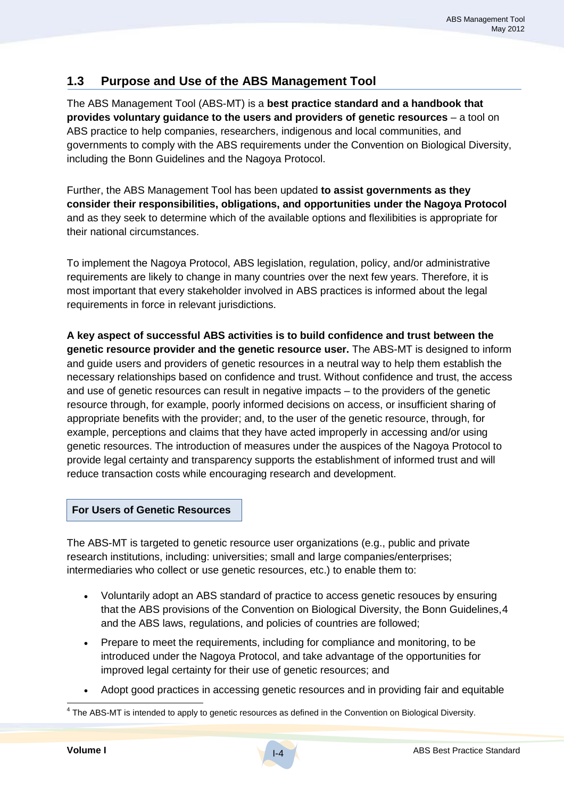## **1.3 Purpose and Use of the ABS Management Tool**

The ABS Management Tool (ABS-MT) is a **best practice standard and a handbook that provides voluntary guidance to the users and providers of genetic resources** – a tool on ABS practice to help companies, researchers, indigenous and local communities, and governments to comply with the ABS requirements under the Convention on Biological Diversity, including the Bonn Guidelines and the Nagoya Protocol.

Further, the ABS Management Tool has been updated **to assist governments as they consider their responsibilities, obligations, and opportunities under the Nagoya Protocol** and as they seek to determine which of the available options and flexilibities is appropriate for their national circumstances.

To implement the Nagoya Protocol, ABS legislation, regulation, policy, and/or administrative requirements are likely to change in many countries over the next few years. Therefore, it is most important that every stakeholder involved in ABS practices is informed about the legal requirements in force in relevant jurisdictions.

**A key aspect of successful ABS activities is to build confidence and trust between the genetic resource provider and the genetic resource user.** The ABS-MT is designed to inform and guide users and providers of genetic resources in a neutral way to help them establish the necessary relationships based on confidence and trust. Without confidence and trust, the access and use of genetic resources can result in negative impacts – to the providers of the genetic resource through, for example, poorly informed decisions on access, or insufficient sharing of appropriate benefits with the provider; and, to the user of the genetic resource, through, for example, perceptions and claims that they have acted improperly in accessing and/or using genetic resources. The introduction of measures under the auspices of the Nagoya Protocol to provide legal certainty and transparency supports the establishment of informed trust and will reduce transaction costs while encouraging research and development.

#### **For Users of Genetic Resources**

The ABS-MT is targeted to genetic resource user organizations (e.g., public and private research institutions, including: universities; small and large companies/enterprises; intermediaries who collect or use genetic resources, etc.) to enable them to:

- Voluntarily adopt an ABS standard of practice to access genetic resouces by ensuring that the ABS provisions of the Convention on Biological Diversity, the Bonn Guidelines,4 and the ABS laws, regulations, and policies of countries are followed;
- Prepare to meet the requirements, including for compliance and monitoring, to be introduced under the Nagoya Protocol, and take advantage of the opportunities for improved legal certainty for their use of genetic resources; and
- Adopt good practices in accessing genetic resources and in providing fair and equitable

<sup>&</sup>lt;sup>4</sup> The ABS-MT is intended to apply to genetic resources as defined in the Convention on Biological Diversity.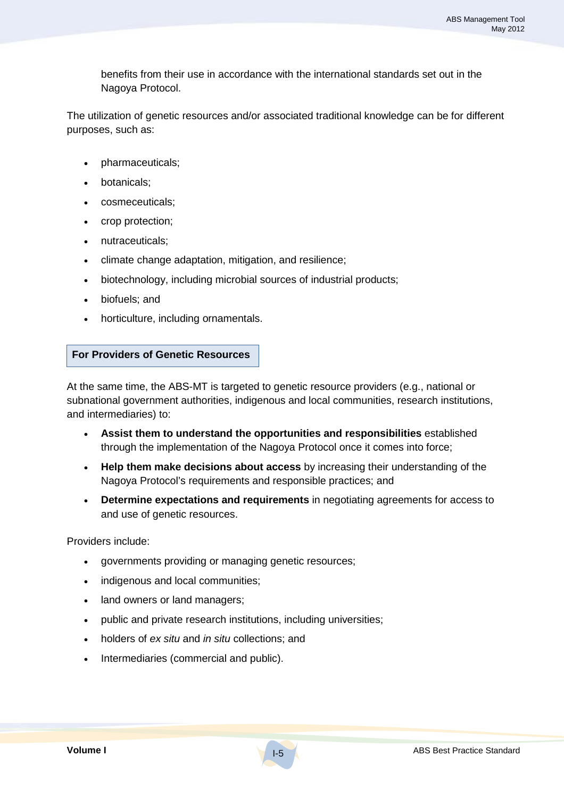benefits from their use in accordance with the international standards set out in the Nagoya Protocol.

The utilization of genetic resources and/or associated traditional knowledge can be for different purposes, such as:

- pharmaceuticals;
- botanicals;
- cosmeceuticals;
- crop protection;
- nutraceuticals;
- climate change adaptation, mitigation, and resilience;
- biotechnology, including microbial sources of industrial products;
- biofuels; and
- horticulture, including ornamentals.

#### **For Providers of Genetic Resources**

At the same time, the ABS-MT is targeted to genetic resource providers (e.g., national or subnational government authorities, indigenous and local communities, research institutions, and intermediaries) to:

- **Assist them to understand the opportunities and responsibilities** established through the implementation of the Nagoya Protocol once it comes into force;
- **Help them make decisions about access** by increasing their understanding of the Nagoya Protocol's requirements and responsible practices; and
- **Determine expectations and requirements** in negotiating agreements for access to and use of genetic resources.

Providers include:

- governments providing or managing genetic resources;
- indigenous and local communities;
- land owners or land managers;
- public and private research institutions, including universities;
- holders of *ex situ* and *in situ* collections; and
- Intermediaries (commercial and public).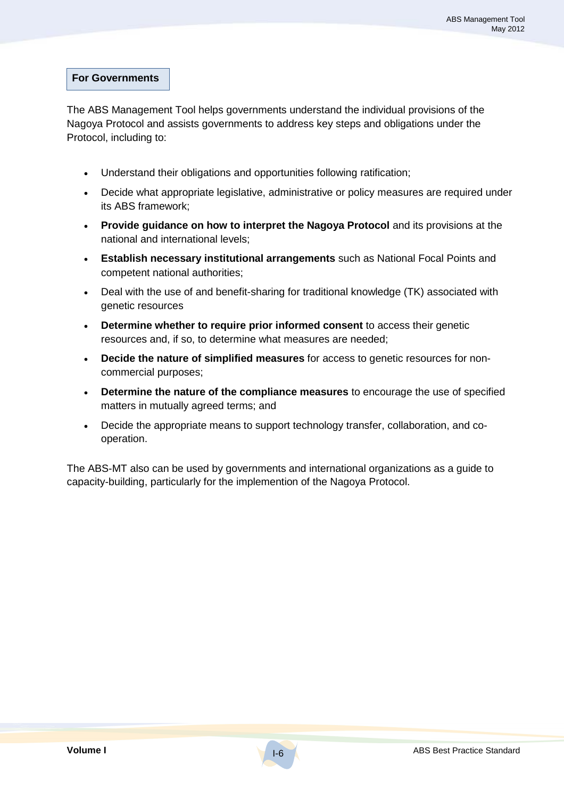#### **For Governments**

The ABS Management Tool helps governments understand the individual provisions of the Nagoya Protocol and assists governments to address key steps and obligations under the Protocol, including to:

- Understand their obligations and opportunities following ratification;
- Decide what appropriate legislative, administrative or policy measures are required under its ABS framework;
- **Provide guidance on how to interpret the Nagoya Protocol** and its provisions at the national and international levels;
- **Establish necessary institutional arrangements** such as National Focal Points and competent national authorities;
- Deal with the use of and benefit-sharing for traditional knowledge (TK) associated with genetic resources
- **Determine whether to require prior informed consent** to access their genetic resources and, if so, to determine what measures are needed;
- **Decide the nature of simplified measures** for access to genetic resources for noncommercial purposes;
- **Determine the nature of the compliance measures** to encourage the use of specified matters in mutually agreed terms; and
- Decide the appropriate means to support technology transfer, collaboration, and cooperation.

The ABS-MT also can be used by governments and international organizations as a guide to capacity-building, particularly for the implemention of the Nagoya Protocol.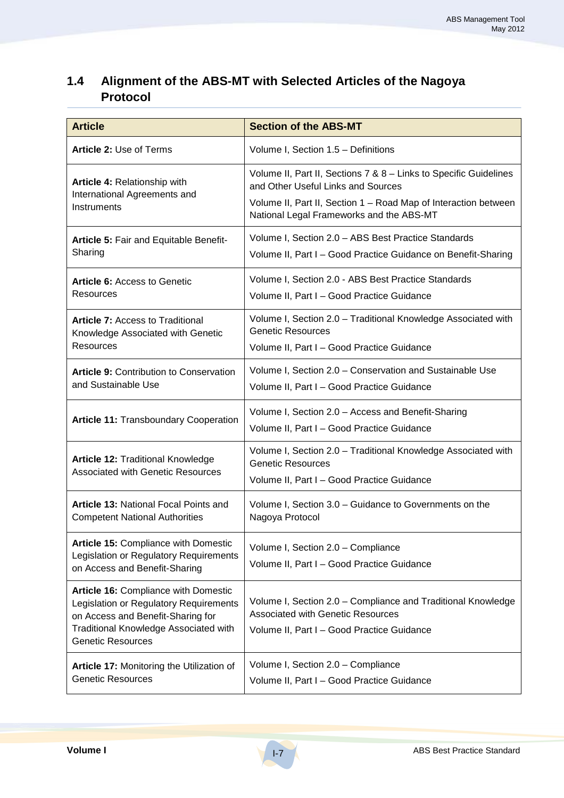# **1.4 Alignment of the ABS-MT with Selected Articles of the Nagoya Protocol**

| <b>Article</b>                                                                                                                                                                           | <b>Section of the ABS-MT</b>                                                                                                                                                                                           |  |
|------------------------------------------------------------------------------------------------------------------------------------------------------------------------------------------|------------------------------------------------------------------------------------------------------------------------------------------------------------------------------------------------------------------------|--|
| Article 2: Use of Terms                                                                                                                                                                  | Volume I, Section 1.5 - Definitions                                                                                                                                                                                    |  |
| Article 4: Relationship with<br>International Agreements and<br>Instruments                                                                                                              | Volume II, Part II, Sections 7 & 8 - Links to Specific Guidelines<br>and Other Useful Links and Sources<br>Volume II, Part II, Section 1 - Road Map of Interaction between<br>National Legal Frameworks and the ABS-MT |  |
| Article 5: Fair and Equitable Benefit-<br>Sharing                                                                                                                                        | Volume I, Section 2.0 - ABS Best Practice Standards<br>Volume II, Part I - Good Practice Guidance on Benefit-Sharing                                                                                                   |  |
| <b>Article 6: Access to Genetic</b><br>Resources                                                                                                                                         | Volume I, Section 2.0 - ABS Best Practice Standards<br>Volume II, Part I - Good Practice Guidance                                                                                                                      |  |
| <b>Article 7: Access to Traditional</b><br>Knowledge Associated with Genetic<br>Resources                                                                                                | Volume I, Section 2.0 - Traditional Knowledge Associated with<br><b>Genetic Resources</b><br>Volume II, Part I - Good Practice Guidance                                                                                |  |
| <b>Article 9: Contribution to Conservation</b><br>and Sustainable Use                                                                                                                    | Volume I, Section 2.0 - Conservation and Sustainable Use<br>Volume II, Part I - Good Practice Guidance                                                                                                                 |  |
| <b>Article 11: Transboundary Cooperation</b>                                                                                                                                             | Volume I, Section 2.0 - Access and Benefit-Sharing<br>Volume II, Part I - Good Practice Guidance                                                                                                                       |  |
| <b>Article 12: Traditional Knowledge</b><br><b>Associated with Genetic Resources</b>                                                                                                     | Volume I, Section 2.0 - Traditional Knowledge Associated with<br><b>Genetic Resources</b><br>Volume II, Part I - Good Practice Guidance                                                                                |  |
| <b>Article 13: National Focal Points and</b><br><b>Competent National Authorities</b>                                                                                                    | Volume I, Section 3.0 - Guidance to Governments on the<br>Nagoya Protocol                                                                                                                                              |  |
| Article 15: Compliance with Domestic<br>Legislation or Regulatory Requirements<br>on Access and Benefit-Sharing                                                                          | Volume I, Section 2.0 - Compliance<br>Volume II, Part I - Good Practice Guidance                                                                                                                                       |  |
| Article 16: Compliance with Domestic<br>Legislation or Regulatory Requirements<br>on Access and Benefit-Sharing for<br>Traditional Knowledge Associated with<br><b>Genetic Resources</b> | Volume I, Section 2.0 - Compliance and Traditional Knowledge<br><b>Associated with Genetic Resources</b><br>Volume II, Part I - Good Practice Guidance                                                                 |  |
| Article 17: Monitoring the Utilization of<br><b>Genetic Resources</b>                                                                                                                    | Volume I, Section 2.0 - Compliance<br>Volume II, Part I - Good Practice Guidance                                                                                                                                       |  |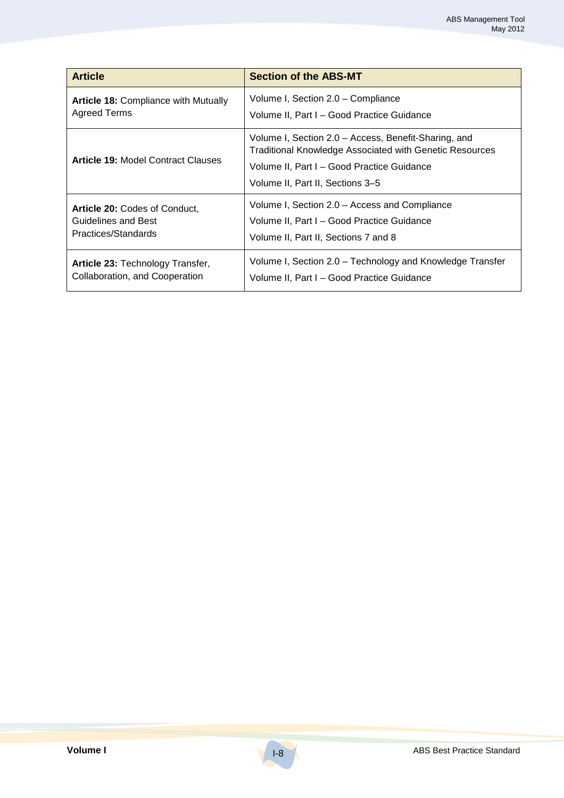| <b>Article</b>                              | <b>Section of the ABS-MT</b>                                                                                                                                                                             |
|---------------------------------------------|----------------------------------------------------------------------------------------------------------------------------------------------------------------------------------------------------------|
| <b>Article 18: Compliance with Mutually</b> | Volume I, Section 2.0 – Compliance                                                                                                                                                                       |
| Agreed Terms                                | Volume II, Part I - Good Practice Guidance                                                                                                                                                               |
| <b>Article 19: Model Contract Clauses</b>   | Volume I, Section 2.0 - Access, Benefit-Sharing, and<br><b>Traditional Knowledge Associated with Genetic Resources</b><br>Volume II, Part I - Good Practice Guidance<br>Volume II, Part II, Sections 3–5 |
| Article 20: Codes of Conduct,               | Volume I, Section 2.0 - Access and Compliance                                                                                                                                                            |
| <b>Guidelines and Best</b>                  | Volume II, Part I - Good Practice Guidance                                                                                                                                                               |
| Practices/Standards                         | Volume II, Part II, Sections 7 and 8                                                                                                                                                                     |
| Article 23: Technology Transfer,            | Volume I, Section 2.0 – Technology and Knowledge Transfer                                                                                                                                                |
| Collaboration, and Cooperation              | Volume II, Part I - Good Practice Guidance                                                                                                                                                               |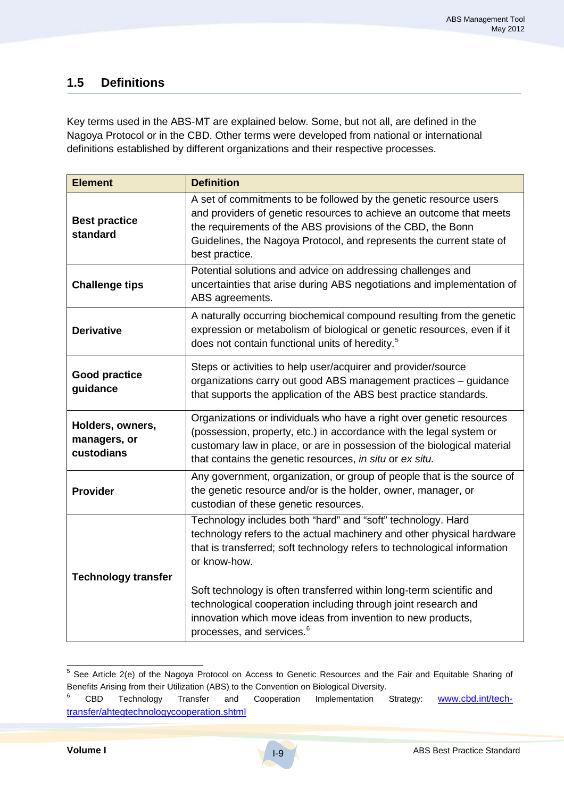# **1.5 Definitions**

Key terms used in the ABS-MT are explained below. Some, but not all, are defined in the Nagoya Protocol or in the CBD. Other terms were developed from national or international definitions established by different organizations and their respective processes.

| <b>Element</b>                                 | <b>Definition</b>                                                                                                                                                                                                                                                                                        |
|------------------------------------------------|----------------------------------------------------------------------------------------------------------------------------------------------------------------------------------------------------------------------------------------------------------------------------------------------------------|
| <b>Best practice</b><br>standard               | A set of commitments to be followed by the genetic resource users<br>and providers of genetic resources to achieve an outcome that meets<br>the requirements of the ABS provisions of the CBD, the Bonn<br>Guidelines, the Nagoya Protocol, and represents the current state of<br>best practice.        |
| <b>Challenge tips</b>                          | Potential solutions and advice on addressing challenges and<br>uncertainties that arise during ABS negotiations and implementation of<br>ABS agreements.                                                                                                                                                 |
| <b>Derivative</b>                              | A naturally occurring biochemical compound resulting from the genetic<br>expression or metabolism of biological or genetic resources, even if it<br>does not contain functional units of heredity. <sup>5</sup>                                                                                          |
| <b>Good practice</b><br>guidance               | Steps or activities to help user/acquirer and provider/source<br>organizations carry out good ABS management practices - guidance<br>that supports the application of the ABS best practice standards.                                                                                                   |
| Holders, owners,<br>managers, or<br>custodians | Organizations or individuals who have a right over genetic resources<br>(possession, property, etc.) in accordance with the legal system or<br>customary law in place, or are in possession of the biological material<br>that contains the genetic resources, in situ or ex situ.                       |
| <b>Provider</b>                                | Any government, organization, or group of people that is the source of<br>the genetic resource and/or is the holder, owner, manager, or<br>custodian of these genetic resources.                                                                                                                         |
| <b>Technology transfer</b>                     | Technology includes both "hard" and "soft" technology. Hard<br>technology refers to the actual machinery and other physical hardware<br>that is transferred; soft technology refers to technological information<br>or know-how.<br>Soft technology is often transferred within long-term scientific and |
|                                                | technological cooperation including through joint research and<br>innovation which move ideas from invention to new products,<br>processes, and services. <sup>6</sup>                                                                                                                                   |

 <sup>5</sup> See Article 2(e) of the Nagoya Protocol on Access to Genetic Resources and the Fair and Equitable Sharing of Benefits Arising from their Utilization (ABS) to the Convention on Biological Diversity.

<sup>&</sup>lt;sup>6</sup> CBD Technology Transfer and Cooperation Implementation Strategy: **www.cbd.int/tech**transfer/ahtegtechnologycooperation.shtml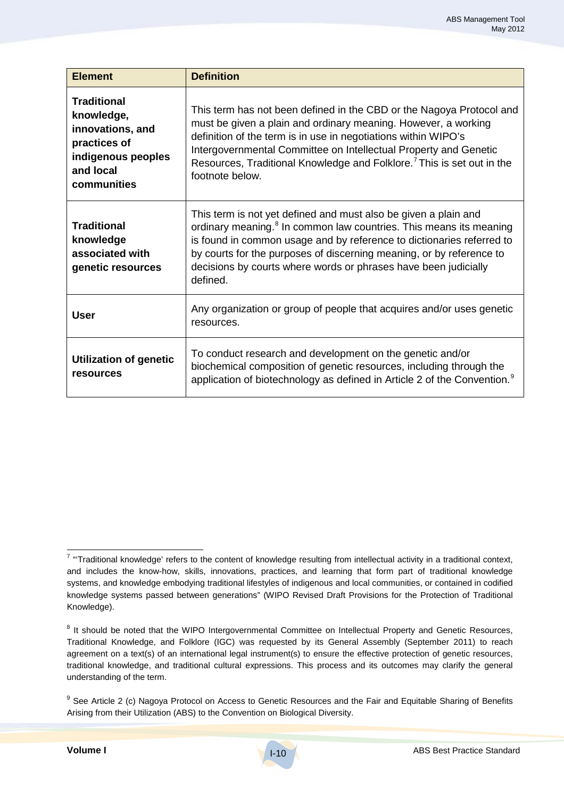| <b>Element</b>                                                                                                         | <b>Definition</b>                                                                                                                                                                                                                                                                                                                                                                     |
|------------------------------------------------------------------------------------------------------------------------|---------------------------------------------------------------------------------------------------------------------------------------------------------------------------------------------------------------------------------------------------------------------------------------------------------------------------------------------------------------------------------------|
| <b>Traditional</b><br>knowledge,<br>innovations, and<br>practices of<br>indigenous peoples<br>and local<br>communities | This term has not been defined in the CBD or the Nagoya Protocol and<br>must be given a plain and ordinary meaning. However, a working<br>definition of the term is in use in negotiations within WIPO's<br>Intergovernmental Committee on Intellectual Property and Genetic<br>Resources, Traditional Knowledge and Folklore. <sup>7</sup> This is set out in the<br>footnote below. |
| Traditional<br>knowledge<br>associated with<br>genetic resources                                                       | This term is not yet defined and must also be given a plain and<br>ordinary meaning. <sup>8</sup> In common law countries. This means its meaning<br>is found in common usage and by reference to dictionaries referred to<br>by courts for the purposes of discerning meaning, or by reference to<br>decisions by courts where words or phrases have been judicially<br>defined.     |
| <b>User</b>                                                                                                            | Any organization or group of people that acquires and/or uses genetic<br>resources.                                                                                                                                                                                                                                                                                                   |
| <b>Utilization of genetic</b><br>resources                                                                             | To conduct research and development on the genetic and/or<br>biochemical composition of genetic resources, including through the<br>application of biotechnology as defined in Article 2 of the Convention. <sup>9</sup>                                                                                                                                                              |

 $7$  "Traditional knowledge' refers to the content of knowledge resulting from intellectual activity in a traditional context, and includes the know-how, skills, innovations, practices, and learning that form part of traditional knowledge systems, and knowledge embodying traditional lifestyles of indigenous and local communities, or contained in codified knowledge systems passed between generations" (WIPO Revised Draft Provisions for the Protection of Traditional Knowledge).

<sup>&</sup>lt;sup>8</sup> It should be noted that the WIPO Intergovernmental Committee on Intellectual Property and Genetic Resources, Traditional Knowledge, and Folklore (IGC) was requested by its General Assembly (September 2011) to reach agreement on a text(s) of an international legal instrument(s) to ensure the effective protection of genetic resources, traditional knowledge, and traditional cultural expressions. This process and its outcomes may clarify the general understanding of the term.

<sup>&</sup>lt;sup>9</sup> See Article 2 (c) Nagoya Protocol on Access to Genetic Resources and the Fair and Equitable Sharing of Benefits Arising from their Utilization (ABS) to the Convention on Biological Diversity.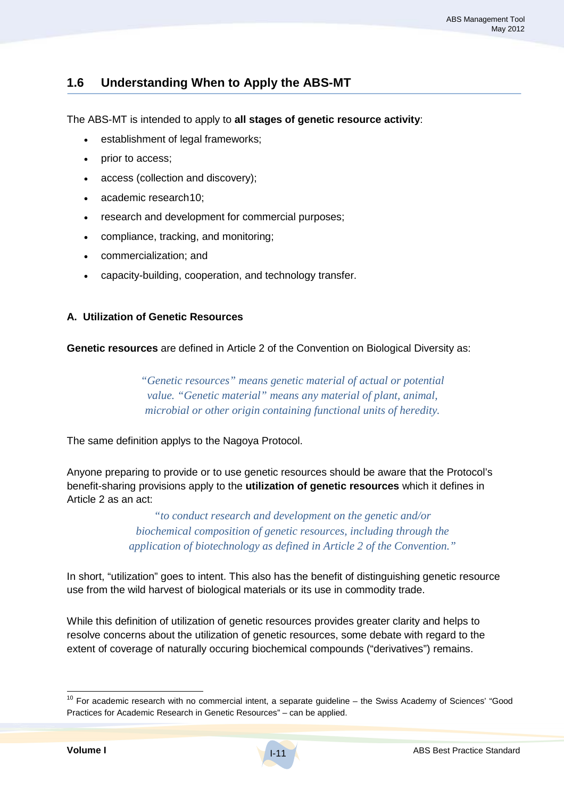# **1.6 Understanding When to Apply the ABS-MT**

The ABS-MT is intended to apply to **all stages of genetic resource activity**:

- establishment of legal frameworks;
- prior to access;
- access (collection and discovery);
- academic research10 ;
- research and development for commercial purposes;
- compliance, tracking, and monitoring;
- commercialization; and
- capacity-building, cooperation, and technology transfer.

#### **A. Utilization of Genetic Resources**

**Genetic resources** are defined in Article 2 of the Convention on Biological Diversity as:

*"Genetic resources" means genetic material of actual or potential value. "Genetic material" means any material of plant, animal, microbial or other origin containing functional units of heredity.*

The same definition applys to the Nagoya Protocol.

Anyone preparing to provide or to use genetic resources should be aware that the Protocol's benefit-sharing provisions apply to the **utilization of genetic resources** which it defines in Article 2 as an act:

> *"to conduct research and development on the genetic and/or biochemical composition of genetic resources, including through the application of biotechnology as defined in Article 2 of the Convention."*

In short, "utilization" goes to intent. This also has the benefit of distinguishing genetic resource use from the wild harvest of biological materials or its use in commodity trade.

While this definition of utilization of genetic resources provides greater clarity and helps to resolve concerns about the utilization of genetic resources, some debate with regard to the extent of coverage of naturally occuring biochemical compounds ("derivatives") remains.

 $10$  For academic research with no commercial intent, a separate guideline  $-$  the Swiss Academy of Sciences' "Good Practices for Academic Research in Genetic Resources" – can be applied.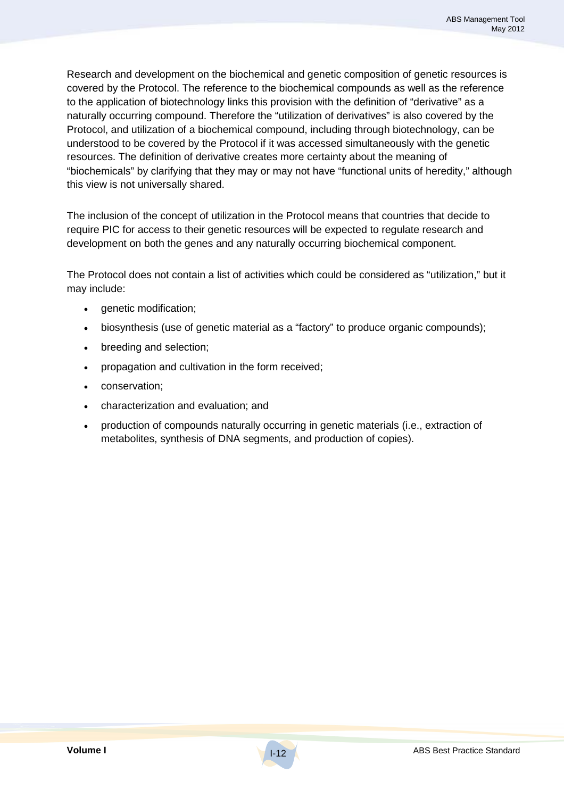Research and development on the biochemical and genetic composition of genetic resources is covered by the Protocol. The reference to the biochemical compounds as well as the reference to the application of biotechnology links this provision with the definition of "derivative" as a naturally occurring compound. Therefore the "utilization of derivatives" is also covered by the Protocol, and utilization of a biochemical compound, including through biotechnology, can be understood to be covered by the Protocol if it was accessed simultaneously with the genetic resources. The definition of derivative creates more certainty about the meaning of "biochemicals" by clarifying that they may or may not have "functional units of heredity," although this view is not universally shared.

The inclusion of the concept of utilization in the Protocol means that countries that decide to require PIC for access to their genetic resources will be expected to regulate research and development on both the genes and any naturally occurring biochemical component.

The Protocol does not contain a list of activities which could be considered as "utilization," but it may include:

- genetic modification;
- biosynthesis (use of genetic material as a "factory" to produce organic compounds);
- breeding and selection;
- propagation and cultivation in the form received;
- conservation;
- characterization and evaluation; and
- production of compounds naturally occurring in genetic materials (i.e., extraction of metabolites, synthesis of DNA segments, and production of copies).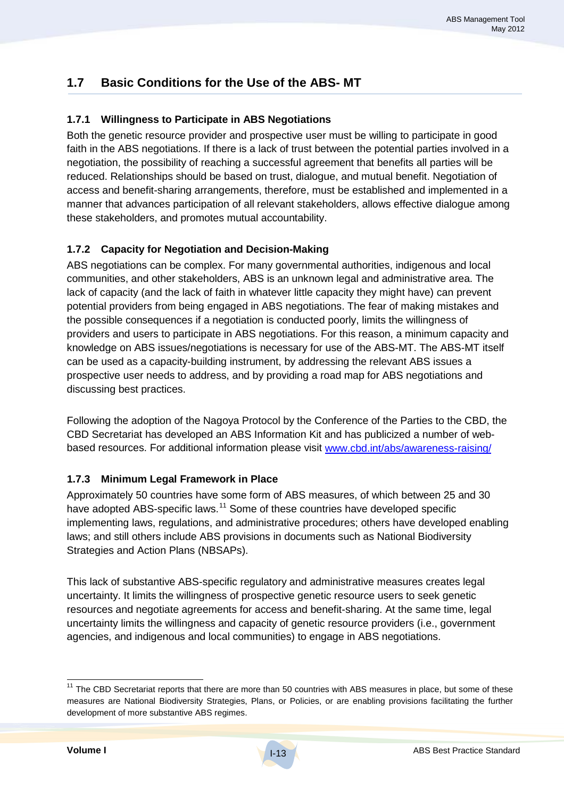# **1.7 Basic Conditions for the Use of the ABS- MT**

## **1.7.1 Willingness to Participate in ABS Negotiations**

Both the genetic resource provider and prospective user must be willing to participate in good faith in the ABS negotiations. If there is a lack of trust between the potential parties involved in a negotiation, the possibility of reaching a successful agreement that benefits all parties will be reduced. Relationships should be based on trust, dialogue, and mutual benefit. Negotiation of access and benefit-sharing arrangements, therefore, must be established and implemented in a manner that advances participation of all relevant stakeholders, allows effective dialogue among these stakeholders, and promotes mutual accountability.

## **1.7.2 Capacity for Negotiation and Decision-Making**

ABS negotiations can be complex. For many governmental authorities, indigenous and local communities, and other stakeholders, ABS is an unknown legal and administrative area. The lack of capacity (and the lack of faith in whatever little capacity they might have) can prevent potential providers from being engaged in ABS negotiations. The fear of making mistakes and the possible consequences if a negotiation is conducted poorly, limits the willingness of providers and users to participate in ABS negotiations. For this reason, a minimum capacity and knowledge on ABS issues/negotiations is necessary for use of the ABS-MT. The ABS-MT itself can be used as a capacity-building instrument, by addressing the relevant ABS issues a prospective user needs to address, and by providing a road map for ABS negotiations and discussing best practices.

Following the adoption of the Nagoya Protocol by the Conference of the Parties to the CBD, the CBD Secretariat has developed an ABS Information Kit and has publicized a number of webbased resources. For additional information please visit www.cbd.int/abs/awareness-raising/

#### **1.7.3 Minimum Legal Framework in Place**

Approximately 50 countries have some form of ABS measures, of which between 25 and 30 have adopted ABS-specific laws.<sup>11</sup> Some of these countries have developed specific implementing laws, regulations, and administrative procedures; others have developed enabling laws; and still others include ABS provisions in documents such as National Biodiversity Strategies and Action Plans (NBSAPs).

This lack of substantive ABS-specific regulatory and administrative measures creates legal uncertainty. It limits the willingness of prospective genetic resource users to seek genetic resources and negotiate agreements for access and benefit-sharing. At the same time, legal uncertainty limits the willingness and capacity of genetic resource providers (i.e., government agencies, and indigenous and local communities) to engage in ABS negotiations.

 $11$  The CBD Secretariat reports that there are more than 50 countries with ABS measures in place, but some of these measures are National Biodiversity Strategies, Plans, or Policies, or are enabling provisions facilitating the further development of more substantive ABS regimes.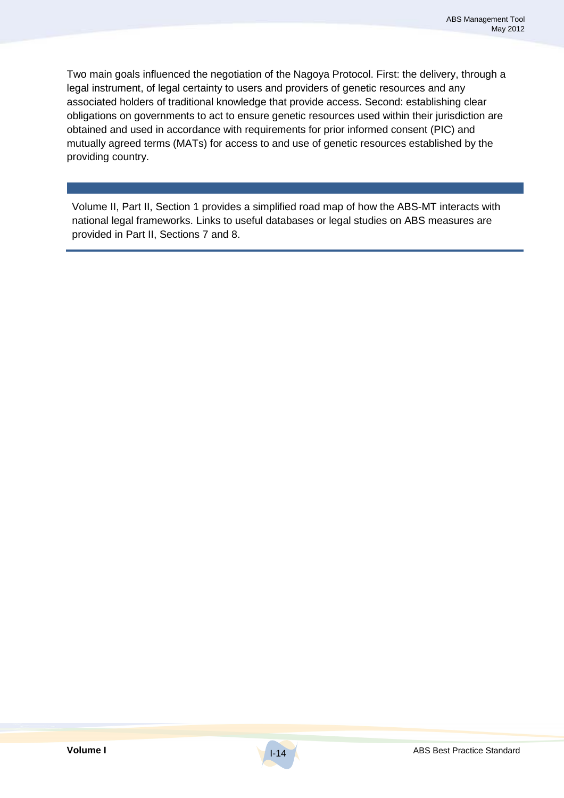Two main goals influenced the negotiation of the Nagoya Protocol. First: the delivery, through a legal instrument, of legal certainty to users and providers of genetic resources and any associated holders of traditional knowledge that provide access. Second: establishing clear obligations on governments to act to ensure genetic resources used within their jurisdiction are obtained and used in accordance with requirements for prior informed consent (PIC) and mutually agreed terms (MATs) for access to and use of genetic resources established by the providing country.

Volume II, Part II, Section 1 provides a simplified road map of how the ABS-MT interacts with national legal frameworks. Links to useful databases or legal studies on ABS measures are provided in Part II, Sections 7 and 8.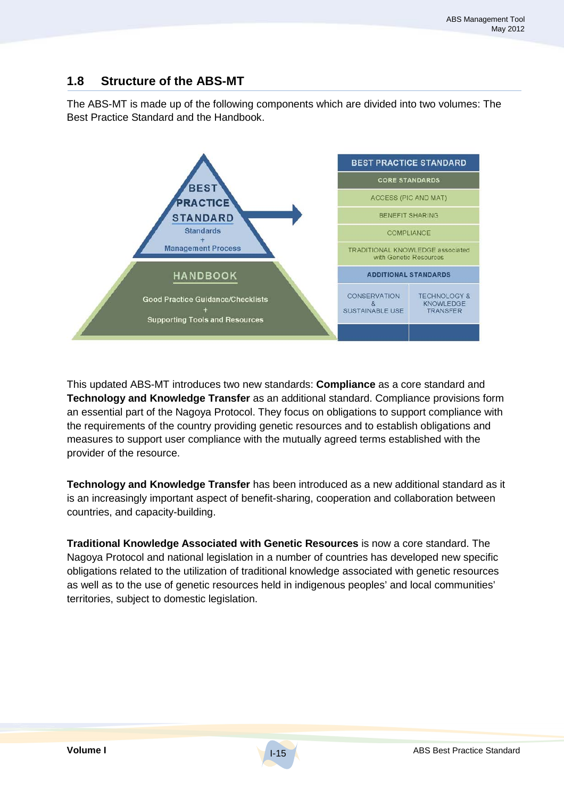## **1.8 Structure of the ABS-MT**

The ABS-MT is made up of the following components which are divided into two volumes: The Best Practice Standard and the Handbook.



This updated ABS-MT introduces two new standards: **Compliance** as a core standard and **Technology and Knowledge Transfer** as an additional standard. Compliance provisions form an essential part of the Nagoya Protocol. They focus on obligations to support compliance with the requirements of the country providing genetic resources and to establish obligations and measures to support user compliance with the mutually agreed terms established with the provider of the resource.

**Technology and Knowledge Transfer** has been introduced as a new additional standard as it is an increasingly important aspect of benefit-sharing, cooperation and collaboration between countries, and capacity-building.

**Traditional Knowledge Associated with Genetic Resources** is now a core standard. The Nagoya Protocol and national legislation in a number of countries has developed new specific obligations related to the utilization of traditional knowledge associated with genetic resources as well as to the use of genetic resources held in indigenous peoples' and local communities' territories, subject to domestic legislation.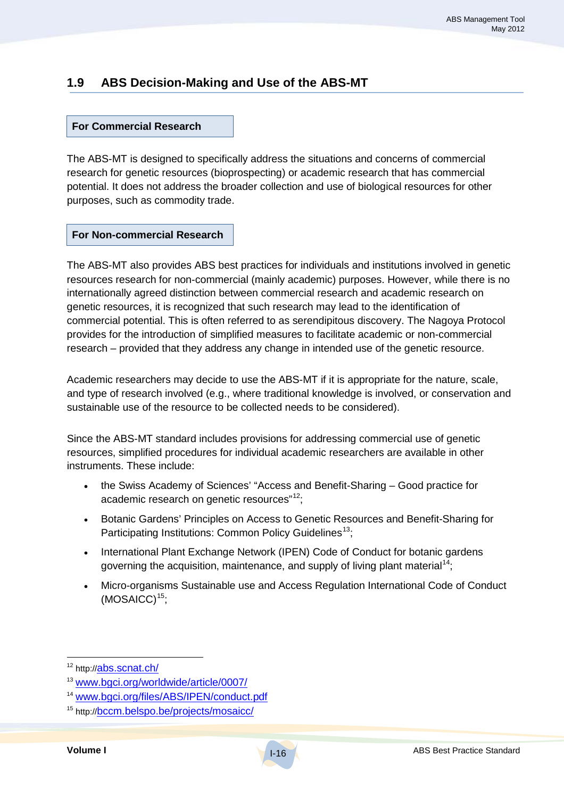# **1.9 ABS Decision-Making and Use of the ABS-MT**

#### **For Commercial Research**

The ABS-MT is designed to specifically address the situations and concerns of commercial research for genetic resources (bioprospecting) or academic research that has commercial potential. It does not address the broader collection and use of biological resources for other purposes, such as commodity trade.

#### **For Non-commercial Research**

The ABS-MT also provides ABS best practices for individuals and institutions involved in genetic resources research for non-commercial (mainly academic) purposes. However, while there is no internationally agreed distinction between commercial research and academic research on genetic resources, it is recognized that such research may lead to the identification of commercial potential. This is often referred to as serendipitous discovery. The Nagoya Protocol provides for the introduction of simplified measures to facilitate academic or non-commercial research – provided that they address any change in intended use of the genetic resource.

Academic researchers may decide to use the ABS-MT if it is appropriate for the nature, scale, and type of research involved (e.g., where traditional knowledge is involved, or conservation and sustainable use of the resource to be collected needs to be considered).

Since the ABS-MT standard includes provisions for addressing commercial use of genetic resources, simplified procedures for individual academic researchers are available in other instruments. These include:

- the Swiss Academy of Sciences' "Access and Benefit-Sharing Good practice for academic research on genetic resources"<sup>12</sup>;
- Botanic Gardens' Principles on Access to Genetic Resources and Benefit-Sharing for Participating Institutions: Common Policy Guidelines<sup>13</sup>;
- International Plant Exchange Network (IPEN) Code of Conduct for botanic gardens governing the acquisition, maintenance, and supply of living plant material<sup>14</sup>;
- Micro-organisms Sustainable use and Access Regulation International Code of Conduct (MOSAICC) 15 ;

<sup>12</sup> http://<u>abs.scnat.ch/</u>

<sup>13</sup> www.bgci.org/worldwide/article/0007/

<sup>14</sup> www.bgci.org/files/ABS/IPEN/conduct.pdf

<sup>15</sup> http://bccm.belspo.be/projects/mosaicc/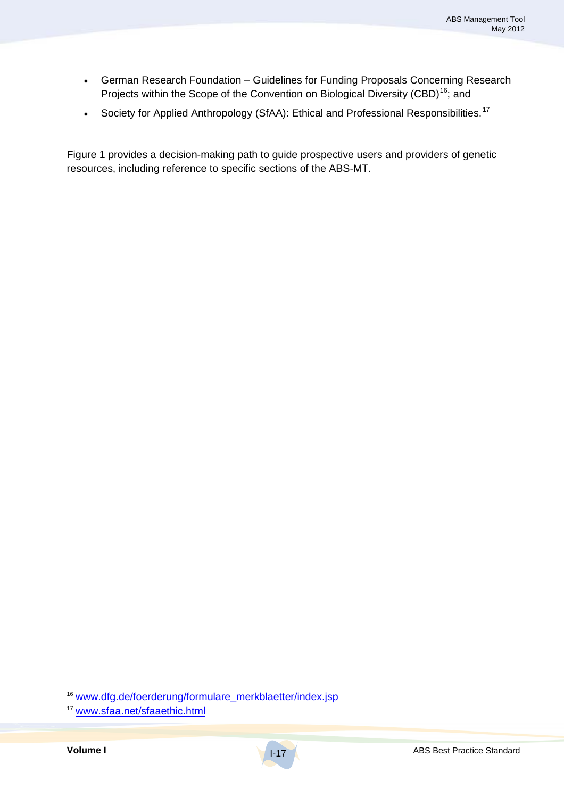- German Research Foundation Guidelines for Funding Proposals Concerning Research Projects within the Scope of the Convention on Biological Diversity (CBD)<sup>16</sup>; and
- Society for Applied Anthropology (SfAA): Ethical and Professional Responsibilities.<sup>17</sup>

Figure 1 provides a decision-making path to guide prospective users and providers of genetic resources, including reference to specific sections of the ABS-MT.

<sup>&</sup>lt;sup>16</sup> www.dfg.de/foerderung/formulare\_merkblaetter/index.jsp

<sup>17</sup> www.sfaa.net/sfaaethic.html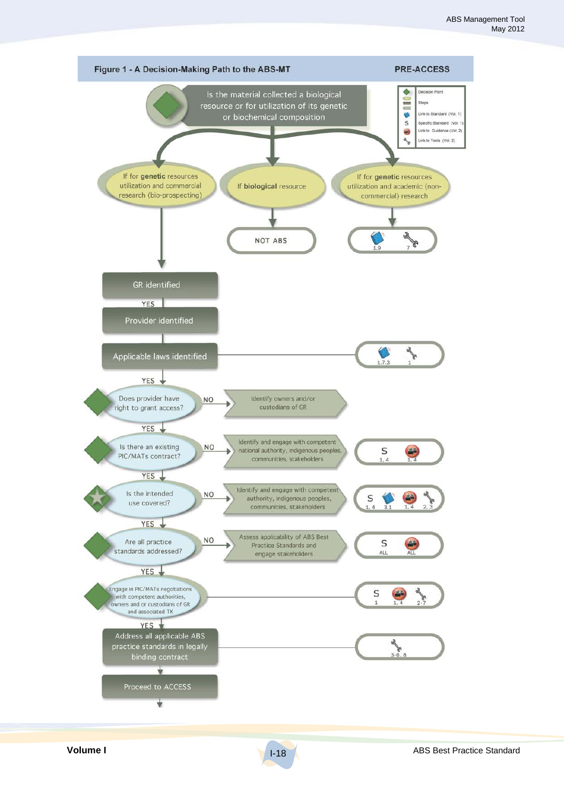

I-18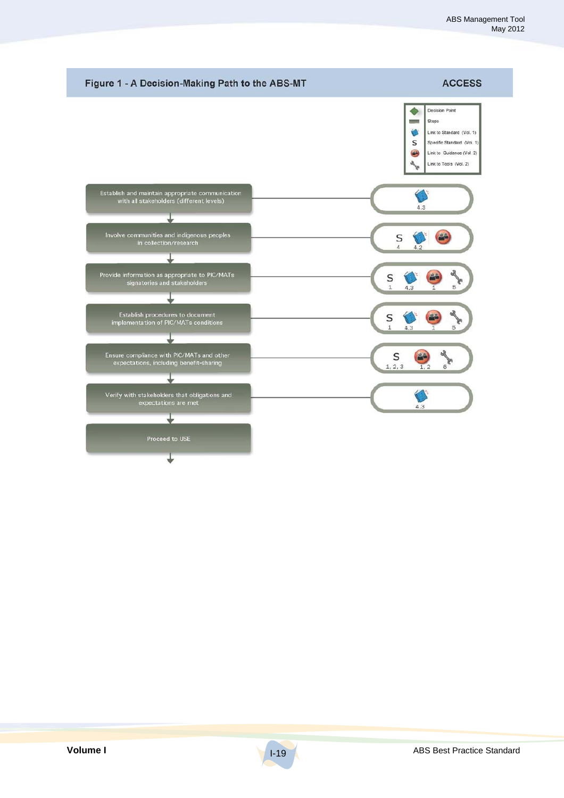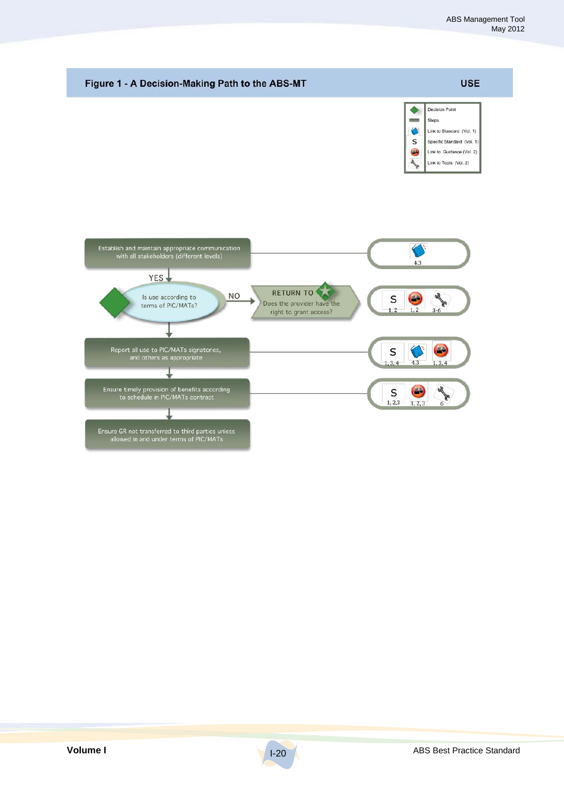

I-20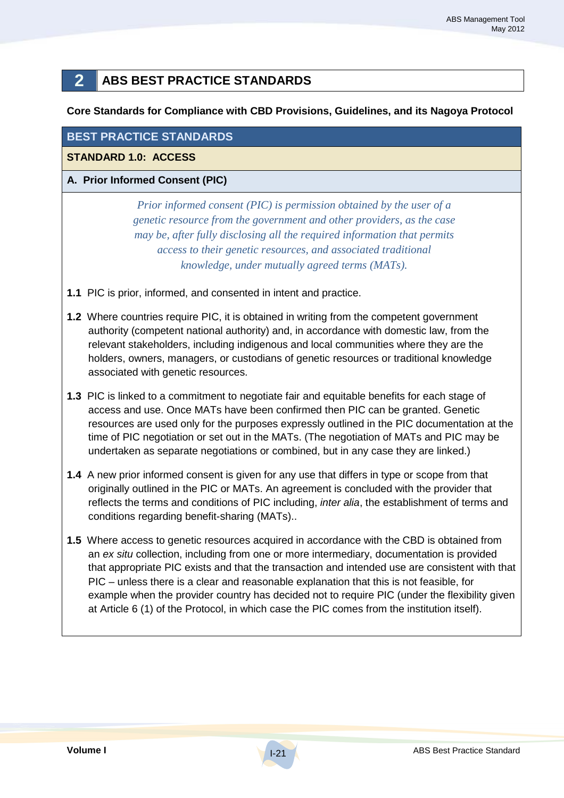# **2 ABS BEST PRACTICE STANDARDS**

#### **Core Standards for Compliance with CBD Provisions, Guidelines, and its Nagoya Protocol**

#### **BEST PRACTICE STANDARDS**

#### **STANDARD 1.0: ACCESS**

#### **A. Prior Informed Consent (PIC)**

*Prior informed consent (PIC) is permission obtained by the user of a genetic resource from the government and other providers, as the case may be, after fully disclosing all the required information that permits access to their genetic resources, and associated traditional knowledge, under mutually agreed terms (MATs).*

- **1.1** PIC is prior, informed, and consented in intent and practice.
- **1.2** Where countries require PIC, it is obtained in writing from the competent government authority (competent national authority) and, in accordance with domestic law, from the relevant stakeholders, including indigenous and local communities where they are the holders, owners, managers, or custodians of genetic resources or traditional knowledge associated with genetic resources.
- **1.3** PIC is linked to a commitment to negotiate fair and equitable benefits for each stage of access and use. Once MATs have been confirmed then PIC can be granted. Genetic resources are used only for the purposes expressly outlined in the PIC documentation at the time of PIC negotiation or set out in the MATs. (The negotiation of MATs and PIC may be undertaken as separate negotiations or combined, but in any case they are linked.)
- **1.4** A new prior informed consent is given for any use that differs in type or scope from that originally outlined in the PIC or MATs. An agreement is concluded with the provider that reflects the terms and conditions of PIC including, *inter alia*, the establishment of terms and conditions regarding benefit-sharing (MATs)..
- **1.5** Where access to genetic resources acquired in accordance with the CBD is obtained from an *ex situ* collection, including from one or more intermediary, documentation is provided that appropriate PIC exists and that the transaction and intended use are consistent with that PIC – unless there is a clear and reasonable explanation that this is not feasible, for example when the provider country has decided not to require PIC (under the flexibility given at Article 6 (1) of the Protocol, in which case the PIC comes from the institution itself).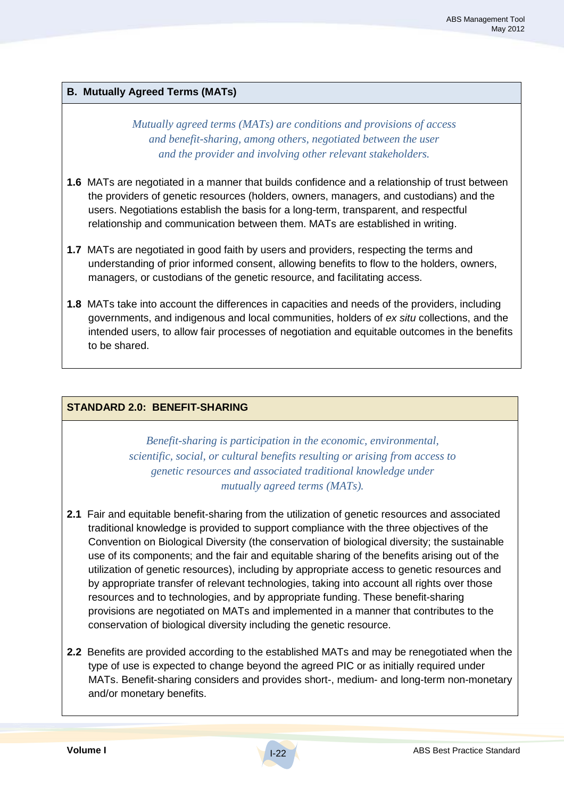#### **B. Mutually Agreed Terms (MATs)**

*Mutually agreed terms (MATs) are conditions and provisions of access and benefit-sharing, among others, negotiated between the user and the provider and involving other relevant stakeholders.*

- **1.6** MATs are negotiated in a manner that builds confidence and a relationship of trust between the providers of genetic resources (holders, owners, managers, and custodians) and the users. Negotiations establish the basis for a long-term, transparent, and respectful relationship and communication between them. MATs are established in writing.
- **1.7** MATs are negotiated in good faith by users and providers, respecting the terms and understanding of prior informed consent, allowing benefits to flow to the holders, owners, managers, or custodians of the genetic resource, and facilitating access.
- **1.8** MATs take into account the differences in capacities and needs of the providers, including governments, and indigenous and local communities, holders of *ex situ* collections, and the intended users, to allow fair processes of negotiation and equitable outcomes in the benefits to be shared.

#### **STANDARD 2.0: BENEFIT-SHARING**

*Benefit-sharing is participation in the economic, environmental, scientific, social, or cultural benefits resulting or arising from access to genetic resources and associated traditional knowledge under mutually agreed terms (MATs).*

- **2.1** Fair and equitable benefit-sharing from the utilization of genetic resources and associated traditional knowledge is provided to support compliance with the three objectives of the Convention on Biological Diversity (the conservation of biological diversity; the sustainable use of its components; and the fair and equitable sharing of the benefits arising out of the utilization of genetic resources), including by appropriate access to genetic resources and by appropriate transfer of relevant technologies, taking into account all rights over those resources and to technologies, and by appropriate funding. These benefit-sharing provisions are negotiated on MATs and implemented in a manner that contributes to the conservation of biological diversity including the genetic resource.
- **2.2** Benefits are provided according to the established MATs and may be renegotiated when the type of use is expected to change beyond the agreed PIC or as initially required under MATs. Benefit-sharing considers and provides short-, medium- and long-term non-monetary and/or monetary benefits.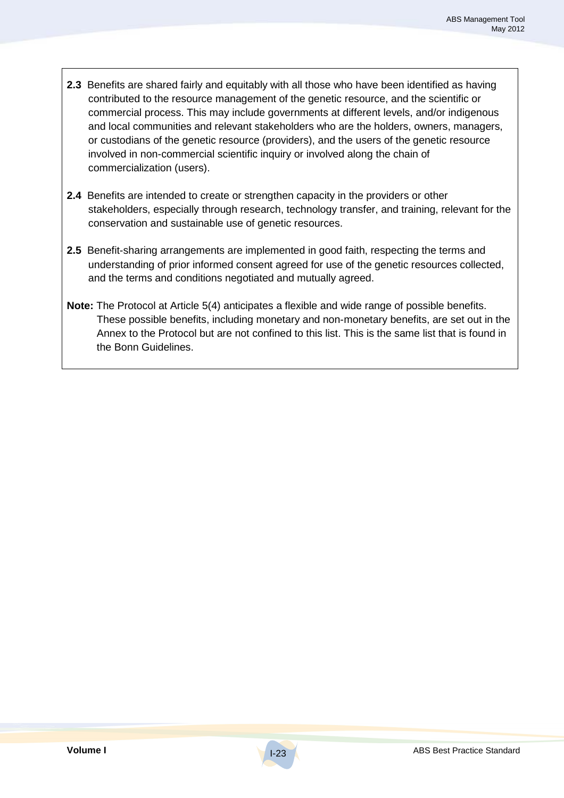- **2.3** Benefits are shared fairly and equitably with all those who have been identified as having contributed to the resource management of the genetic resource, and the scientific or commercial process. This may include governments at different levels, and/or indigenous and local communities and relevant stakeholders who are the holders, owners, managers, or custodians of the genetic resource (providers), and the users of the genetic resource involved in non-commercial scientific inquiry or involved along the chain of commercialization (users).
- **2.4** Benefits are intended to create or strengthen capacity in the providers or other stakeholders, especially through research, technology transfer, and training, relevant for the conservation and sustainable use of genetic resources.
- **2.5** Benefit-sharing arrangements are implemented in good faith, respecting the terms and understanding of prior informed consent agreed for use of the genetic resources collected, and the terms and conditions negotiated and mutually agreed.
- **Note:** The Protocol at Article 5(4) anticipates a flexible and wide range of possible benefits. These possible benefits, including monetary and non-monetary benefits, are set out in the Annex to the Protocol but are not confined to this list. This is the same list that is found in the Bonn Guidelines.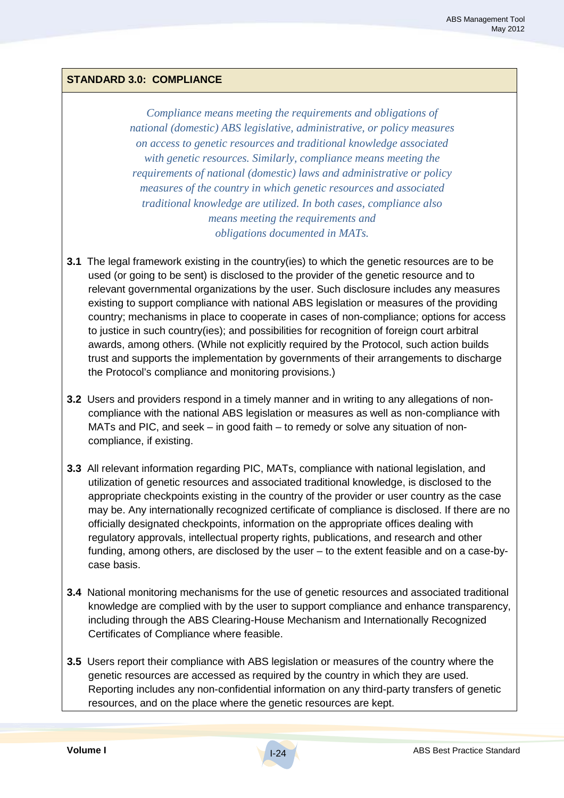## **STANDARD 3.0: COMPLIANCE**

*Compliance means meeting the requirements and obligations of national (domestic) ABS legislative, administrative, or policy measures on access to genetic resources and traditional knowledge associated with genetic resources. Similarly, compliance means meeting the requirements of national (domestic) laws and administrative or policy measures of the country in which genetic resources and associated traditional knowledge are utilized. In both cases, compliance also means meeting the requirements and obligations documented in MATs.*

- **3.1** The legal framework existing in the country(ies) to which the genetic resources are to be used (or going to be sent) is disclosed to the provider of the genetic resource and to relevant governmental organizations by the user. Such disclosure includes any measures existing to support compliance with national ABS legislation or measures of the providing country; mechanisms in place to cooperate in cases of non-compliance; options for access to justice in such country(ies); and possibilities for recognition of foreign court arbitral awards, among others. (While not explicitly required by the Protocol, such action builds trust and supports the implementation by governments of their arrangements to discharge the Protocol's compliance and monitoring provisions.)
- **3.2** Users and providers respond in a timely manner and in writing to any allegations of noncompliance with the national ABS legislation or measures as well as non-compliance with MATs and PIC, and seek – in good faith – to remedy or solve any situation of noncompliance, if existing.
- **3.3** All relevant information regarding PIC, MATs, compliance with national legislation, and utilization of genetic resources and associated traditional knowledge, is disclosed to the appropriate checkpoints existing in the country of the provider or user country as the case may be. Any internationally recognized certificate of compliance is disclosed. If there are no officially designated checkpoints, information on the appropriate offices dealing with regulatory approvals, intellectual property rights, publications, and research and other funding, among others, are disclosed by the user – to the extent feasible and on a case-bycase basis.
- **3.4** National monitoring mechanisms for the use of genetic resources and associated traditional knowledge are complied with by the user to support compliance and enhance transparency, including through the ABS Clearing-House Mechanism and Internationally Recognized Certificates of Compliance where feasible.
- **3.5** Users report their compliance with ABS legislation or measures of the country where the genetic resources are accessed as required by the country in which they are used. Reporting includes any non-confidential information on any third-party transfers of genetic resources, and on the place where the genetic resources are kept.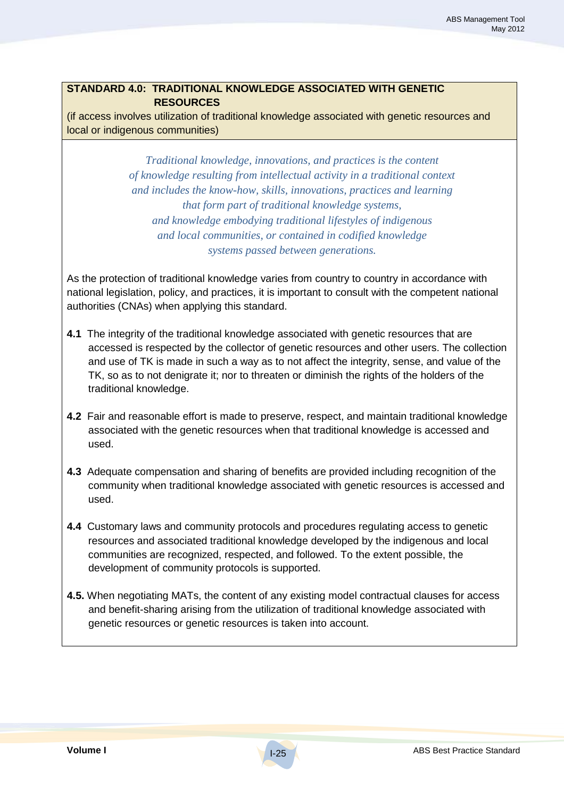## **STANDARD 4.0: TRADITIONAL KNOWLEDGE ASSOCIATED WITH GENETIC RESOURCES**

(if access involves utilization of traditional knowledge associated with genetic resources and local or indigenous communities)

> *Traditional knowledge, innovations, and practices is the content of knowledge resulting from intellectual activity in a traditional context and includes the know-how, skills, innovations, practices and learning that form part of traditional knowledge systems, and knowledge embodying traditional lifestyles of indigenous and local communities, or contained in codified knowledge systems passed between generations.*

As the protection of traditional knowledge varies from country to country in accordance with national legislation, policy, and practices, it is important to consult with the competent national authorities (CNAs) when applying this standard.

- **4.1** The integrity of the traditional knowledge associated with genetic resources that are accessed is respected by the collector of genetic resources and other users. The collection and use of TK is made in such a way as to not affect the integrity, sense, and value of the TK, so as to not denigrate it; nor to threaten or diminish the rights of the holders of the traditional knowledge.
- **4.2** Fair and reasonable effort is made to preserve, respect, and maintain traditional knowledge associated with the genetic resources when that traditional knowledge is accessed and used.
- **4.3** Adequate compensation and sharing of benefits are provided including recognition of the community when traditional knowledge associated with genetic resources is accessed and used.
- **4.4** Customary laws and community protocols and procedures regulating access to genetic resources and associated traditional knowledge developed by the indigenous and local communities are recognized, respected, and followed. To the extent possible, the development of community protocols is supported.
- **4.5.** When negotiating MATs, the content of any existing model contractual clauses for access and benefit-sharing arising from the utilization of traditional knowledge associated with genetic resources or genetic resources is taken into account.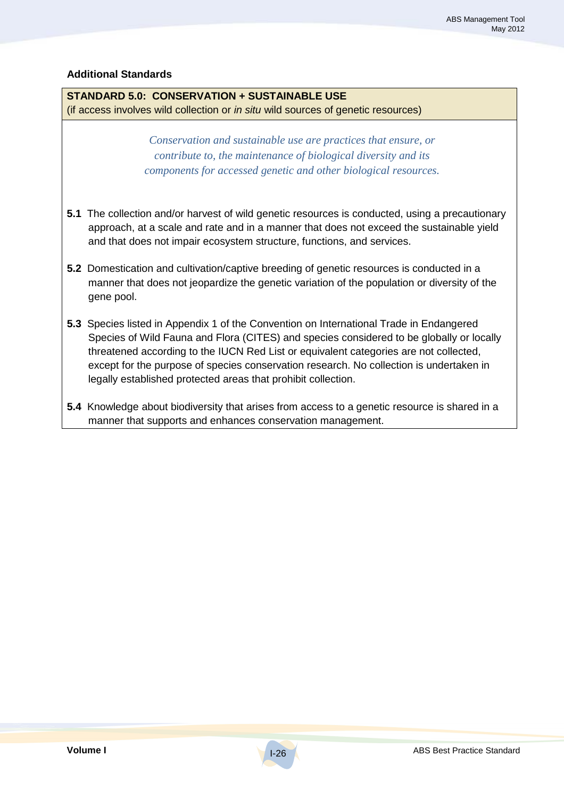#### **Additional Standards**

#### **STANDARD 5.0: CONSERVATION + SUSTAINABLE USE**

(if access involves wild collection or *in situ* wild sources of genetic resources)

*Conservation and sustainable use are practices that ensure, or contribute to, the maintenance of biological diversity and its components for accessed genetic and other biological resources.*

- **5.1** The collection and/or harvest of wild genetic resources is conducted, using a precautionary approach, at a scale and rate and in a manner that does not exceed the sustainable yield and that does not impair ecosystem structure, functions, and services.
- **5.2** Domestication and cultivation/captive breeding of genetic resources is conducted in a manner that does not jeopardize the genetic variation of the population or diversity of the gene pool.
- **5.3** Species listed in Appendix 1 of the Convention on International Trade in Endangered Species of Wild Fauna and Flora (CITES) and species considered to be globally or locally threatened according to the IUCN Red List or equivalent categories are not collected, except for the purpose of species conservation research. No collection is undertaken in legally established protected areas that prohibit collection.
- **5.4** Knowledge about biodiversity that arises from access to a genetic resource is shared in a manner that supports and enhances conservation management.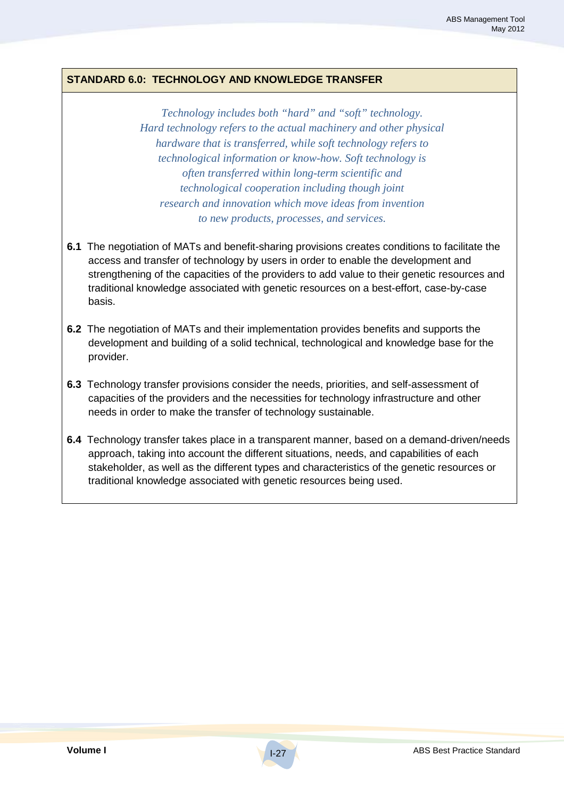#### **STANDARD 6.0: TECHNOLOGY AND KNOWLEDGE TRANSFER**

*Technology includes both "hard" and "soft" technology. Hard technology refers to the actual machinery and other physical hardware that is transferred, while soft technology refers to technological information or know-how. Soft technology is often transferred within long-term scientific and technological cooperation including though joint research and innovation which move ideas from invention to new products, processes, and services.*

- **6.1** The negotiation of MATs and benefit-sharing provisions creates conditions to facilitate the access and transfer of technology by users in order to enable the development and strengthening of the capacities of the providers to add value to their genetic resources and traditional knowledge associated with genetic resources on a best-effort, case-by-case basis.
- **6.2** The negotiation of MATs and their implementation provides benefits and supports the development and building of a solid technical, technological and knowledge base for the provider.
- **6.3** Technology transfer provisions consider the needs, priorities, and self-assessment of capacities of the providers and the necessities for technology infrastructure and other needs in order to make the transfer of technology sustainable.
- **6.4** Technology transfer takes place in a transparent manner, based on a demand-driven/needs approach, taking into account the different situations, needs, and capabilities of each stakeholder, as well as the different types and characteristics of the genetic resources or traditional knowledge associated with genetic resources being used.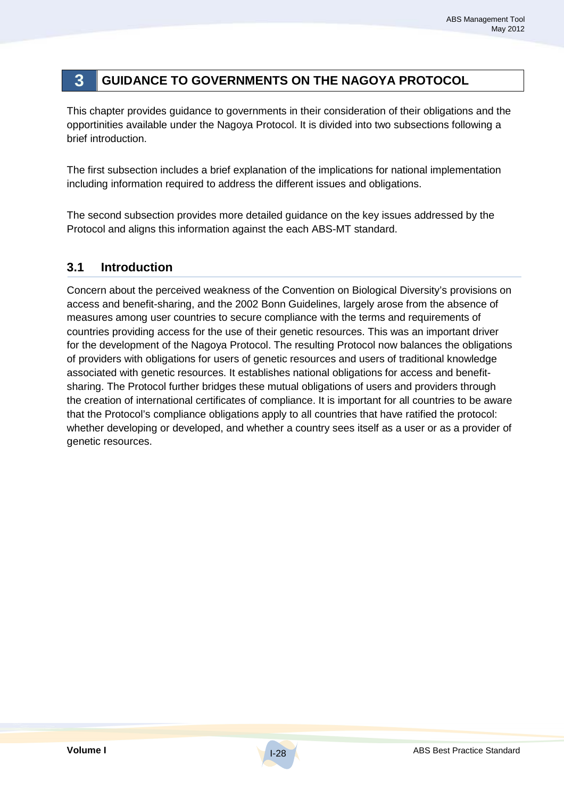# **3 GUIDANCE TO GOVERNMENTS ON THE NAGOYA PROTOCOL**

This chapter provides guidance to governments in their consideration of their obligations and the opportinities available under the Nagoya Protocol. It is divided into two subsections following a brief introduction.

The first subsection includes a brief explanation of the implications for national implementation including information required to address the different issues and obligations.

The second subsection provides more detailed guidance on the key issues addressed by the Protocol and aligns this information against the each ABS-MT standard.

## **3.1 Introduction**

Concern about the perceived weakness of the Convention on Biological Diversity's provisions on access and benefit-sharing, and the 2002 Bonn Guidelines, largely arose from the absence of measures among user countries to secure compliance with the terms and requirements of countries providing access for the use of their genetic resources. This was an important driver for the development of the Nagoya Protocol. The resulting Protocol now balances the obligations of providers with obligations for users of genetic resources and users of traditional knowledge associated with genetic resources. It establishes national obligations for access and benefitsharing. The Protocol further bridges these mutual obligations of users and providers through the creation of international certificates of compliance. It is important for all countries to be aware that the Protocol's compliance obligations apply to all countries that have ratified the protocol: whether developing or developed, and whether a country sees itself as a user or as a provider of genetic resources.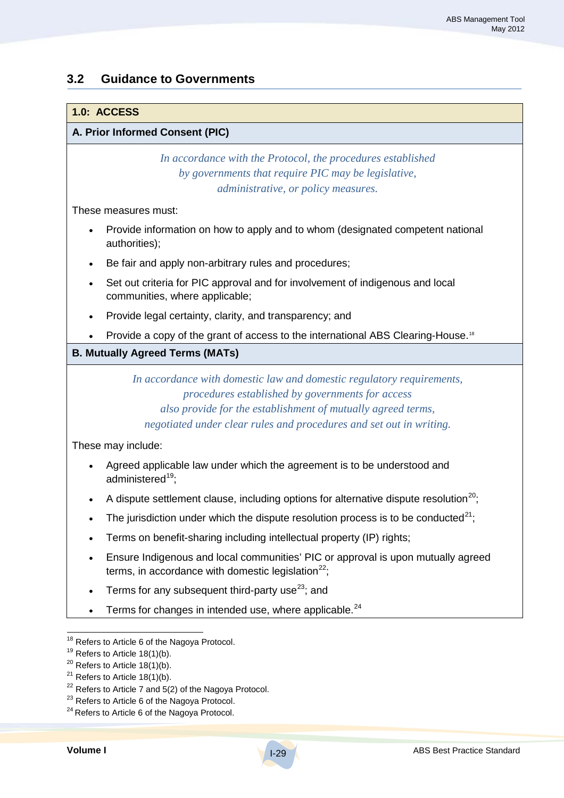## **3.2 Guidance to Governments**

#### **1.0: ACCESS**

#### **A. Prior Informed Consent (PIC)**

*In accordance with the Protocol, the procedures established by governments that require PIC may be legislative, administrative, or policy measures.*

These measures must:

- Provide information on how to apply and to whom (designated competent national authorities);
- Be fair and apply non-arbitrary rules and procedures;
- Set out criteria for PIC approval and for involvement of indigenous and local communities, where applicable;
- Provide legal certainty, clarity, and transparency; and
- Provide a copy of the grant of access to the international ABS Clearing-House.<sup>18</sup>

#### **B. Mutually Agreed Terms (MATs)**

*In accordance with domestic law and domestic regulatory requirements, procedures established by governments for access also provide for the establishment of mutually agreed terms, negotiated under clear rules and procedures and set out in writing.*

These may include:

- Agreed applicable law under which the agreement is to be understood and administered<sup>19</sup>;
- A dispute settlement clause, including options for alternative dispute resolution<sup>20</sup>;
- The jurisdiction under which the dispute resolution process is to be conducted<sup>21</sup>;
- Terms on benefit-sharing including intellectual property (IP) rights;
- Ensure Indigenous and local communities' PIC or approval is upon mutually agreed terms, in accordance with domestic legislation $^{22}$ ;
- Terms for any subsequent third-party use<sup>23</sup>; and
- $\bullet$  Terms for changes in intended use, where applicable.<sup>24</sup>

<sup>&</sup>lt;sup>18</sup> Refers to Article 6 of the Nagoya Protocol.

 $19$  Refers to Article 18(1)(b).

 $20$  Refers to Article 18(1)(b).

 $21$  Refers to Article 18(1)(b).

 $22$  Refers to Article 7 and 5(2) of the Nagoya Protocol.

<sup>&</sup>lt;sup>23</sup> Refers to Article 6 of the Nagoya Protocol.

<sup>&</sup>lt;sup>24</sup> Refers to Article 6 of the Nagoya Protocol.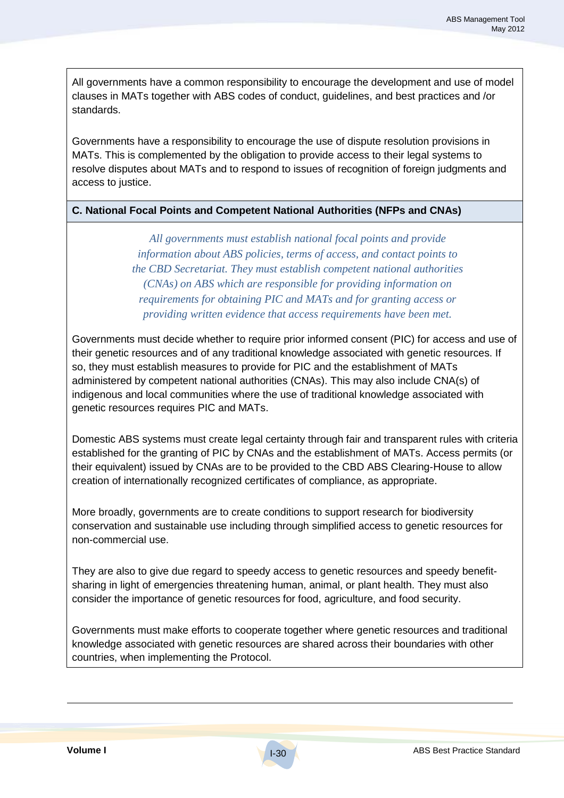All governments have a common responsibility to encourage the development and use of model clauses in MATs together with ABS codes of conduct, guidelines, and best practices and /or standards.

Governments have a responsibility to encourage the use of dispute resolution provisions in MATs. This is complemented by the obligation to provide access to their legal systems to resolve disputes about MATs and to respond to issues of recognition of foreign judgments and access to justice.

#### **C. National Focal Points and Competent National Authorities (NFPs and CNAs)**

*All governments must establish national focal points and provide information about ABS policies, terms of access, and contact points to the CBD Secretariat. They must establish competent national authorities (CNAs) on ABS which are responsible for providing information on requirements for obtaining PIC and MATs and for granting access or providing written evidence that access requirements have been met.*

Governments must decide whether to require prior informed consent (PIC) for access and use of their genetic resources and of any traditional knowledge associated with genetic resources. If so, they must establish measures to provide for PIC and the establishment of MATs administered by competent national authorities (CNAs). This may also include CNA(s) of indigenous and local communities where the use of traditional knowledge associated with genetic resources requires PIC and MATs.

Domestic ABS systems must create legal certainty through fair and transparent rules with criteria established for the granting of PIC by CNAs and the establishment of MATs. Access permits (or their equivalent) issued by CNAs are to be provided to the CBD ABS Clearing-House to allow creation of internationally recognized certificates of compliance, as appropriate.

More broadly, governments are to create conditions to support research for biodiversity conservation and sustainable use including through simplified access to genetic resources for non-commercial use.

They are also to give due regard to speedy access to genetic resources and speedy benefitsharing in light of emergencies threatening human, animal, or plant health. They must also consider the importance of genetic resources for food, agriculture, and food security.

Governments must make efforts to cooperate together where genetic resources and traditional knowledge associated with genetic resources are shared across their boundaries with other countries, when implementing the Protocol.

 $\overline{a}$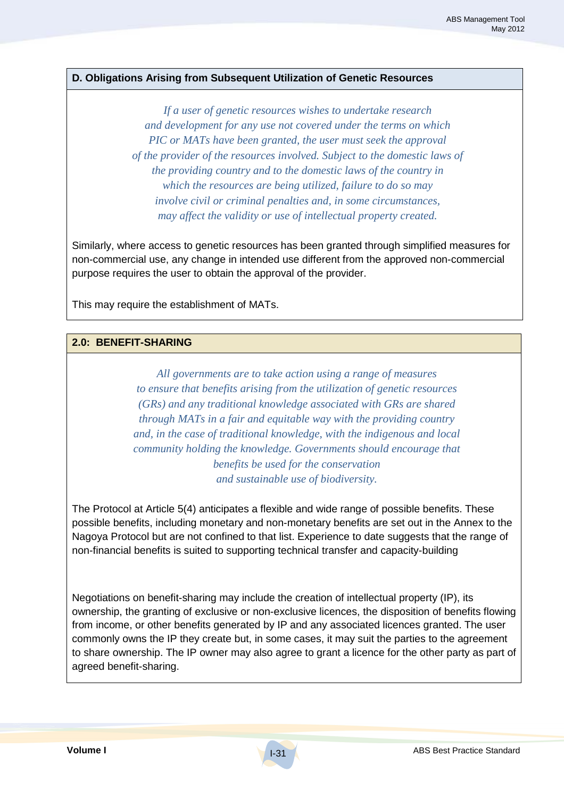#### **D. Obligations Arising from Subsequent Utilization of Genetic Resources**

*If a user of genetic resources wishes to undertake research and development for any use not covered under the terms on which PIC or MATs have been granted, the user must seek the approval of the provider of the resources involved. Subject to the domestic laws of the providing country and to the domestic laws of the country in which the resources are being utilized, failure to do so may involve civil or criminal penalties and, in some circumstances, may affect the validity or use of intellectual property created.*

Similarly, where access to genetic resources has been granted through simplified measures for non-commercial use, any change in intended use different from the approved non-commercial purpose requires the user to obtain the approval of the provider.

This may require the establishment of MATs.

#### **2.0: BENEFIT-SHARING**

*All governments are to take action using a range of measures to ensure that benefits arising from the utilization of genetic resources (GRs) and any traditional knowledge associated with GRs are shared through MATs in a fair and equitable way with the providing country and, in the case of traditional knowledge, with the indigenous and local community holding the knowledge. Governments should encourage that benefits be used for the conservation and sustainable use of biodiversity.*

The Protocol at Article 5(4) anticipates a flexible and wide range of possible benefits. These possible benefits, including monetary and non-monetary benefits are set out in the Annex to the Nagoya Protocol but are not confined to that list. Experience to date suggests that the range of non-financial benefits is suited to supporting technical transfer and capacity-building

Negotiations on benefit-sharing may include the creation of intellectual property (IP), its ownership, the granting of exclusive or non-exclusive licences, the disposition of benefits flowing from income, or other benefits generated by IP and any associated licences granted. The user commonly owns the IP they create but, in some cases, it may suit the parties to the agreement to share ownership. The IP owner may also agree to grant a licence for the other party as part of agreed benefit-sharing.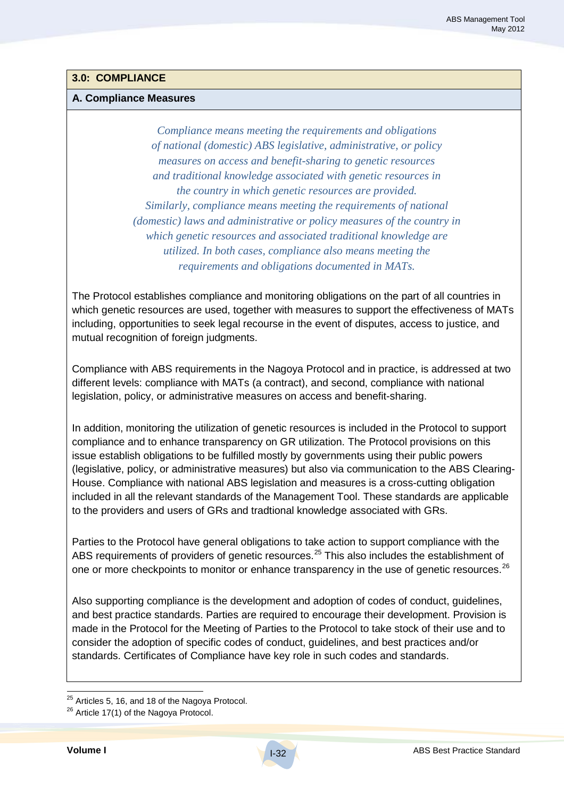### **3.0: COMPLIANCE**

#### **A. Compliance Measures**

*Compliance means meeting the requirements and obligations of national (domestic) ABS legislative, administrative, or policy measures on access and benefit-sharing to genetic resources and traditional knowledge associated with genetic resources in the country in which genetic resources are provided. Similarly, compliance means meeting the requirements of national (domestic) laws and administrative or policy measures of the country in which genetic resources and associated traditional knowledge are utilized. In both cases, compliance also means meeting the requirements and obligations documented in MATs.*

The Protocol establishes compliance and monitoring obligations on the part of all countries in which genetic resources are used, together with measures to support the effectiveness of MATs including, opportunities to seek legal recourse in the event of disputes, access to justice, and mutual recognition of foreign judgments.

Compliance with ABS requirements in the Nagoya Protocol and in practice, is addressed at two different levels: compliance with MATs (a contract), and second, compliance with national legislation, policy, or administrative measures on access and benefit-sharing.

In addition, monitoring the utilization of genetic resources is included in the Protocol to support compliance and to enhance transparency on GR utilization. The Protocol provisions on this issue establish obligations to be fulfilled mostly by governments using their public powers (legislative, policy, or administrative measures) but also via communication to the ABS Clearing-House. Compliance with national ABS legislation and measures is a cross-cutting obligation included in all the relevant standards of the Management Tool. These standards are applicable to the providers and users of GRs and tradtional knowledge associated with GRs.

Parties to the Protocol have general obligations to take action to support compliance with the ABS requirements of providers of genetic resources.<sup>25</sup> This also includes the establishment of one or more checkpoints to monitor or enhance transparency in the use of genetic resources.<sup>26</sup>

Also supporting compliance is the development and adoption of codes of conduct, guidelines, and best practice standards. Parties are required to encourage their development. Provision is made in the Protocol for the Meeting of Parties to the Protocol to take stock of their use and to consider the adoption of specific codes of conduct, guidelines, and best practices and/or standards. Certificates of Compliance have key role in such codes and standards.

 $25$  Articles 5, 16, and 18 of the Nagoya Protocol.

<sup>&</sup>lt;sup>26</sup> Article 17(1) of the Nagoya Protocol.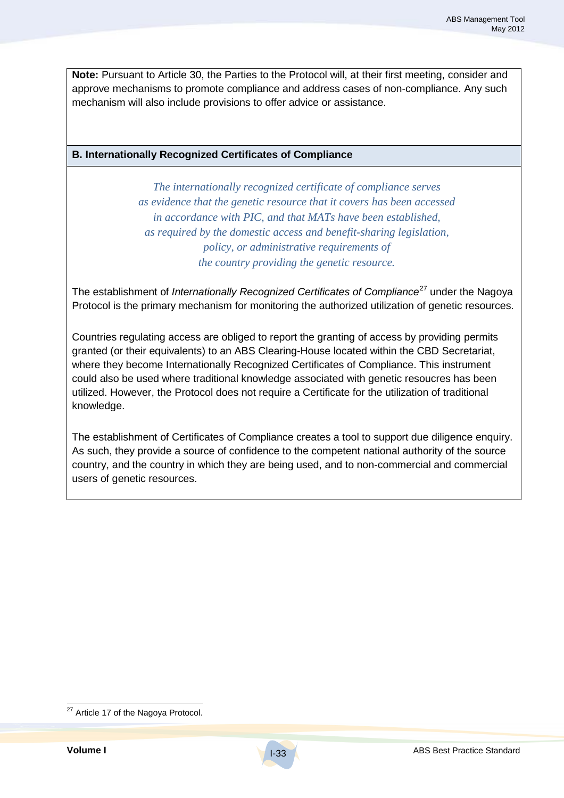**Note:** Pursuant to Article 30, the Parties to the Protocol will, at their first meeting, consider and approve mechanisms to promote compliance and address cases of non-compliance. Any such mechanism will also include provisions to offer advice or assistance.

#### **B. Internationally Recognized Certificates of Compliance**

*The internationally recognized certificate of compliance serves as evidence that the genetic resource that it covers has been accessed in accordance with PIC, and that MATs have been established, as required by the domestic access and benefit-sharing legislation, policy, or administrative requirements of the country providing the genetic resource.*

The establishment of *Internationally Recognized Certificates of Compliance<sup>27</sup> under the Nagoya* Protocol is the primary mechanism for monitoring the authorized utilization of genetic resources.

Countries regulating access are obliged to report the granting of access by providing permits granted (or their equivalents) to an ABS Clearing-House located within the CBD Secretariat, where they become Internationally Recognized Certificates of Compliance. This instrument could also be used where traditional knowledge associated with genetic resoucres has been utilized. However, the Protocol does not require a Certificate for the utilization of traditional knowledge.

The establishment of Certificates of Compliance creates a tool to support due diligence enquiry. As such, they provide a source of confidence to the competent national authority of the source country, and the country in which they are being used, and to non-commercial and commercial users of genetic resources.

<sup>&</sup>lt;sup>27</sup> Article 17 of the Nagoya Protocol.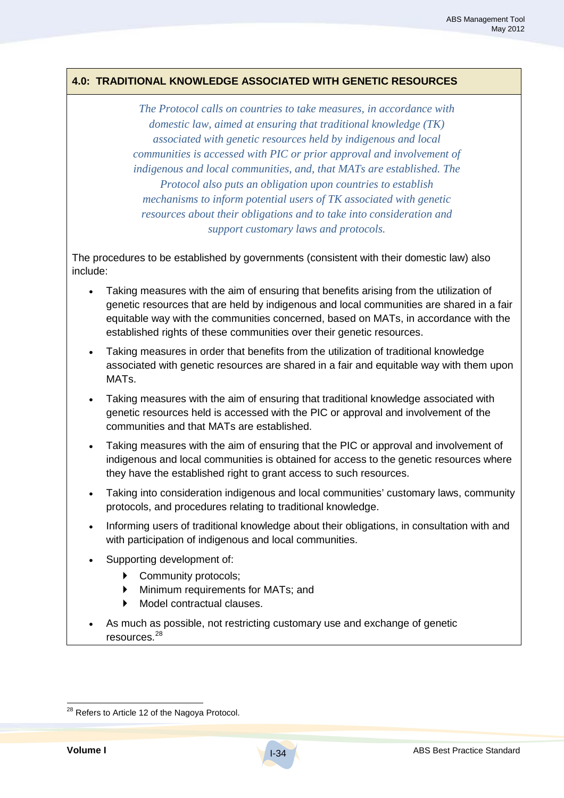### **4.0: TRADITIONAL KNOWLEDGE ASSOCIATED WITH GENETIC RESOURCES**

*The Protocol calls on countries to take measures, in accordance with domestic law, aimed at ensuring that traditional knowledge (TK) associated with genetic resources held by indigenous and local communities is accessed with PIC or prior approval and involvement of indigenous and local communities, and, that MATs are established. The Protocol also puts an obligation upon countries to establish mechanisms to inform potential users of TK associated with genetic resources about their obligations and to take into consideration and support customary laws and protocols.*

The procedures to be established by governments (consistent with their domestic law) also include:

- Taking measures with the aim of ensuring that benefits arising from the utilization of genetic resources that are held by indigenous and local communities are shared in a fair equitable way with the communities concerned, based on MATs, in accordance with the established rights of these communities over their genetic resources.
- Taking measures in order that benefits from the utilization of traditional knowledge associated with genetic resources are shared in a fair and equitable way with them upon MATs.
- Taking measures with the aim of ensuring that traditional knowledge associated with genetic resources held is accessed with the PIC or approval and involvement of the communities and that MATs are established.
- Taking measures with the aim of ensuring that the PIC or approval and involvement of indigenous and local communities is obtained for access to the genetic resources where they have the established right to grant access to such resources.
- Taking into consideration indigenous and local communities' customary laws, community protocols, and procedures relating to traditional knowledge.
- Informing users of traditional knowledge about their obligations, in consultation with and with participation of indigenous and local communities.
- Supporting development of:
	- **Community protocols;**
	- **Minimum requirements for MATs; and**
	- Model contractual clauses.
- As much as possible, not restricting customary use and exchange of genetic resources.<sup>28</sup>

<sup>&</sup>lt;sup>28</sup> Refers to Article 12 of the Nagoya Protocol.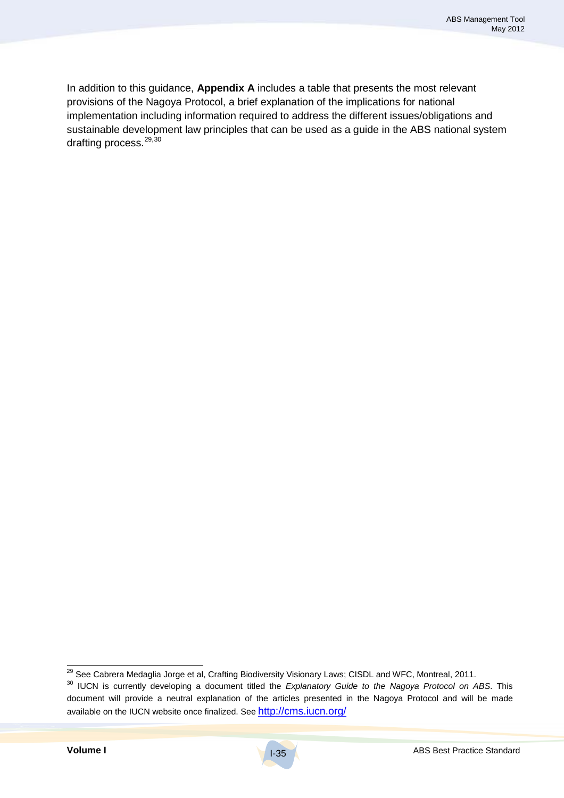In addition to this guidance, **Appendix A** includes a table that presents the most relevant provisions of the Nagoya Protocol, a brief explanation of the implications for national implementation including information required to address the different issues/obligations and sustainable development law principles that can be used as a guide in the ABS national system drafting process.<sup>29,30</sup>

<sup>&</sup>lt;sup>29</sup> See Cabrera Medaglia Jorge et al, Crafting Biodiversity Visionary Laws; CISDL and WFC, Montreal, 2011.<br><sup>30</sup> IUCN is currently developing a document titled the *Explanatory Guide to the Nagoya Protocol on ABS*. This document will provide a neutral explanation of the articles presented in the Nagoya Protocol and will be made available on the IUCN website once finalized. See http://cms.iucn.org/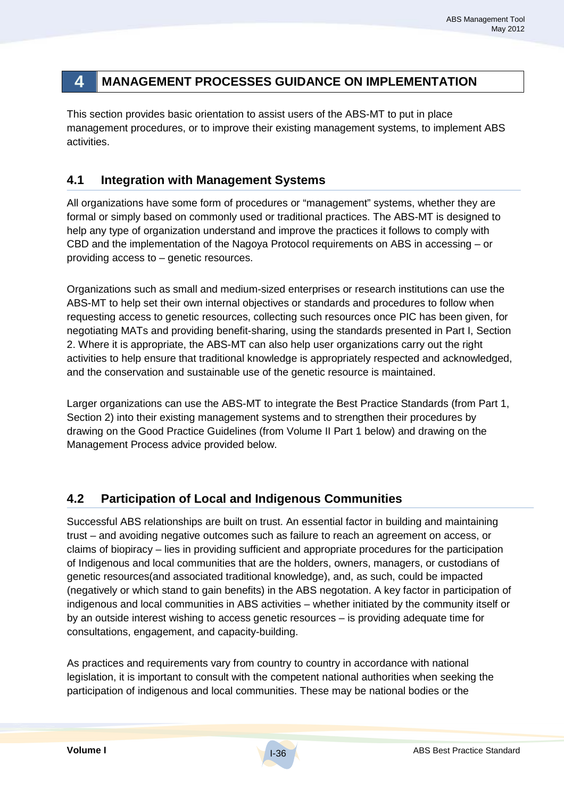## **4 MANAGEMENT PROCESSES GUIDANCE ON IMPLEMENTATION**

This section provides basic orientation to assist users of the ABS-MT to put in place management procedures, or to improve their existing management systems, to implement ABS activities.

### **4.1 Integration with Management Systems**

All organizations have some form of procedures or "management" systems, whether they are formal or simply based on commonly used or traditional practices. The ABS-MT is designed to help any type of organization understand and improve the practices it follows to comply with CBD and the implementation of the Nagoya Protocol requirements on ABS in accessing – or providing access to – genetic resources.

Organizations such as small and medium-sized enterprises or research institutions can use the ABS-MT to help set their own internal objectives or standards and procedures to follow when requesting access to genetic resources, collecting such resources once PIC has been given, for negotiating MATs and providing benefit-sharing, using the standards presented in Part I, Section 2. Where it is appropriate, the ABS-MT can also help user organizations carry out the right activities to help ensure that traditional knowledge is appropriately respected and acknowledged, and the conservation and sustainable use of the genetic resource is maintained.

Larger organizations can use the ABS-MT to integrate the Best Practice Standards (from Part 1, Section 2) into their existing management systems and to strengthen their procedures by drawing on the Good Practice Guidelines (from Volume II Part 1 below) and drawing on the Management Process advice provided below.

### **4.2 Participation of Local and Indigenous Communities**

Successful ABS relationships are built on trust. An essential factor in building and maintaining trust – and avoiding negative outcomes such as failure to reach an agreement on access, or claims of biopiracy – lies in providing sufficient and appropriate procedures for the participation of Indigenous and local communities that are the holders, owners, managers, or custodians of genetic resources(and associated traditional knowledge), and, as such, could be impacted (negatively or which stand to gain benefits) in the ABS negotation. A key factor in participation of indigenous and local communities in ABS activities – whether initiated by the community itself or by an outside interest wishing to access genetic resources – is providing adequate time for consultations, engagement, and capacity-building.

As practices and requirements vary from country to country in accordance with national legislation, it is important to consult with the competent national authorities when seeking the participation of indigenous and local communities. These may be national bodies or the

I-36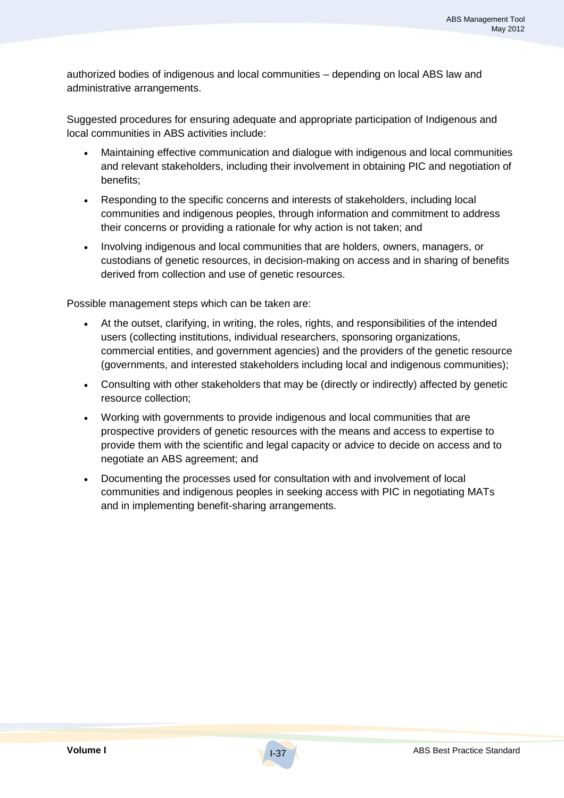authorized bodies of indigenous and local communities – depending on local ABS law and administrative arrangements.

Suggested procedures for ensuring adequate and appropriate participation of Indigenous and local communities in ABS activities include:

- Maintaining effective communication and dialogue with indigenous and local communities and relevant stakeholders, including their involvement in obtaining PIC and negotiation of benefits;
- Responding to the specific concerns and interests of stakeholders, including local communities and indigenous peoples, through information and commitment to address their concerns or providing a rationale for why action is not taken; and
- Involving indigenous and local communities that are holders, owners, managers, or custodians of genetic resources, in decision-making on access and in sharing of benefits derived from collection and use of genetic resources.

Possible management steps which can be taken are:

- At the outset, clarifying, in writing, the roles, rights, and responsibilities of the intended users (collecting institutions, individual researchers, sponsoring organizations, commercial entities, and government agencies) and the providers of the genetic resource (governments, and interested stakeholders including local and indigenous communities);
- Consulting with other stakeholders that may be (directly or indirectly) affected by genetic resource collection;
- Working with governments to provide indigenous and local communities that are prospective providers of genetic resources with the means and access to expertise to provide them with the scientific and legal capacity or advice to decide on access and to negotiate an ABS agreement; and
- Documenting the processes used for consultation with and involvement of local communities and indigenous peoples in seeking access with PIC in negotiating MATs and in implementing benefit-sharing arrangements.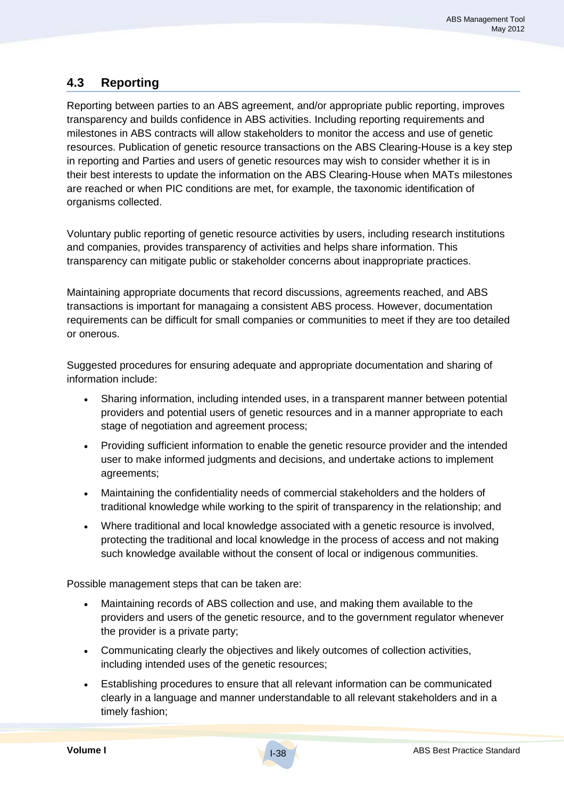### **4.3 Reporting**

Reporting between parties to an ABS agreement, and/or appropriate public reporting, improves transparency and builds confidence in ABS activities. Including reporting requirements and milestones in ABS contracts will allow stakeholders to monitor the access and use of genetic resources. Publication of genetic resource transactions on the ABS Clearing-House is a key step in reporting and Parties and users of genetic resources may wish to consider whether it is in their best interests to update the information on the ABS Clearing-House when MATs milestones are reached or when PIC conditions are met, for example, the taxonomic identification of organisms collected.

Voluntary public reporting of genetic resource activities by users, including research institutions and companies, provides transparency of activities and helps share information. This transparency can mitigate public or stakeholder concerns about inappropriate practices.

Maintaining appropriate documents that record discussions, agreements reached, and ABS transactions is important for managaing a consistent ABS process. However, documentation requirements can be difficult for small companies or communities to meet if they are too detailed or onerous.

Suggested procedures for ensuring adequate and appropriate documentation and sharing of information include:

- Sharing information, including intended uses, in a transparent manner between potential providers and potential users of genetic resources and in a manner appropriate to each stage of negotiation and agreement process;
- Providing sufficient information to enable the genetic resource provider and the intended user to make informed judgments and decisions, and undertake actions to implement agreements;
- Maintaining the confidentiality needs of commercial stakeholders and the holders of traditional knowledge while working to the spirit of transparency in the relationship; and
- Where traditional and local knowledge associated with a genetic resource is involved, protecting the traditional and local knowledge in the process of access and not making such knowledge available without the consent of local or indigenous communities.

Possible management steps that can be taken are:

- Maintaining records of ABS collection and use, and making them available to the providers and users of the genetic resource, and to the government regulator whenever the provider is a private party;
- Communicating clearly the objectives and likely outcomes of collection activities, including intended uses of the genetic resources;
- Establishing procedures to ensure that all relevant information can be communicated clearly in a language and manner understandable to all relevant stakeholders and in a timely fashion;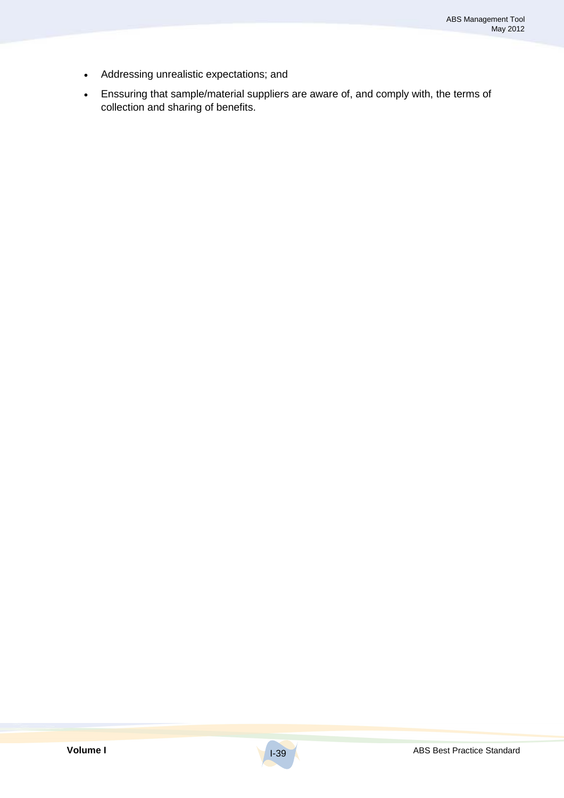- Addressing unrealistic expectations; and
- Enssuring that sample/material suppliers are aware of, and comply with, the terms of collection and sharing of benefits.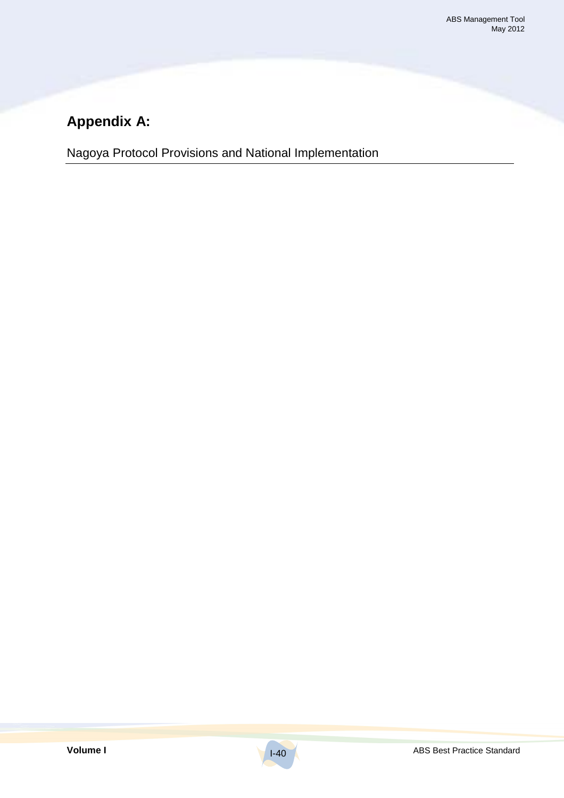# **Appendix A:**

Nagoya Protocol Provisions and National Implementation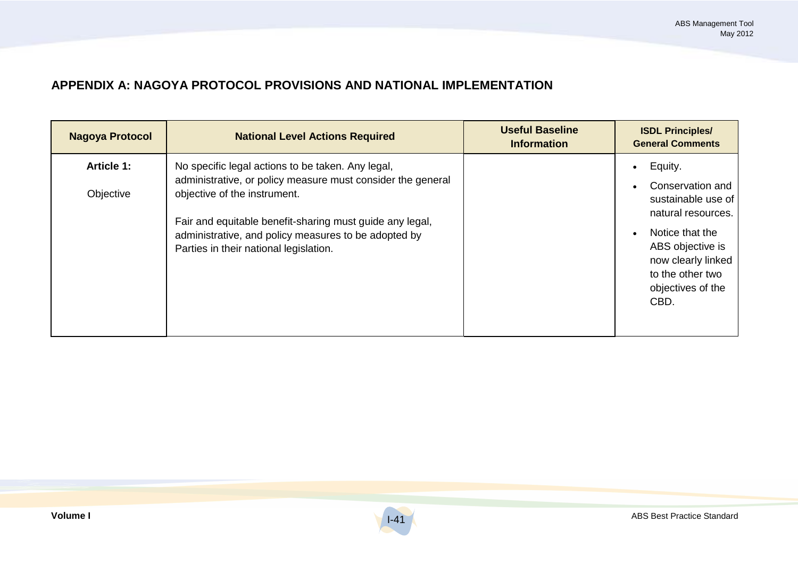### **APPENDIX A: NAGOYA PROTOCOL PROVISIONS AND NATIONAL IMPLEMENTATION**

| <b>Nagoya Protocol</b>         | <b>National Level Actions Required</b>                                                                                                                                                                                                                                                                         | <b>Useful Baseline</b><br><b>Information</b> | <b>ISDL Principles/</b><br><b>General Comments</b>                                                                                                                                                 |
|--------------------------------|----------------------------------------------------------------------------------------------------------------------------------------------------------------------------------------------------------------------------------------------------------------------------------------------------------------|----------------------------------------------|----------------------------------------------------------------------------------------------------------------------------------------------------------------------------------------------------|
| <b>Article 1:</b><br>Objective | No specific legal actions to be taken. Any legal,<br>administrative, or policy measure must consider the general<br>objective of the instrument.<br>Fair and equitable benefit-sharing must guide any legal,<br>administrative, and policy measures to be adopted by<br>Parties in their national legislation. |                                              | Equity.<br>$\bullet$<br>Conservation and<br>sustainable use of<br>natural resources.<br>Notice that the<br>ABS objective is<br>now clearly linked<br>to the other two<br>objectives of the<br>CBD. |

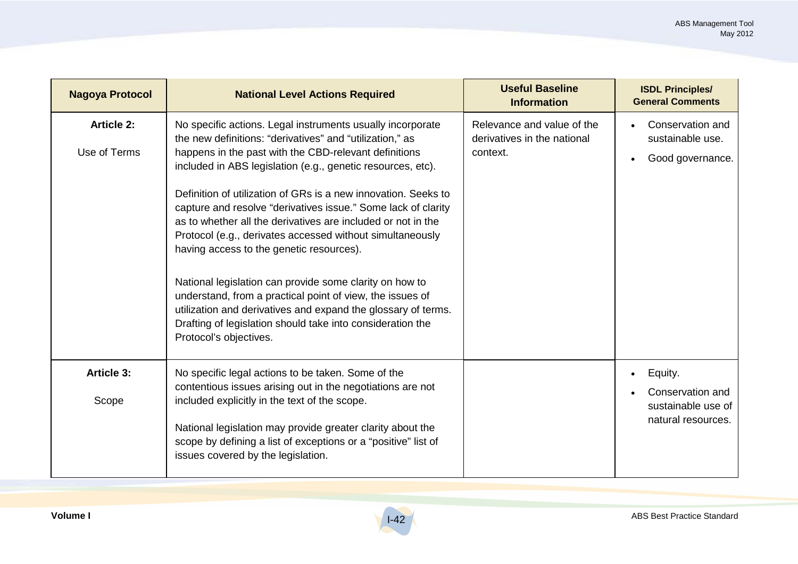| <b>Nagoya Protocol</b>            | <b>National Level Actions Required</b>                                                                                                                                                                                                                                                                                                                                                                                                                                                                                                                                                                                                                                                                                                                                                                                                      | <b>Useful Baseline</b><br><b>Information</b>                          | <b>ISDL Principles/</b><br><b>General Comments</b>                                   |
|-----------------------------------|---------------------------------------------------------------------------------------------------------------------------------------------------------------------------------------------------------------------------------------------------------------------------------------------------------------------------------------------------------------------------------------------------------------------------------------------------------------------------------------------------------------------------------------------------------------------------------------------------------------------------------------------------------------------------------------------------------------------------------------------------------------------------------------------------------------------------------------------|-----------------------------------------------------------------------|--------------------------------------------------------------------------------------|
| <b>Article 2:</b><br>Use of Terms | No specific actions. Legal instruments usually incorporate<br>the new definitions: "derivatives" and "utilization," as<br>happens in the past with the CBD-relevant definitions<br>included in ABS legislation (e.g., genetic resources, etc).<br>Definition of utilization of GRs is a new innovation. Seeks to<br>capture and resolve "derivatives issue." Some lack of clarity<br>as to whether all the derivatives are included or not in the<br>Protocol (e.g., derivates accessed without simultaneously<br>having access to the genetic resources).<br>National legislation can provide some clarity on how to<br>understand, from a practical point of view, the issues of<br>utilization and derivatives and expand the glossary of terms.<br>Drafting of legislation should take into consideration the<br>Protocol's objectives. | Relevance and value of the<br>derivatives in the national<br>context. | Conservation and<br>sustainable use.<br>Good governance.                             |
| <b>Article 3:</b><br>Scope        | No specific legal actions to be taken. Some of the<br>contentious issues arising out in the negotiations are not<br>included explicitly in the text of the scope.<br>National legislation may provide greater clarity about the<br>scope by defining a list of exceptions or a "positive" list of<br>issues covered by the legislation.                                                                                                                                                                                                                                                                                                                                                                                                                                                                                                     |                                                                       | Equity.<br>$\bullet$<br>Conservation and<br>sustainable use of<br>natural resources. |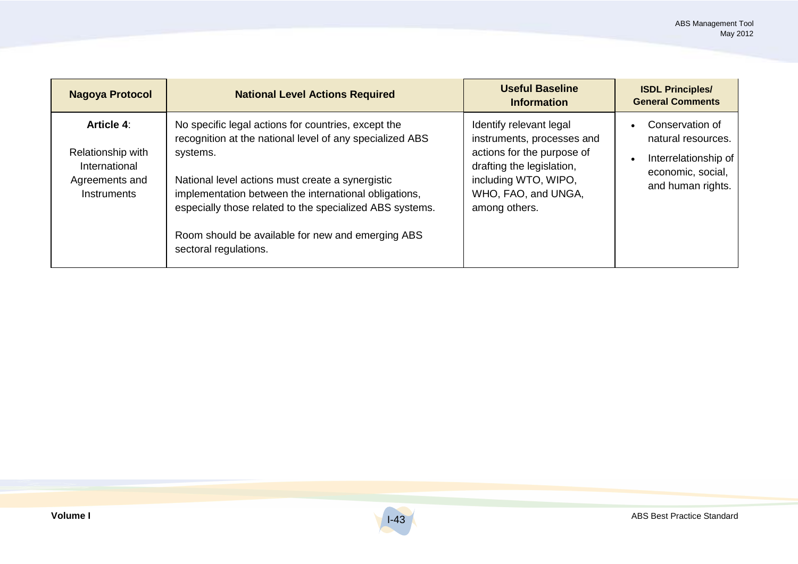| <b>Nagoya Protocol</b>                                                                   | <b>National Level Actions Required</b>                                                                                                                                                                                                                                                                                                                                             | <b>Useful Baseline</b><br><b>Information</b>                                                                                                                                     | <b>ISDL Principles/</b><br><b>General Comments</b>                                                      |
|------------------------------------------------------------------------------------------|------------------------------------------------------------------------------------------------------------------------------------------------------------------------------------------------------------------------------------------------------------------------------------------------------------------------------------------------------------------------------------|----------------------------------------------------------------------------------------------------------------------------------------------------------------------------------|---------------------------------------------------------------------------------------------------------|
| <b>Article 4:</b><br>Relationship with<br>International<br>Agreements and<br>Instruments | No specific legal actions for countries, except the<br>recognition at the national level of any specialized ABS<br>systems.<br>National level actions must create a synergistic<br>implementation between the international obligations,<br>especially those related to the specialized ABS systems.<br>Room should be available for new and emerging ABS<br>sectoral regulations. | Identify relevant legal<br>instruments, processes and<br>actions for the purpose of<br>drafting the legislation,<br>including WTO, WIPO,<br>WHO, FAO, and UNGA,<br>among others. | Conservation of<br>natural resources.<br>Interrelationship of<br>economic, social,<br>and human rights. |

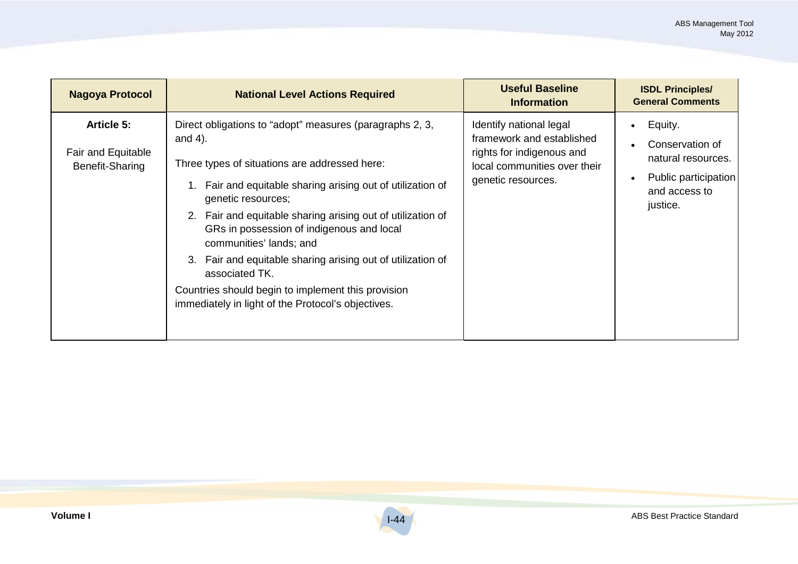| <b>Nagoya Protocol</b>                                     | <b>National Level Actions Required</b>                                                                                                                                                                                                                                                                                                                                                                                                                                                                                                           | <b>Useful Baseline</b><br><b>Information</b>                                                                                            | <b>ISDL Principles/</b><br><b>General Comments</b>                                                    |
|------------------------------------------------------------|--------------------------------------------------------------------------------------------------------------------------------------------------------------------------------------------------------------------------------------------------------------------------------------------------------------------------------------------------------------------------------------------------------------------------------------------------------------------------------------------------------------------------------------------------|-----------------------------------------------------------------------------------------------------------------------------------------|-------------------------------------------------------------------------------------------------------|
| <b>Article 5:</b><br>Fair and Equitable<br>Benefit-Sharing | Direct obligations to "adopt" measures (paragraphs 2, 3,<br>and $4$ ).<br>Three types of situations are addressed here:<br>Fair and equitable sharing arising out of utilization of<br>genetic resources;<br>2. Fair and equitable sharing arising out of utilization of<br>GRs in possession of indigenous and local<br>communities' lands; and<br>Fair and equitable sharing arising out of utilization of<br>3.<br>associated TK.<br>Countries should begin to implement this provision<br>immediately in light of the Protocol's objectives. | Identify national legal<br>framework and established<br>rights for indigenous and<br>local communities over their<br>genetic resources. | Equity.<br>Conservation of<br>natural resources.<br>Public participation<br>and access to<br>justice. |

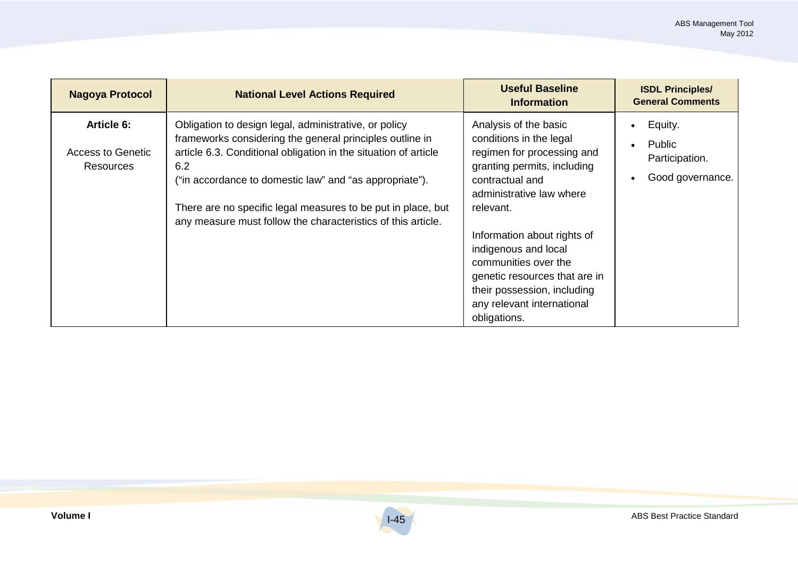| <b>Nagoya Protocol</b>                                     | <b>National Level Actions Required</b>                                                                                                                                                                                                                                                                                                                                                 | <b>Useful Baseline</b><br><b>Information</b>                                                                                                                                                                                                                                                                                                                           | <b>ISDL Principles/</b><br><b>General Comments</b>      |
|------------------------------------------------------------|----------------------------------------------------------------------------------------------------------------------------------------------------------------------------------------------------------------------------------------------------------------------------------------------------------------------------------------------------------------------------------------|------------------------------------------------------------------------------------------------------------------------------------------------------------------------------------------------------------------------------------------------------------------------------------------------------------------------------------------------------------------------|---------------------------------------------------------|
| <b>Article 6:</b><br><b>Access to Genetic</b><br>Resources | Obligation to design legal, administrative, or policy<br>frameworks considering the general principles outline in<br>article 6.3. Conditional obligation in the situation of article<br>6.2<br>("in accordance to domestic law" and "as appropriate").<br>There are no specific legal measures to be put in place, but<br>any measure must follow the characteristics of this article. | Analysis of the basic<br>conditions in the legal<br>regimen for processing and<br>granting permits, including<br>contractual and<br>administrative law where<br>relevant.<br>Information about rights of<br>indigenous and local<br>communities over the<br>genetic resources that are in<br>their possession, including<br>any relevant international<br>obligations. | Equity.<br>Public<br>Participation.<br>Good governance. |

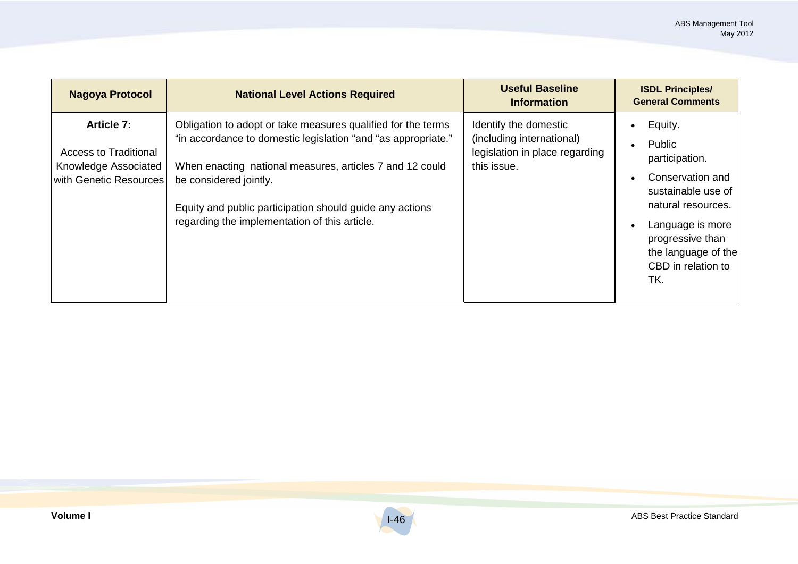| <b>Nagoya Protocol</b>                                                                              | <b>National Level Actions Required</b>                                                                                                                                                                                                                                                                                           | <b>Useful Baseline</b><br><b>Information</b>                                                        | <b>ISDL Principles/</b><br><b>General Comments</b>                                                                                                                                              |
|-----------------------------------------------------------------------------------------------------|----------------------------------------------------------------------------------------------------------------------------------------------------------------------------------------------------------------------------------------------------------------------------------------------------------------------------------|-----------------------------------------------------------------------------------------------------|-------------------------------------------------------------------------------------------------------------------------------------------------------------------------------------------------|
| <b>Article 7:</b><br><b>Access to Traditional</b><br>Knowledge Associated<br>with Genetic Resources | Obligation to adopt or take measures qualified for the terms<br>"in accordance to domestic legislation "and "as appropriate."<br>When enacting national measures, articles 7 and 12 could<br>be considered jointly.<br>Equity and public participation should guide any actions<br>regarding the implementation of this article. | Identify the domestic<br>(including international)<br>legislation in place regarding<br>this issue. | Equity.<br>Public<br>participation.<br>Conservation and<br>sustainable use of<br>natural resources.<br>Language is more<br>progressive than<br>the language of the<br>CBD in relation to<br>TK. |

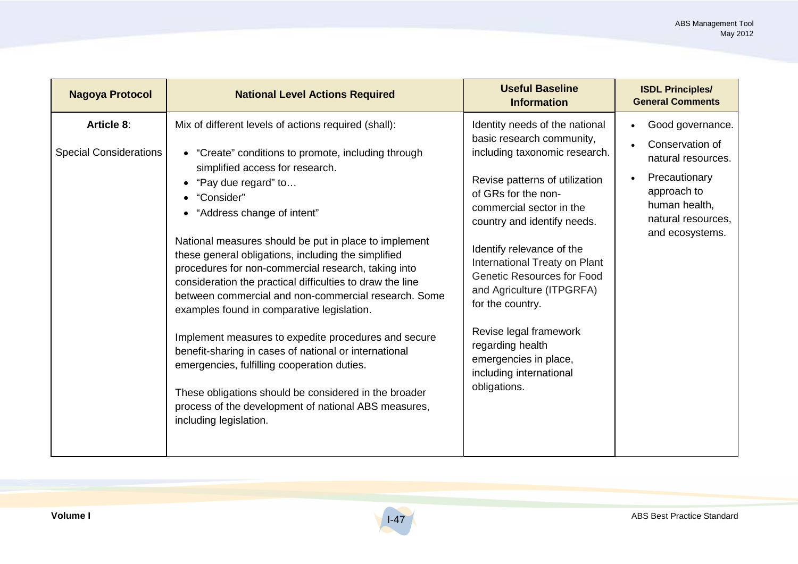| <b>Nagoya Protocol</b>                             | <b>National Level Actions Required</b>                                                                                                                                                                                                                                                                                                                                                                                                                                                                                                                                                                                                                                                                                                                                                                                                                                   | <b>Useful Baseline</b><br><b>Information</b>                                                                                                                                                                                                                                                                                                                                                                                                                                           | <b>ISDL Principles/</b><br><b>General Comments</b>                                                                                                                            |
|----------------------------------------------------|--------------------------------------------------------------------------------------------------------------------------------------------------------------------------------------------------------------------------------------------------------------------------------------------------------------------------------------------------------------------------------------------------------------------------------------------------------------------------------------------------------------------------------------------------------------------------------------------------------------------------------------------------------------------------------------------------------------------------------------------------------------------------------------------------------------------------------------------------------------------------|----------------------------------------------------------------------------------------------------------------------------------------------------------------------------------------------------------------------------------------------------------------------------------------------------------------------------------------------------------------------------------------------------------------------------------------------------------------------------------------|-------------------------------------------------------------------------------------------------------------------------------------------------------------------------------|
| <b>Article 8:</b><br><b>Special Considerations</b> | Mix of different levels of actions required (shall):<br>• "Create" conditions to promote, including through<br>simplified access for research.<br>"Pay due regard" to<br>"Consider"<br>• "Address change of intent"<br>National measures should be put in place to implement<br>these general obligations, including the simplified<br>procedures for non-commercial research, taking into<br>consideration the practical difficulties to draw the line<br>between commercial and non-commercial research. Some<br>examples found in comparative legislation.<br>Implement measures to expedite procedures and secure<br>benefit-sharing in cases of national or international<br>emergencies, fulfilling cooperation duties.<br>These obligations should be considered in the broader<br>process of the development of national ABS measures,<br>including legislation. | Identity needs of the national<br>basic research community,<br>including taxonomic research.<br>Revise patterns of utilization<br>of GRs for the non-<br>commercial sector in the<br>country and identify needs.<br>Identify relevance of the<br>International Treaty on Plant<br><b>Genetic Resources for Food</b><br>and Agriculture (ITPGRFA)<br>for the country.<br>Revise legal framework<br>regarding health<br>emergencies in place,<br>including international<br>obligations. | Good governance.<br>$\bullet$<br>Conservation of<br>natural resources.<br>Precautionary<br>$\bullet$<br>approach to<br>human health,<br>natural resources,<br>and ecosystems. |

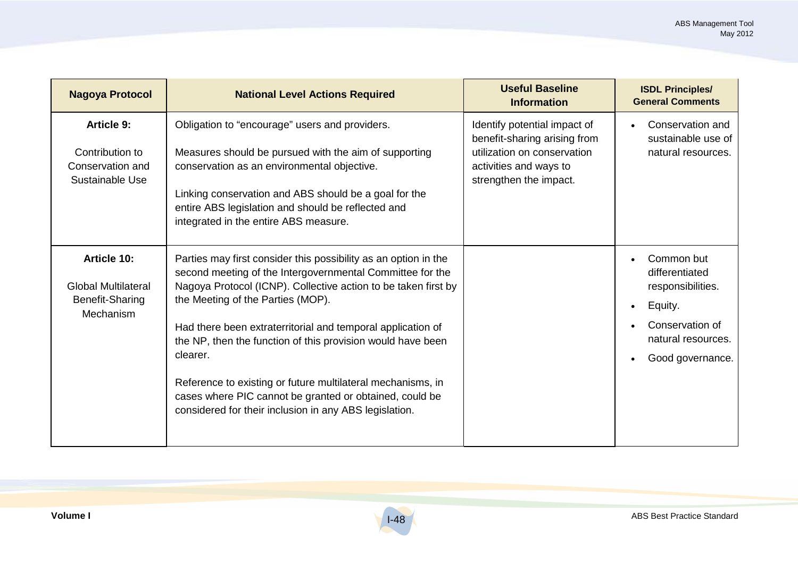| <b>Nagoya Protocol</b>                                                                  | <b>National Level Actions Required</b>                                                                                                                                                                                                                                                                                                                                                                                                                                                                                                                            | <b>Useful Baseline</b><br><b>Information</b>                                                                                                    | <b>ISDL Principles/</b><br><b>General Comments</b>                                                                                     |
|-----------------------------------------------------------------------------------------|-------------------------------------------------------------------------------------------------------------------------------------------------------------------------------------------------------------------------------------------------------------------------------------------------------------------------------------------------------------------------------------------------------------------------------------------------------------------------------------------------------------------------------------------------------------------|-------------------------------------------------------------------------------------------------------------------------------------------------|----------------------------------------------------------------------------------------------------------------------------------------|
| <b>Article 9:</b><br>Contribution to<br>Conservation and<br>Sustainable Use             | Obligation to "encourage" users and providers.<br>Measures should be pursued with the aim of supporting<br>conservation as an environmental objective.<br>Linking conservation and ABS should be a goal for the<br>entire ABS legislation and should be reflected and<br>integrated in the entire ABS measure.                                                                                                                                                                                                                                                    | Identify potential impact of<br>benefit-sharing arising from<br>utilization on conservation<br>activities and ways to<br>strengthen the impact. | Conservation and<br>sustainable use of<br>natural resources.                                                                           |
| <b>Article 10:</b><br><b>Global Multilateral</b><br><b>Benefit-Sharing</b><br>Mechanism | Parties may first consider this possibility as an option in the<br>second meeting of the Intergovernmental Committee for the<br>Nagoya Protocol (ICNP). Collective action to be taken first by<br>the Meeting of the Parties (MOP).<br>Had there been extraterritorial and temporal application of<br>the NP, then the function of this provision would have been<br>clearer.<br>Reference to existing or future multilateral mechanisms, in<br>cases where PIC cannot be granted or obtained, could be<br>considered for their inclusion in any ABS legislation. |                                                                                                                                                 | Common but<br>$\bullet$<br>differentiated<br>responsibilities.<br>Equity.<br>Conservation of<br>natural resources.<br>Good governance. |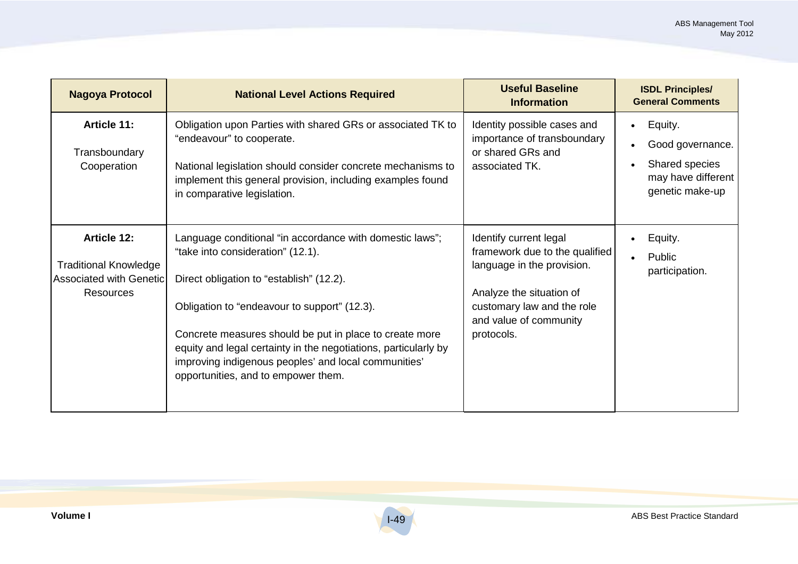| <b>Nagoya Protocol</b>                                                                                   | <b>National Level Actions Required</b>                                                                                                                                                                                                                                                                                                                                                                                 | <b>Useful Baseline</b><br><b>Information</b>                                                                                                                                             | <b>ISDL Principles/</b><br><b>General Comments</b>                                     |
|----------------------------------------------------------------------------------------------------------|------------------------------------------------------------------------------------------------------------------------------------------------------------------------------------------------------------------------------------------------------------------------------------------------------------------------------------------------------------------------------------------------------------------------|------------------------------------------------------------------------------------------------------------------------------------------------------------------------------------------|----------------------------------------------------------------------------------------|
| Article 11:<br>Transboundary<br>Cooperation                                                              | Obligation upon Parties with shared GRs or associated TK to<br>"endeavour" to cooperate.<br>National legislation should consider concrete mechanisms to<br>implement this general provision, including examples found<br>in comparative legislation.                                                                                                                                                                   | Identity possible cases and<br>importance of transboundary<br>or shared GRs and<br>associated TK.                                                                                        | Equity.<br>Good governance.<br>Shared species<br>may have different<br>genetic make-up |
| <b>Article 12:</b><br><b>Traditional Knowledge</b><br><b>Associated with Genetic</b><br><b>Resources</b> | Language conditional "in accordance with domestic laws";<br>"take into consideration" (12.1).<br>Direct obligation to "establish" (12.2).<br>Obligation to "endeavour to support" (12.3).<br>Concrete measures should be put in place to create more<br>equity and legal certainty in the negotiations, particularly by<br>improving indigenous peoples' and local communities'<br>opportunities, and to empower them. | Identify current legal<br>framework due to the qualified<br>language in the provision.<br>Analyze the situation of<br>customary law and the role<br>and value of community<br>protocols. | Equity.<br>Public<br>participation.                                                    |

I-49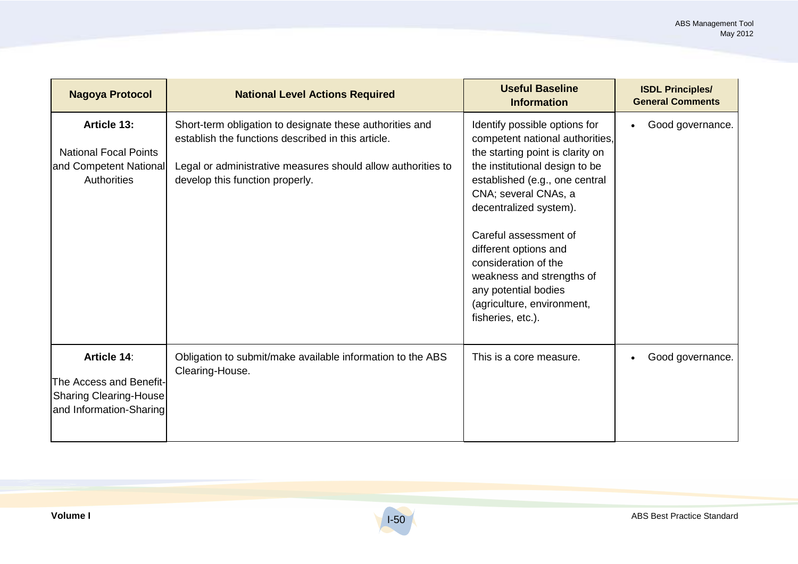| <b>Nagoya Protocol</b>                                                                      | <b>National Level Actions Required</b>                                                                                                                                                                            | <b>Useful Baseline</b><br><b>Information</b>                                                                                                                                                                                                                                                                                                                                                                 | <b>ISDL Principles/</b><br><b>General Comments</b> |
|---------------------------------------------------------------------------------------------|-------------------------------------------------------------------------------------------------------------------------------------------------------------------------------------------------------------------|--------------------------------------------------------------------------------------------------------------------------------------------------------------------------------------------------------------------------------------------------------------------------------------------------------------------------------------------------------------------------------------------------------------|----------------------------------------------------|
| <b>Article 13:</b><br><b>National Focal Points</b><br>and Competent National<br>Authorities | Short-term obligation to designate these authorities and<br>establish the functions described in this article.<br>Legal or administrative measures should allow authorities to<br>develop this function properly. | Identify possible options for<br>competent national authorities,<br>the starting point is clarity on<br>the institutional design to be<br>established (e.g., one central<br>CNA; several CNAs, a<br>decentralized system).<br>Careful assessment of<br>different options and<br>consideration of the<br>weakness and strengths of<br>any potential bodies<br>(agriculture, environment,<br>fisheries, etc.). | Good governance.                                   |
| Article 14:<br>The Access and Benefit-<br>Sharing Clearing-House<br>and Information-Sharing | Obligation to submit/make available information to the ABS<br>Clearing-House.                                                                                                                                     | This is a core measure.                                                                                                                                                                                                                                                                                                                                                                                      | Good governance.                                   |

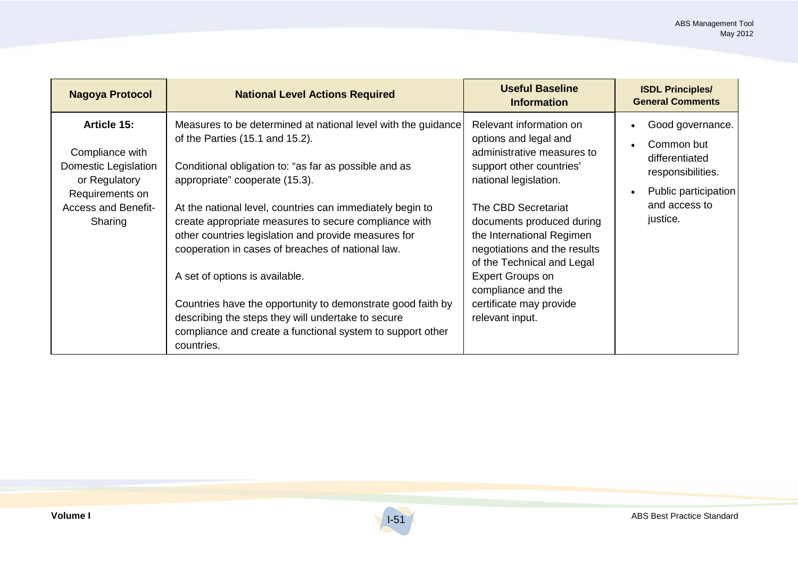| <b>Nagoya Protocol</b>                                                                                                              | <b>National Level Actions Required</b>                                                                                                                                                                                                                                                                                                                                                                                                                                                                                                                                                                                                                            | <b>Useful Baseline</b><br><b>Information</b>                                                                                                                                                                                                                                                                                                                                      | <b>ISDL Principles/</b><br><b>General Comments</b>                                                                         |
|-------------------------------------------------------------------------------------------------------------------------------------|-------------------------------------------------------------------------------------------------------------------------------------------------------------------------------------------------------------------------------------------------------------------------------------------------------------------------------------------------------------------------------------------------------------------------------------------------------------------------------------------------------------------------------------------------------------------------------------------------------------------------------------------------------------------|-----------------------------------------------------------------------------------------------------------------------------------------------------------------------------------------------------------------------------------------------------------------------------------------------------------------------------------------------------------------------------------|----------------------------------------------------------------------------------------------------------------------------|
| Article 15:<br>Compliance with<br>Domestic Legislation<br>or Regulatory<br>Requirements on<br><b>Access and Benefit-</b><br>Sharing | Measures to be determined at national level with the guidance<br>of the Parties (15.1 and 15.2).<br>Conditional obligation to: "as far as possible and as<br>appropriate" cooperate (15.3).<br>At the national level, countries can immediately begin to<br>create appropriate measures to secure compliance with<br>other countries legislation and provide measures for<br>cooperation in cases of breaches of national law.<br>A set of options is available.<br>Countries have the opportunity to demonstrate good faith by<br>describing the steps they will undertake to secure<br>compliance and create a functional system to support other<br>countries. | Relevant information on<br>options and legal and<br>administrative measures to<br>support other countries'<br>national legislation.<br>The CBD Secretariat<br>documents produced during<br>the International Regimen<br>negotiations and the results<br>of the Technical and Legal<br><b>Expert Groups on</b><br>compliance and the<br>certificate may provide<br>relevant input. | Good governance.<br>Common but<br>differentiated<br>responsibilities.<br>Public participation<br>and access to<br>justice. |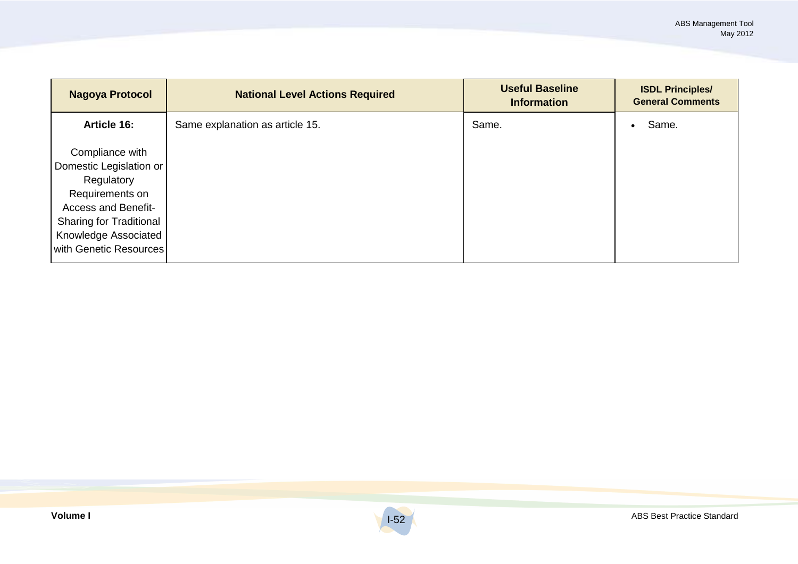| <b>Nagoya Protocol</b>                                                                                                                                                                        | <b>National Level Actions Required</b> | <b>Useful Baseline</b><br><b>Information</b> | <b>ISDL Principles/</b><br><b>General Comments</b> |
|-----------------------------------------------------------------------------------------------------------------------------------------------------------------------------------------------|----------------------------------------|----------------------------------------------|----------------------------------------------------|
| Article 16:                                                                                                                                                                                   | Same explanation as article 15.        | Same.                                        | Same.<br>٠                                         |
| Compliance with<br>Domestic Legislation or<br>Regulatory<br>Requirements on<br><b>Access and Benefit-</b><br><b>Sharing for Traditional</b><br>Knowledge Associated<br>with Genetic Resources |                                        |                                              |                                                    |

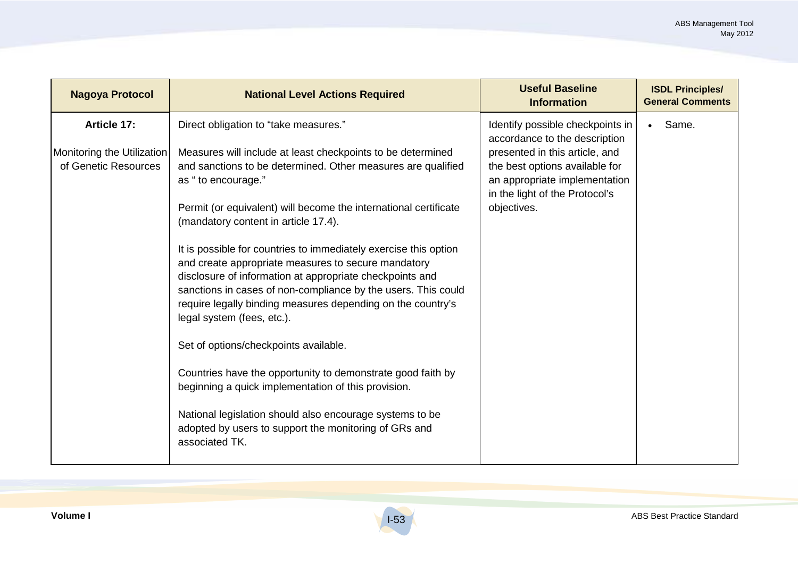| <b>Nagoya Protocol</b>                                            | <b>National Level Actions Required</b>                                                                                                                                                                                                                                                                                                                                                                                                                                                                                                                                                                                                                                                                                                                                                                                                                                                                                                                            | <b>Useful Baseline</b><br><b>Information</b>                                                                                                                                                                            | <b>ISDL Principles/</b><br><b>General Comments</b> |
|-------------------------------------------------------------------|-------------------------------------------------------------------------------------------------------------------------------------------------------------------------------------------------------------------------------------------------------------------------------------------------------------------------------------------------------------------------------------------------------------------------------------------------------------------------------------------------------------------------------------------------------------------------------------------------------------------------------------------------------------------------------------------------------------------------------------------------------------------------------------------------------------------------------------------------------------------------------------------------------------------------------------------------------------------|-------------------------------------------------------------------------------------------------------------------------------------------------------------------------------------------------------------------------|----------------------------------------------------|
| Article 17:<br>Monitoring the Utilization<br>of Genetic Resources | Direct obligation to "take measures."<br>Measures will include at least checkpoints to be determined<br>and sanctions to be determined. Other measures are qualified<br>as "to encourage."<br>Permit (or equivalent) will become the international certificate<br>(mandatory content in article 17.4).<br>It is possible for countries to immediately exercise this option<br>and create appropriate measures to secure mandatory<br>disclosure of information at appropriate checkpoints and<br>sanctions in cases of non-compliance by the users. This could<br>require legally binding measures depending on the country's<br>legal system (fees, etc.).<br>Set of options/checkpoints available.<br>Countries have the opportunity to demonstrate good faith by<br>beginning a quick implementation of this provision.<br>National legislation should also encourage systems to be<br>adopted by users to support the monitoring of GRs and<br>associated TK. | Identify possible checkpoints in<br>accordance to the description<br>presented in this article, and<br>the best options available for<br>an appropriate implementation<br>in the light of the Protocol's<br>objectives. | Same.<br>$\bullet$                                 |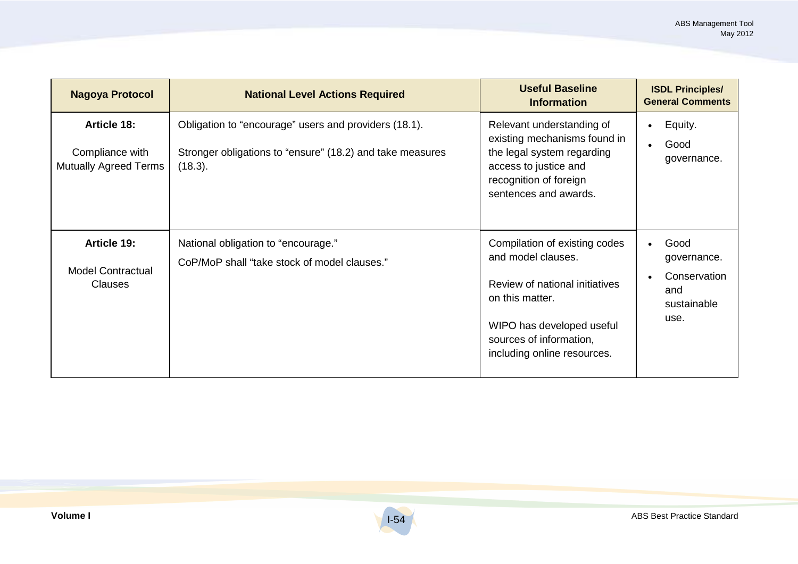| <b>Nagoya Protocol</b>                                                | <b>National Level Actions Required</b>                                                                                        | <b>Useful Baseline</b><br><b>Information</b>                                                                                                                                                    | <b>ISDL Principles/</b><br><b>General Comments</b>                |
|-----------------------------------------------------------------------|-------------------------------------------------------------------------------------------------------------------------------|-------------------------------------------------------------------------------------------------------------------------------------------------------------------------------------------------|-------------------------------------------------------------------|
| <b>Article 18:</b><br>Compliance with<br><b>Mutually Agreed Terms</b> | Obligation to "encourage" users and providers (18.1).<br>Stronger obligations to "ensure" (18.2) and take measures<br>(18.3). | Relevant understanding of<br>existing mechanisms found in<br>the legal system regarding<br>access to justice and<br>recognition of foreign<br>sentences and awards.                             | Equity.<br>$\bullet$<br>Good<br>governance.                       |
| Article 19:<br><b>Model Contractual</b><br><b>Clauses</b>             | National obligation to "encourage."<br>CoP/MoP shall "take stock of model clauses."                                           | Compilation of existing codes<br>and model clauses.<br>Review of national initiatives<br>on this matter.<br>WIPO has developed useful<br>sources of information,<br>including online resources. | Good<br>governance.<br>Conservation<br>and<br>sustainable<br>use. |

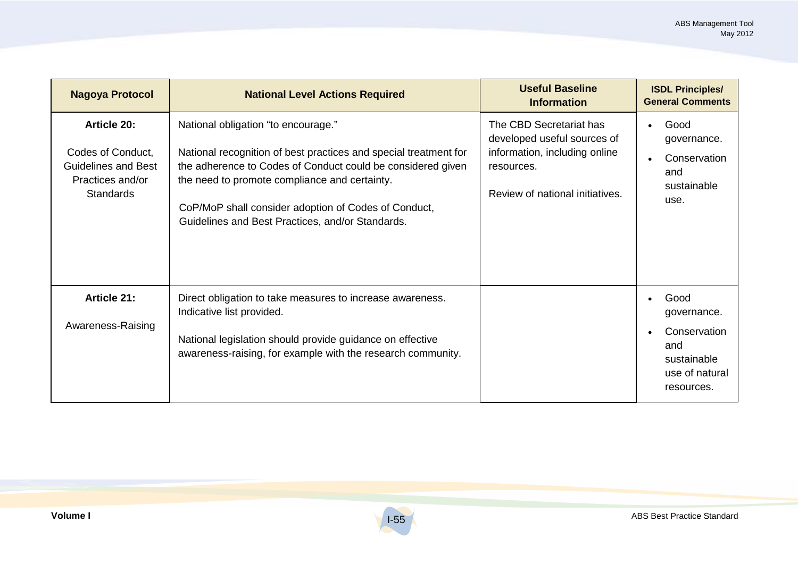| <b>Nagoya Protocol</b>                                                                                 | <b>National Level Actions Required</b>                                                                                                                                                                                                                                                                                              | <b>Useful Baseline</b><br><b>Information</b>                                                                                             | <b>ISDL Principles/</b><br><b>General Comments</b>                                        |
|--------------------------------------------------------------------------------------------------------|-------------------------------------------------------------------------------------------------------------------------------------------------------------------------------------------------------------------------------------------------------------------------------------------------------------------------------------|------------------------------------------------------------------------------------------------------------------------------------------|-------------------------------------------------------------------------------------------|
| Article 20:<br>Codes of Conduct,<br><b>Guidelines and Best</b><br>Practices and/or<br><b>Standards</b> | National obligation "to encourage."<br>National recognition of best practices and special treatment for<br>the adherence to Codes of Conduct could be considered given<br>the need to promote compliance and certainty.<br>CoP/MoP shall consider adoption of Codes of Conduct,<br>Guidelines and Best Practices, and/or Standards. | The CBD Secretariat has<br>developed useful sources of<br>information, including online<br>resources.<br>Review of national initiatives. | Good<br>$\bullet$<br>governance.<br>Conservation<br>and<br>sustainable<br>use.            |
| Article 21:<br>Awareness-Raising                                                                       | Direct obligation to take measures to increase awareness.<br>Indicative list provided.<br>National legislation should provide guidance on effective<br>awareness-raising, for example with the research community.                                                                                                                  |                                                                                                                                          | Good<br>governance.<br>Conservation<br>and<br>sustainable<br>use of natural<br>resources. |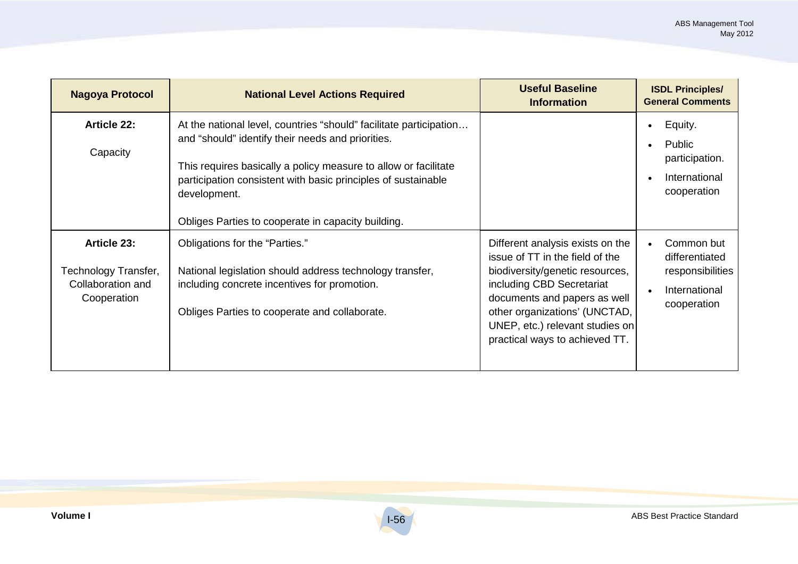| Nagoya Protocol                                                         | <b>National Level Actions Required</b>                                                                                                                                                                                                                                                                                            | <b>Useful Baseline</b><br><b>Information</b>                                                                                                                                                                                                                              | <b>ISDL Principles/</b><br><b>General Comments</b>                               |
|-------------------------------------------------------------------------|-----------------------------------------------------------------------------------------------------------------------------------------------------------------------------------------------------------------------------------------------------------------------------------------------------------------------------------|---------------------------------------------------------------------------------------------------------------------------------------------------------------------------------------------------------------------------------------------------------------------------|----------------------------------------------------------------------------------|
| <b>Article 22:</b><br>Capacity                                          | At the national level, countries "should" facilitate participation<br>and "should" identify their needs and priorities.<br>This requires basically a policy measure to allow or facilitate<br>participation consistent with basic principles of sustainable<br>development.<br>Obliges Parties to cooperate in capacity building. |                                                                                                                                                                                                                                                                           | Equity.<br>Public<br>participation.<br>International<br>cooperation              |
| Article 23:<br>Technology Transfer,<br>Collaboration and<br>Cooperation | Obligations for the "Parties."<br>National legislation should address technology transfer,<br>including concrete incentives for promotion.<br>Obliges Parties to cooperate and collaborate.                                                                                                                                       | Different analysis exists on the<br>issue of TT in the field of the<br>biodiversity/genetic resources,<br>including CBD Secretariat<br>documents and papers as well<br>other organizations' (UNCTAD,<br>UNEP, etc.) relevant studies on<br>practical ways to achieved TT. | Common but<br>differentiated<br>responsibilities<br>International<br>cooperation |

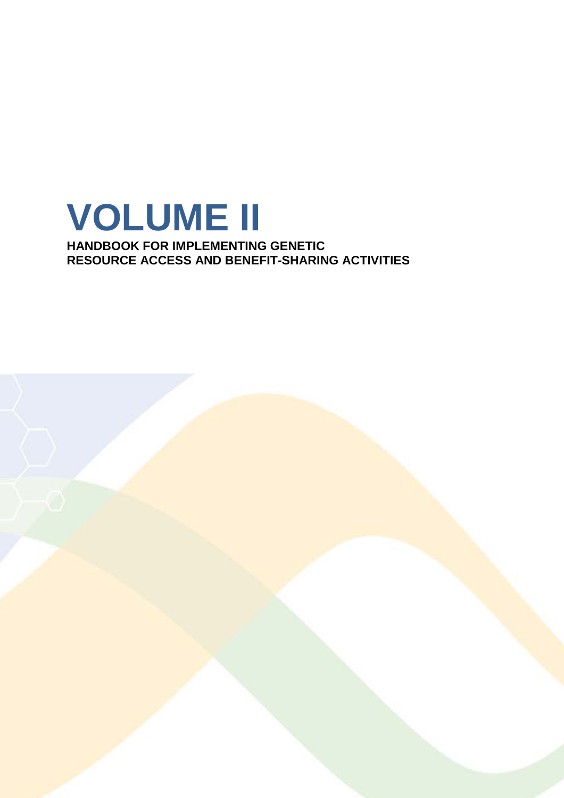

**HANDBOOK FOR IMPLEMENTING GENETIC RESOURCE ACCESS AND BENEFIT-SHARING ACTIVITIES**

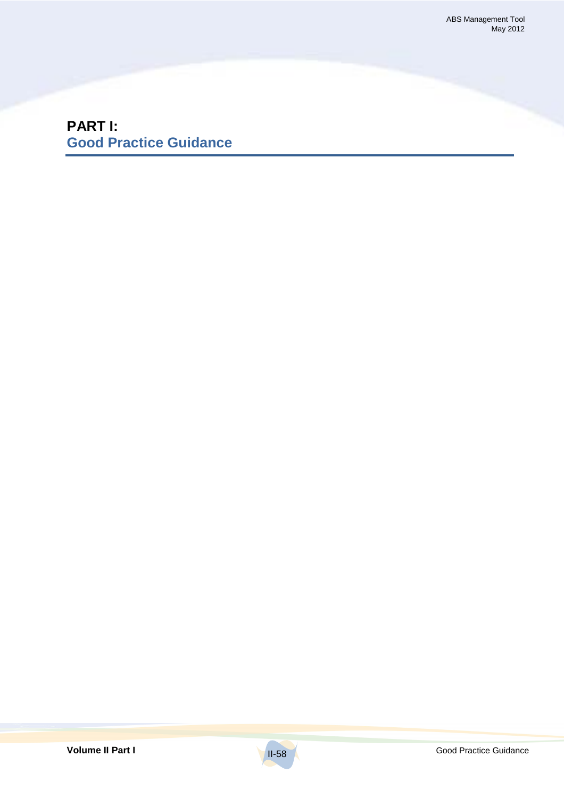**PART I: Good Practice Guidance**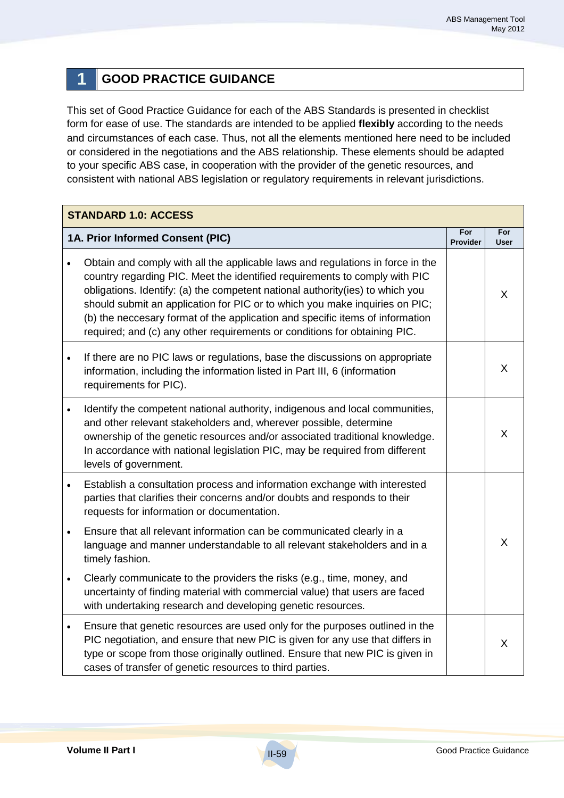## **1 GOOD PRACTICE GUIDANCE**

This set of Good Practice Guidance for each of the ABS Standards is presented in checklist form for ease of use. The standards are intended to be applied **flexibly** according to the needs and circumstances of each case. Thus, not all the elements mentioned here need to be included or considered in the negotiations and the ABS relationship. These elements should be adapted to your specific ABS case, in cooperation with the provider of the genetic resources, and consistent with national ABS legislation or regulatory requirements in relevant jurisdictions.

|           | <b>STANDARD 1.0: ACCESS</b>                                                                                                                                                                                                                                                                                                                                                                                                                                                                |                        |                    |  |
|-----------|--------------------------------------------------------------------------------------------------------------------------------------------------------------------------------------------------------------------------------------------------------------------------------------------------------------------------------------------------------------------------------------------------------------------------------------------------------------------------------------------|------------------------|--------------------|--|
|           | 1A. Prior Informed Consent (PIC)                                                                                                                                                                                                                                                                                                                                                                                                                                                           | For<br><b>Provider</b> | For<br><b>User</b> |  |
| $\bullet$ | Obtain and comply with all the applicable laws and regulations in force in the<br>country regarding PIC. Meet the identified requirements to comply with PIC<br>obligations. Identify: (a) the competent national authority(ies) to which you<br>should submit an application for PIC or to which you make inquiries on PIC;<br>(b) the neccesary format of the application and specific items of information<br>required; and (c) any other requirements or conditions for obtaining PIC. |                        | X                  |  |
| $\bullet$ | If there are no PIC laws or regulations, base the discussions on appropriate<br>information, including the information listed in Part III, 6 (information<br>requirements for PIC).                                                                                                                                                                                                                                                                                                        |                        | X                  |  |
|           | Identify the competent national authority, indigenous and local communities,<br>and other relevant stakeholders and, wherever possible, determine<br>ownership of the genetic resources and/or associated traditional knowledge.<br>In accordance with national legislation PIC, may be required from different<br>levels of government.                                                                                                                                                   |                        | $\mathsf{X}$       |  |
| $\bullet$ | Establish a consultation process and information exchange with interested<br>parties that clarifies their concerns and/or doubts and responds to their<br>requests for information or documentation.                                                                                                                                                                                                                                                                                       |                        |                    |  |
| $\bullet$ | Ensure that all relevant information can be communicated clearly in a<br>language and manner understandable to all relevant stakeholders and in a<br>timely fashion.                                                                                                                                                                                                                                                                                                                       |                        | $\mathsf{X}$       |  |
| $\bullet$ | Clearly communicate to the providers the risks (e.g., time, money, and<br>uncertainty of finding material with commercial value) that users are faced<br>with undertaking research and developing genetic resources.                                                                                                                                                                                                                                                                       |                        |                    |  |
| $\bullet$ | Ensure that genetic resources are used only for the purposes outlined in the<br>PIC negotiation, and ensure that new PIC is given for any use that differs in<br>type or scope from those originally outlined. Ensure that new PIC is given in<br>cases of transfer of genetic resources to third parties.                                                                                                                                                                                 |                        | X                  |  |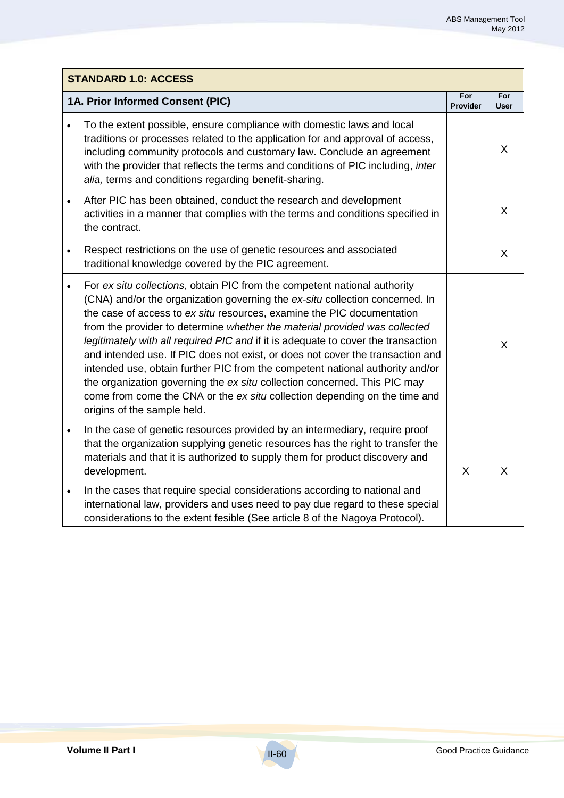|           | <b>STANDARD 1.0: ACCESS</b>                                                                                                                                                                                                                                                                                                                                                                                                                                                                                                                                                                                                                                                                                                                                         |                        |                    |  |
|-----------|---------------------------------------------------------------------------------------------------------------------------------------------------------------------------------------------------------------------------------------------------------------------------------------------------------------------------------------------------------------------------------------------------------------------------------------------------------------------------------------------------------------------------------------------------------------------------------------------------------------------------------------------------------------------------------------------------------------------------------------------------------------------|------------------------|--------------------|--|
|           | 1A. Prior Informed Consent (PIC)                                                                                                                                                                                                                                                                                                                                                                                                                                                                                                                                                                                                                                                                                                                                    | For<br><b>Provider</b> | For<br><b>User</b> |  |
| $\bullet$ | To the extent possible, ensure compliance with domestic laws and local<br>traditions or processes related to the application for and approval of access,<br>including community protocols and customary law. Conclude an agreement<br>with the provider that reflects the terms and conditions of PIC including, inter<br>alia, terms and conditions regarding benefit-sharing.                                                                                                                                                                                                                                                                                                                                                                                     |                        | X                  |  |
| $\bullet$ | After PIC has been obtained, conduct the research and development<br>activities in a manner that complies with the terms and conditions specified in<br>the contract.                                                                                                                                                                                                                                                                                                                                                                                                                                                                                                                                                                                               |                        | X                  |  |
| $\bullet$ | Respect restrictions on the use of genetic resources and associated<br>traditional knowledge covered by the PIC agreement.                                                                                                                                                                                                                                                                                                                                                                                                                                                                                                                                                                                                                                          |                        | X                  |  |
| $\bullet$ | For ex situ collections, obtain PIC from the competent national authority<br>(CNA) and/or the organization governing the ex-situ collection concerned. In<br>the case of access to ex situ resources, examine the PIC documentation<br>from the provider to determine whether the material provided was collected<br>legitimately with all required PIC and if it is adequate to cover the transaction<br>and intended use. If PIC does not exist, or does not cover the transaction and<br>intended use, obtain further PIC from the competent national authority and/or<br>the organization governing the ex situ collection concerned. This PIC may<br>come from come the CNA or the ex situ collection depending on the time and<br>origins of the sample held. |                        | X                  |  |
| $\bullet$ | In the case of genetic resources provided by an intermediary, require proof<br>that the organization supplying genetic resources has the right to transfer the<br>materials and that it is authorized to supply them for product discovery and<br>development.                                                                                                                                                                                                                                                                                                                                                                                                                                                                                                      | X                      | $\sf X$            |  |
| $\bullet$ | In the cases that require special considerations according to national and<br>international law, providers and uses need to pay due regard to these special<br>considerations to the extent fesible (See article 8 of the Nagoya Protocol).                                                                                                                                                                                                                                                                                                                                                                                                                                                                                                                         |                        |                    |  |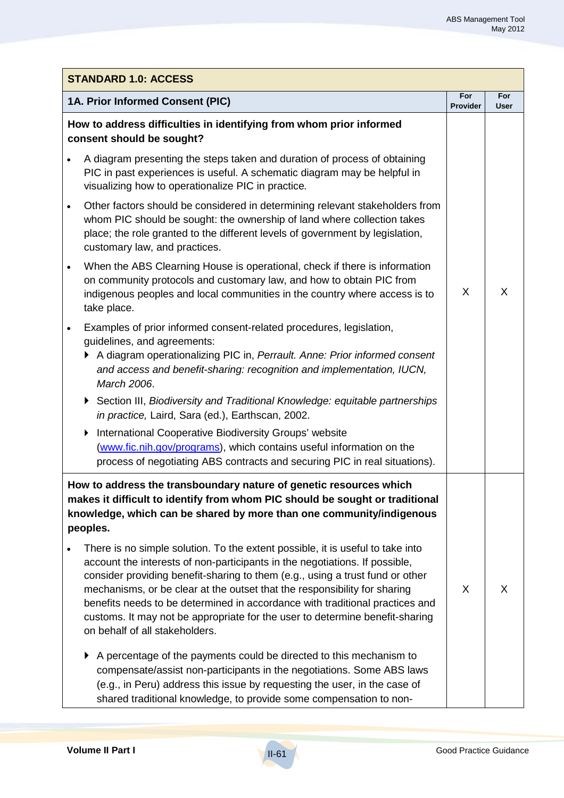|                        | <b>STANDARD 1.0: ACCESS</b>                                                                                                                                                                                                                                                                                                                                                                                                                                                                                                                                                                                                                                                                                                                                                                                                                                                                                                                                                                                                                                                                                                                                                                                                                                                                                                                                                                                                                                                        |                        |                    |  |
|------------------------|------------------------------------------------------------------------------------------------------------------------------------------------------------------------------------------------------------------------------------------------------------------------------------------------------------------------------------------------------------------------------------------------------------------------------------------------------------------------------------------------------------------------------------------------------------------------------------------------------------------------------------------------------------------------------------------------------------------------------------------------------------------------------------------------------------------------------------------------------------------------------------------------------------------------------------------------------------------------------------------------------------------------------------------------------------------------------------------------------------------------------------------------------------------------------------------------------------------------------------------------------------------------------------------------------------------------------------------------------------------------------------------------------------------------------------------------------------------------------------|------------------------|--------------------|--|
|                        | 1A. Prior Informed Consent (PIC)                                                                                                                                                                                                                                                                                                                                                                                                                                                                                                                                                                                                                                                                                                                                                                                                                                                                                                                                                                                                                                                                                                                                                                                                                                                                                                                                                                                                                                                   | For<br><b>Provider</b> | For<br><b>User</b> |  |
| $\bullet$<br>$\bullet$ | How to address difficulties in identifying from whom prior informed<br>consent should be sought?<br>A diagram presenting the steps taken and duration of process of obtaining<br>PIC in past experiences is useful. A schematic diagram may be helpful in<br>visualizing how to operationalize PIC in practice.<br>Other factors should be considered in determining relevant stakeholders from<br>whom PIC should be sought: the ownership of land where collection takes<br>place; the role granted to the different levels of government by legislation,<br>customary law, and practices.<br>When the ABS Clearning House is operational, check if there is information<br>on community protocols and customary law, and how to obtain PIC from<br>indigenous peoples and local communities in the country where access is to<br>take place.<br>Examples of prior informed consent-related procedures, legislation,<br>guidelines, and agreements:<br>A diagram operationalizing PIC in, Perrault. Anne: Prior informed consent<br>and access and benefit-sharing: recognition and implementation, IUCN,<br>March 2006.<br>Section III, Biodiversity and Traditional Knowledge: equitable partnerships<br>▶<br>in practice, Laird, Sara (ed.), Earthscan, 2002.<br>International Cooperative Biodiversity Groups' website<br>(www.fic.nih.gov/programs), which contains useful information on the<br>process of negotiating ABS contracts and securing PIC in real situations). | X                      | X                  |  |
|                        | How to address the transboundary nature of genetic resources which<br>makes it difficult to identify from whom PIC should be sought or traditional<br>knowledge, which can be shared by more than one community/indigenous<br>peoples.<br>There is no simple solution. To the extent possible, it is useful to take into<br>account the interests of non-participants in the negotiations. If possible,<br>consider providing benefit-sharing to them (e.g., using a trust fund or other<br>mechanisms, or be clear at the outset that the responsibility for sharing<br>benefits needs to be determined in accordance with traditional practices and<br>customs. It may not be appropriate for the user to determine benefit-sharing<br>on behalf of all stakeholders.<br>A percentage of the payments could be directed to this mechanism to<br>compensate/assist non-participants in the negotiations. Some ABS laws<br>(e.g., in Peru) address this issue by requesting the user, in the case of<br>shared traditional knowledge, to provide some compensation to non-                                                                                                                                                                                                                                                                                                                                                                                                         | X                      | X                  |  |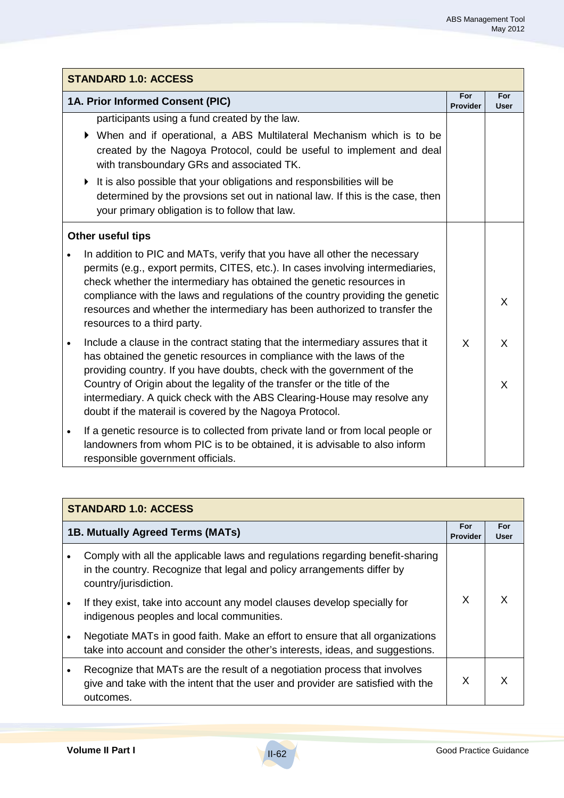|           | <b>STANDARD 1.0: ACCESS</b>                                                                                                                                                                                                                                                                                                                                                                                                                                     |                 |                   |
|-----------|-----------------------------------------------------------------------------------------------------------------------------------------------------------------------------------------------------------------------------------------------------------------------------------------------------------------------------------------------------------------------------------------------------------------------------------------------------------------|-----------------|-------------------|
|           | 1A. Prior Informed Consent (PIC)                                                                                                                                                                                                                                                                                                                                                                                                                                | For<br>Provider | For<br>User       |
|           | participants using a fund created by the law.<br>▶ When and if operational, a ABS Multilateral Mechanism which is to be<br>created by the Nagoya Protocol, could be useful to implement and deal<br>with transboundary GRs and associated TK.<br>It is also possible that your obligations and responsbilities will be<br>▶<br>determined by the provsions set out in national law. If this is the case, then<br>your primary obligation is to follow that law. |                 |                   |
|           | Other useful tips                                                                                                                                                                                                                                                                                                                                                                                                                                               |                 |                   |
|           | In addition to PIC and MATs, verify that you have all other the necessary<br>permits (e.g., export permits, CITES, etc.). In cases involving intermediaries,<br>check whether the intermediary has obtained the genetic resources in<br>compliance with the laws and regulations of the country providing the genetic<br>resources and whether the intermediary has been authorized to transfer the<br>resources to a third party.                              |                 | X                 |
| $\bullet$ | Include a clause in the contract stating that the intermediary assures that it<br>has obtained the genetic resources in compliance with the laws of the<br>providing country. If you have doubts, check with the government of the<br>Country of Origin about the legality of the transfer or the title of the<br>intermediary. A quick check with the ABS Clearing-House may resolve any<br>doubt if the materail is covered by the Nagoya Protocol.           | X               | $\mathsf{X}$<br>X |
| $\bullet$ | If a genetic resource is to collected from private land or from local people or<br>landowners from whom PIC is to be obtained, it is advisable to also inform<br>responsible government officials.                                                                                                                                                                                                                                                              |                 |                   |

|           | <b>STANDARD 1.0: ACCESS</b>                                                                                                                                                      |   |                    |  |
|-----------|----------------------------------------------------------------------------------------------------------------------------------------------------------------------------------|---|--------------------|--|
|           | 1B. Mutually Agreed Terms (MATs)<br><b>Provider</b>                                                                                                                              |   | For<br><b>User</b> |  |
| $\bullet$ | Comply with all the applicable laws and regulations regarding benefit-sharing<br>in the country. Recognize that legal and policy arrangements differ by<br>country/jurisdiction. |   |                    |  |
| $\bullet$ | If they exist, take into account any model clauses develop specially for<br>indigenous peoples and local communities.                                                            | X |                    |  |
| $\bullet$ | Negotiate MATs in good faith. Make an effort to ensure that all organizations<br>take into account and consider the other's interests, ideas, and suggestions.                   |   |                    |  |
| $\bullet$ | Recognize that MATs are the result of a negotiation process that involves<br>give and take with the intent that the user and provider are satisfied with the<br>outcomes.        | X |                    |  |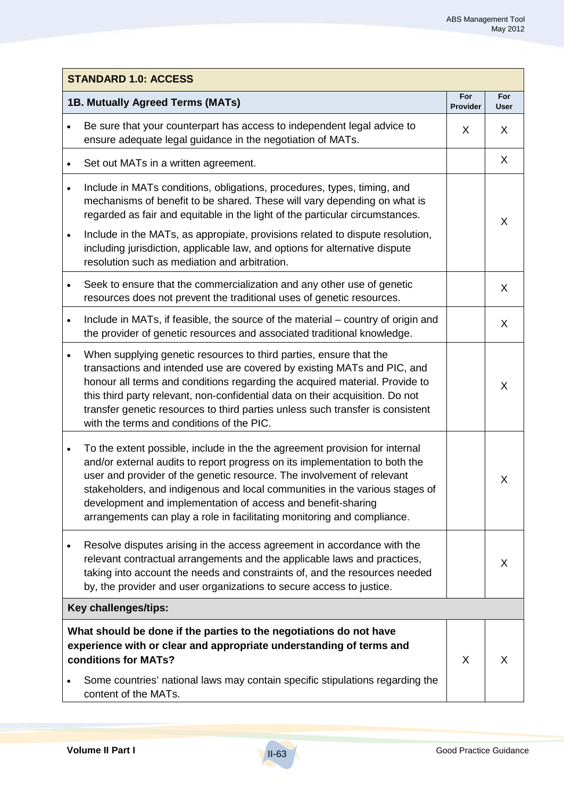|           | <b>STANDARD 1.0: ACCESS</b>                                                                                                                                                                                                                                                                                                                                                                                                                                    |                 |                    |  |
|-----------|----------------------------------------------------------------------------------------------------------------------------------------------------------------------------------------------------------------------------------------------------------------------------------------------------------------------------------------------------------------------------------------------------------------------------------------------------------------|-----------------|--------------------|--|
|           | 1B. Mutually Agreed Terms (MATs)                                                                                                                                                                                                                                                                                                                                                                                                                               | For<br>Provider | For<br><b>User</b> |  |
|           | Be sure that your counterpart has access to independent legal advice to<br>ensure adequate legal guidance in the negotiation of MATs.                                                                                                                                                                                                                                                                                                                          | X               | X                  |  |
|           | Set out MATs in a written agreement.                                                                                                                                                                                                                                                                                                                                                                                                                           |                 | X                  |  |
|           | Include in MATs conditions, obligations, procedures, types, timing, and<br>mechanisms of benefit to be shared. These will vary depending on what is<br>regarded as fair and equitable in the light of the particular circumstances.                                                                                                                                                                                                                            |                 | $\mathsf{X}$       |  |
| $\bullet$ | Include in the MATs, as appropiate, provisions related to dispute resolution,<br>including jurisdiction, applicable law, and options for alternative dispute<br>resolution such as mediation and arbitration.                                                                                                                                                                                                                                                  |                 |                    |  |
|           | Seek to ensure that the commercialization and any other use of genetic<br>resources does not prevent the traditional uses of genetic resources.                                                                                                                                                                                                                                                                                                                |                 | X                  |  |
| $\bullet$ | Include in MATs, if feasible, the source of the material – country of origin and<br>the provider of genetic resources and associated traditional knowledge.                                                                                                                                                                                                                                                                                                    |                 | X                  |  |
| $\bullet$ | When supplying genetic resources to third parties, ensure that the<br>transactions and intended use are covered by existing MATs and PIC, and<br>honour all terms and conditions regarding the acquired material. Provide to<br>this third party relevant, non-confidential data on their acquisition. Do not<br>transfer genetic resources to third parties unless such transfer is consistent<br>with the terms and conditions of the PIC.                   |                 | X                  |  |
| $\bullet$ | To the extent possible, include in the the agreement provision for internal<br>and/or external audits to report progress on its implementation to both the<br>user and provider of the genetic resource. The involvement of relevant<br>stakeholders, and indigenous and local communities in the various stages of<br>development and implementation of access and benefit-sharing<br>arrangements can play a role in facilitating monitoring and compliance. |                 | X                  |  |
|           | Resolve disputes arising in the access agreement in accordance with the<br>relevant contractual arrangements and the applicable laws and practices,<br>taking into account the needs and constraints of, and the resources needed<br>by, the provider and user organizations to secure access to justice.                                                                                                                                                      |                 | X                  |  |
|           | Key challenges/tips:                                                                                                                                                                                                                                                                                                                                                                                                                                           |                 |                    |  |
|           | What should be done if the parties to the negotiations do not have<br>experience with or clear and appropriate understanding of terms and<br>conditions for MATs?                                                                                                                                                                                                                                                                                              | X               | X                  |  |
|           | Some countries' national laws may contain specific stipulations regarding the<br>content of the MATs.                                                                                                                                                                                                                                                                                                                                                          |                 |                    |  |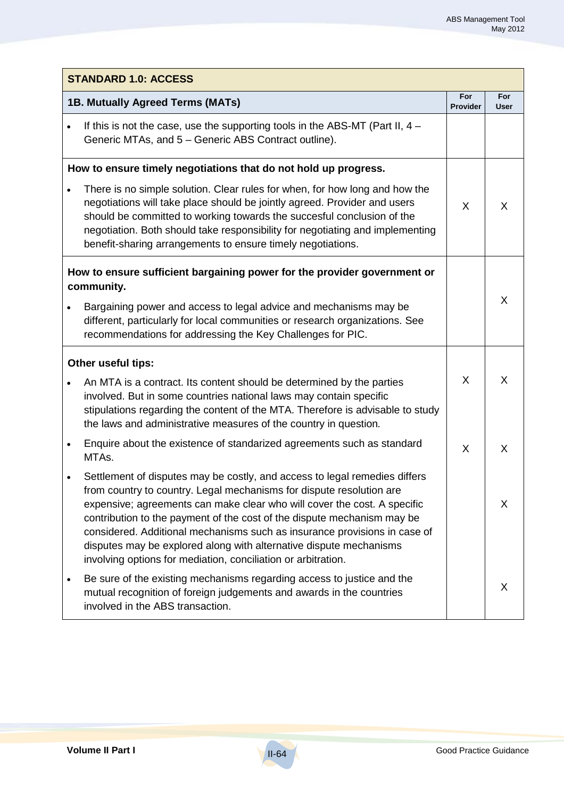|           | <b>STANDARD 1.0: ACCESS</b>                                                                                                                                                                                                                                                                                                                                                                                                                                                                                                   |                        |                    |  |
|-----------|-------------------------------------------------------------------------------------------------------------------------------------------------------------------------------------------------------------------------------------------------------------------------------------------------------------------------------------------------------------------------------------------------------------------------------------------------------------------------------------------------------------------------------|------------------------|--------------------|--|
|           | 1B. Mutually Agreed Terms (MATs)                                                                                                                                                                                                                                                                                                                                                                                                                                                                                              | For<br><b>Provider</b> | For<br><b>User</b> |  |
| $\bullet$ | If this is not the case, use the supporting tools in the ABS-MT (Part II, $4 -$<br>Generic MTAs, and 5 - Generic ABS Contract outline).                                                                                                                                                                                                                                                                                                                                                                                       |                        |                    |  |
|           | How to ensure timely negotiations that do not hold up progress.                                                                                                                                                                                                                                                                                                                                                                                                                                                               |                        |                    |  |
|           | There is no simple solution. Clear rules for when, for how long and how the<br>negotiations will take place should be jointly agreed. Provider and users<br>should be committed to working towards the succesful conclusion of the<br>negotiation. Both should take responsibility for negotiating and implementing<br>benefit-sharing arrangements to ensure timely negotiations.                                                                                                                                            | X                      | X                  |  |
|           | How to ensure sufficient bargaining power for the provider government or<br>community.                                                                                                                                                                                                                                                                                                                                                                                                                                        |                        |                    |  |
|           | Bargaining power and access to legal advice and mechanisms may be<br>different, particularly for local communities or research organizations. See<br>recommendations for addressing the Key Challenges for PIC.                                                                                                                                                                                                                                                                                                               |                        | X                  |  |
|           | Other useful tips:                                                                                                                                                                                                                                                                                                                                                                                                                                                                                                            |                        |                    |  |
|           | An MTA is a contract. Its content should be determined by the parties<br>involved. But in some countries national laws may contain specific<br>stipulations regarding the content of the MTA. Therefore is advisable to study<br>the laws and administrative measures of the country in question.                                                                                                                                                                                                                             | X                      | X                  |  |
| $\bullet$ | Enquire about the existence of standarized agreements such as standard<br>MTAs.                                                                                                                                                                                                                                                                                                                                                                                                                                               | X                      | X                  |  |
|           | Settlement of disputes may be costly, and access to legal remedies differs<br>from country to country. Legal mechanisms for dispute resolution are<br>expensive; agreements can make clear who will cover the cost. A specific<br>contribution to the payment of the cost of the dispute mechanism may be<br>considered. Additional mechanisms such as insurance provisions in case of<br>disputes may be explored along with alternative dispute mechanisms<br>involving options for mediation, conciliation or arbitration. |                        | X                  |  |
|           | Be sure of the existing mechanisms regarding access to justice and the<br>mutual recognition of foreign judgements and awards in the countries<br>involved in the ABS transaction.                                                                                                                                                                                                                                                                                                                                            |                        | X                  |  |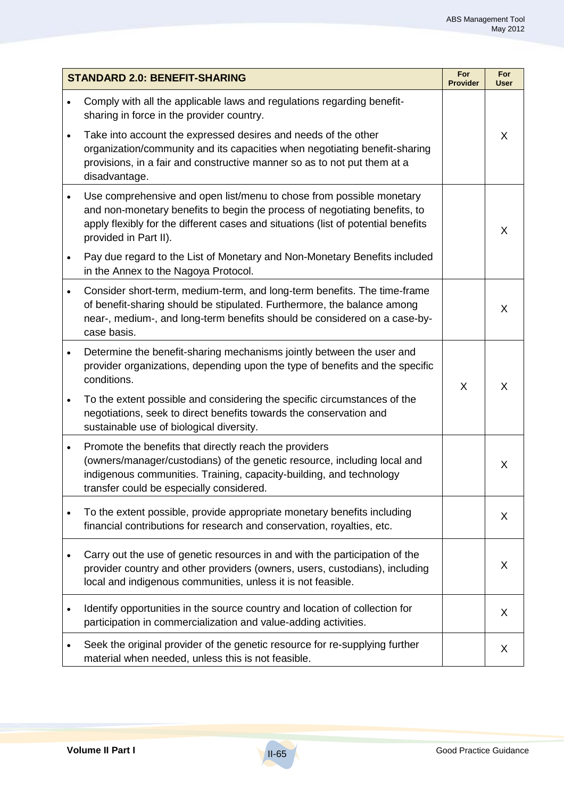|           | <b>STANDARD 2.0: BENEFIT-SHARING</b>                                                                                                                                                                                                                             | For<br><b>Provider</b> | For<br><b>User</b> |
|-----------|------------------------------------------------------------------------------------------------------------------------------------------------------------------------------------------------------------------------------------------------------------------|------------------------|--------------------|
|           | Comply with all the applicable laws and regulations regarding benefit-<br>sharing in force in the provider country.                                                                                                                                              |                        |                    |
| $\bullet$ | Take into account the expressed desires and needs of the other<br>organization/community and its capacities when negotiating benefit-sharing<br>provisions, in a fair and constructive manner so as to not put them at a<br>disadvantage.                        |                        | X                  |
| $\bullet$ | Use comprehensive and open list/menu to chose from possible monetary<br>and non-monetary benefits to begin the process of negotiating benefits, to<br>apply flexibly for the different cases and situations (list of potential benefits<br>provided in Part II). |                        | X                  |
| $\bullet$ | Pay due regard to the List of Monetary and Non-Monetary Benefits included<br>in the Annex to the Nagoya Protocol.                                                                                                                                                |                        |                    |
| $\bullet$ | Consider short-term, medium-term, and long-term benefits. The time-frame<br>of benefit-sharing should be stipulated. Furthermore, the balance among<br>near-, medium-, and long-term benefits should be considered on a case-by-<br>case basis.                  |                        | X                  |
| $\bullet$ | Determine the benefit-sharing mechanisms jointly between the user and<br>provider organizations, depending upon the type of benefits and the specific<br>conditions.                                                                                             | X                      | X                  |
| $\bullet$ | To the extent possible and considering the specific circumstances of the<br>negotiations, seek to direct benefits towards the conservation and<br>sustainable use of biological diversity.                                                                       |                        |                    |
| $\bullet$ | Promote the benefits that directly reach the providers<br>(owners/manager/custodians) of the genetic resource, including local and<br>indigenous communities. Training, capacity-building, and technology<br>transfer could be especially considered.            |                        | X                  |
|           | To the extent possible, provide appropriate monetary benefits including<br>financial contributions for research and conservation, royalties, etc.                                                                                                                |                        | X                  |
|           | Carry out the use of genetic resources in and with the participation of the<br>provider country and other providers (owners, users, custodians), including<br>local and indigenous communities, unless it is not feasible.                                       |                        | X                  |
| $\bullet$ | Identify opportunities in the source country and location of collection for<br>participation in commercialization and value-adding activities.                                                                                                                   |                        | X                  |
|           | Seek the original provider of the genetic resource for re-supplying further<br>material when needed, unless this is not feasible.                                                                                                                                |                        | X                  |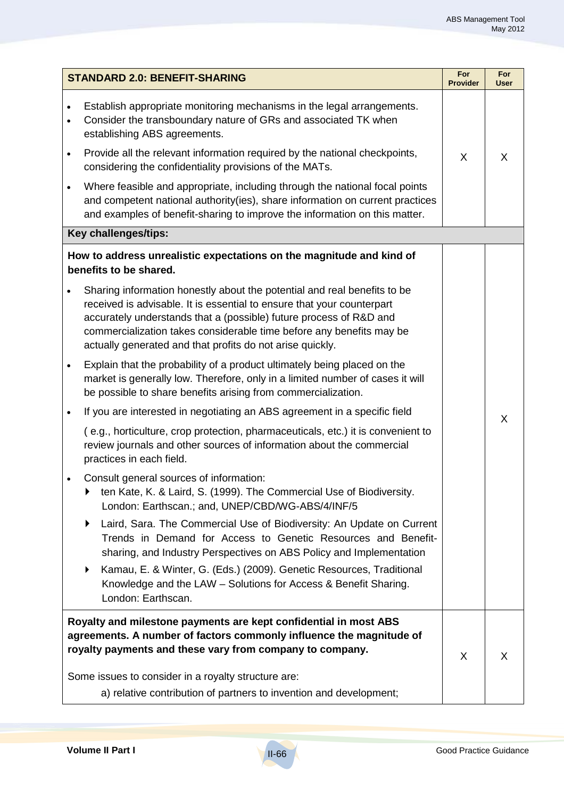| <b>STANDARD 2.0: BENEFIT-SHARING</b> |                                                                                                                                                                                                                                                                                                                                                               | For<br><b>Provider</b> | For<br>User |  |  |
|--------------------------------------|---------------------------------------------------------------------------------------------------------------------------------------------------------------------------------------------------------------------------------------------------------------------------------------------------------------------------------------------------------------|------------------------|-------------|--|--|
|                                      | Establish appropriate monitoring mechanisms in the legal arrangements.<br>Consider the transboundary nature of GRs and associated TK when<br>establishing ABS agreements.                                                                                                                                                                                     |                        |             |  |  |
| $\bullet$                            | Provide all the relevant information required by the national checkpoints,<br>considering the confidentiality provisions of the MATs.                                                                                                                                                                                                                         | X                      | X           |  |  |
|                                      | Where feasible and appropriate, including through the national focal points<br>and competent national authority(ies), share information on current practices<br>and examples of benefit-sharing to improve the information on this matter.                                                                                                                    |                        |             |  |  |
| Key challenges/tips:                 |                                                                                                                                                                                                                                                                                                                                                               |                        |             |  |  |
|                                      | How to address unrealistic expectations on the magnitude and kind of<br>benefits to be shared.                                                                                                                                                                                                                                                                |                        |             |  |  |
|                                      | Sharing information honestly about the potential and real benefits to be<br>received is advisable. It is essential to ensure that your counterpart<br>accurately understands that a (possible) future process of R&D and<br>commercialization takes considerable time before any benefits may be<br>actually generated and that profits do not arise quickly. |                        |             |  |  |
| $\bullet$                            | Explain that the probability of a product ultimately being placed on the<br>market is generally low. Therefore, only in a limited number of cases it will<br>be possible to share benefits arising from commercialization.                                                                                                                                    |                        |             |  |  |
| $\bullet$                            | If you are interested in negotiating an ABS agreement in a specific field                                                                                                                                                                                                                                                                                     |                        | X           |  |  |
|                                      | (e.g., horticulture, crop protection, pharmaceuticals, etc.) it is convenient to<br>review journals and other sources of information about the commercial<br>practices in each field.                                                                                                                                                                         |                        |             |  |  |
|                                      | Consult general sources of information:<br>ten Kate, K. & Laird, S. (1999). The Commercial Use of Biodiversity.<br>London: Earthscan.; and, UNEP/CBD/WG-ABS/4/INF/5                                                                                                                                                                                           |                        |             |  |  |
|                                      | Laird, Sara. The Commercial Use of Biodiversity: An Update on Current<br>Trends in Demand for Access to Genetic Resources and Benefit-<br>sharing, and Industry Perspectives on ABS Policy and Implementation                                                                                                                                                 |                        |             |  |  |
|                                      | Kamau, E. & Winter, G. (Eds.) (2009). Genetic Resources, Traditional<br>Knowledge and the LAW - Solutions for Access & Benefit Sharing.<br>London: Earthscan.                                                                                                                                                                                                 |                        |             |  |  |
|                                      | Royalty and milestone payments are kept confidential in most ABS<br>agreements. A number of factors commonly influence the magnitude of<br>royalty payments and these vary from company to company.                                                                                                                                                           | X                      | X           |  |  |
|                                      | Some issues to consider in a royalty structure are:                                                                                                                                                                                                                                                                                                           |                        |             |  |  |
|                                      | a) relative contribution of partners to invention and development;                                                                                                                                                                                                                                                                                            |                        |             |  |  |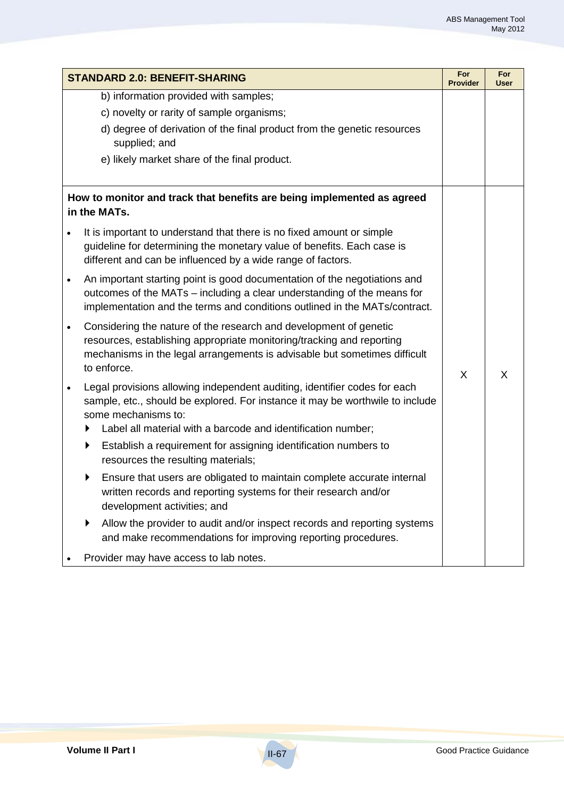| <b>STANDARD 2.0: BENEFIT-SHARING</b> |                                                                                                                                                                                                                                                        |   | For<br><b>User</b> |
|--------------------------------------|--------------------------------------------------------------------------------------------------------------------------------------------------------------------------------------------------------------------------------------------------------|---|--------------------|
|                                      | b) information provided with samples;                                                                                                                                                                                                                  |   |                    |
|                                      | c) novelty or rarity of sample organisms;                                                                                                                                                                                                              |   |                    |
|                                      | d) degree of derivation of the final product from the genetic resources<br>supplied; and                                                                                                                                                               |   |                    |
|                                      | e) likely market share of the final product.                                                                                                                                                                                                           |   |                    |
|                                      | How to monitor and track that benefits are being implemented as agreed<br>in the MATs.                                                                                                                                                                 |   |                    |
|                                      | It is important to understand that there is no fixed amount or simple<br>guideline for determining the monetary value of benefits. Each case is<br>different and can be influenced by a wide range of factors.                                         |   |                    |
| $\bullet$                            | An important starting point is good documentation of the negotiations and<br>outcomes of the MATs - including a clear understanding of the means for<br>implementation and the terms and conditions outlined in the MATs/contract.                     | X | X                  |
| $\bullet$                            | Considering the nature of the research and development of genetic<br>resources, establishing appropriate monitoring/tracking and reporting<br>mechanisms in the legal arrangements is advisable but sometimes difficult<br>to enforce.                 |   |                    |
| $\bullet$                            | Legal provisions allowing independent auditing, identifier codes for each<br>sample, etc., should be explored. For instance it may be worthwile to include<br>some mechanisms to:<br>Label all material with a barcode and identification number;<br>▶ |   |                    |
|                                      | Establish a requirement for assigning identification numbers to<br>▶<br>resources the resulting materials;                                                                                                                                             |   |                    |
|                                      | Ensure that users are obligated to maintain complete accurate internal<br>written records and reporting systems for their research and/or<br>development activities; and                                                                               |   |                    |
|                                      | Allow the provider to audit and/or inspect records and reporting systems<br>and make recommendations for improving reporting procedures.                                                                                                               |   |                    |
|                                      | Provider may have access to lab notes.                                                                                                                                                                                                                 |   |                    |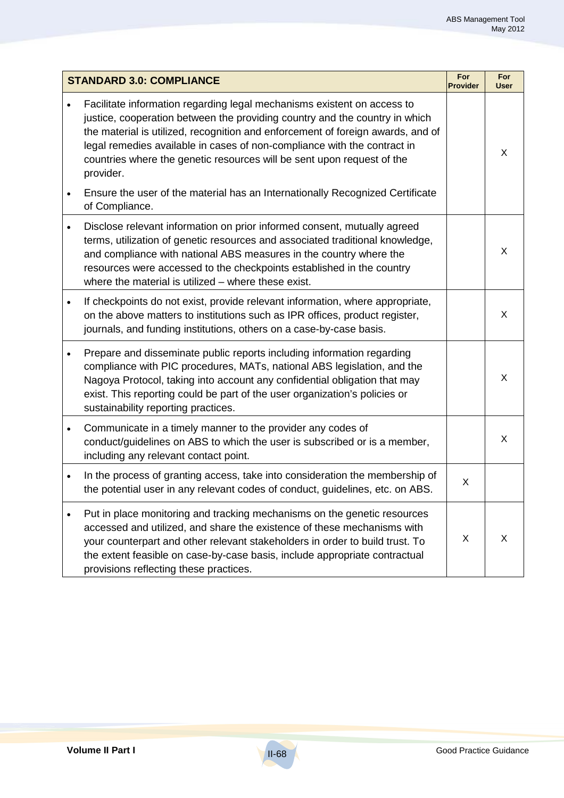| <b>STANDARD 3.0: COMPLIANCE</b> |                                                                                                                                                                                                                                                                                                                                                                                                              | For<br><b>Provider</b> | For<br>User |
|---------------------------------|--------------------------------------------------------------------------------------------------------------------------------------------------------------------------------------------------------------------------------------------------------------------------------------------------------------------------------------------------------------------------------------------------------------|------------------------|-------------|
|                                 | Facilitate information regarding legal mechanisms existent on access to<br>justice, cooperation between the providing country and the country in which<br>the material is utilized, recognition and enforcement of foreign awards, and of<br>legal remedies available in cases of non-compliance with the contract in<br>countries where the genetic resources will be sent upon request of the<br>provider. |                        | X           |
| $\bullet$                       | Ensure the user of the material has an Internationally Recognized Certificate<br>of Compliance.                                                                                                                                                                                                                                                                                                              |                        |             |
| $\bullet$                       | Disclose relevant information on prior informed consent, mutually agreed<br>terms, utilization of genetic resources and associated traditional knowledge,<br>and compliance with national ABS measures in the country where the<br>resources were accessed to the checkpoints established in the country<br>where the material is utilized $-$ where these exist.                                            |                        | X           |
| $\bullet$                       | If checkpoints do not exist, provide relevant information, where appropriate,<br>on the above matters to institutions such as IPR offices, product register,<br>journals, and funding institutions, others on a case-by-case basis.                                                                                                                                                                          |                        | X           |
| $\bullet$                       | Prepare and disseminate public reports including information regarding<br>compliance with PIC procedures, MATs, national ABS legislation, and the<br>Nagoya Protocol, taking into account any confidential obligation that may<br>exist. This reporting could be part of the user organization's policies or<br>sustainability reporting practices.                                                          |                        | X           |
| $\bullet$                       | Communicate in a timely manner to the provider any codes of<br>conduct/guidelines on ABS to which the user is subscribed or is a member,<br>including any relevant contact point.                                                                                                                                                                                                                            |                        | X           |
|                                 | In the process of granting access, take into consideration the membership of<br>the potential user in any relevant codes of conduct, guidelines, etc. on ABS.                                                                                                                                                                                                                                                | X                      |             |
|                                 | Put in place monitoring and tracking mechanisms on the genetic resources<br>accessed and utilized, and share the existence of these mechanisms with<br>your counterpart and other relevant stakeholders in order to build trust. To<br>the extent feasible on case-by-case basis, include appropriate contractual<br>provisions reflecting these practices.                                                  | X                      | X           |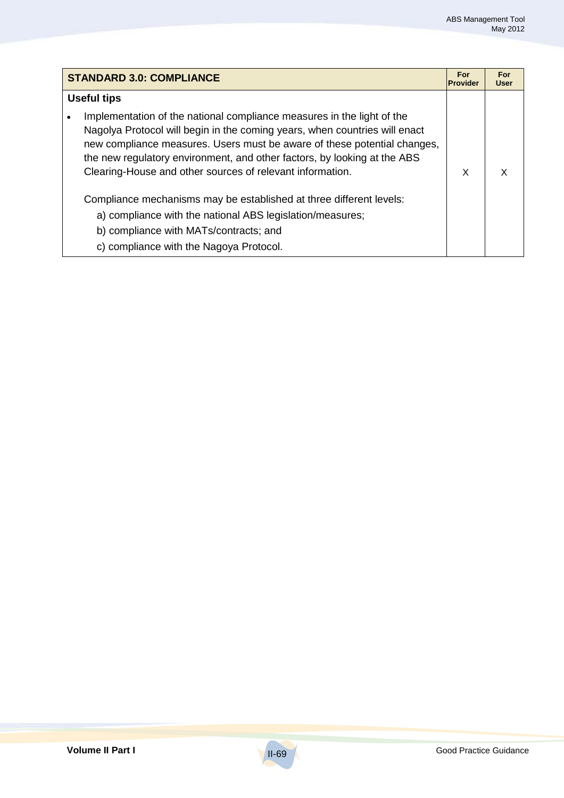| <b>STANDARD 3.0: COMPLIANCE</b> |                                                                                                                                                                                                                                                                                                                                                                           | For<br><b>Provider</b> | For<br>User |
|---------------------------------|---------------------------------------------------------------------------------------------------------------------------------------------------------------------------------------------------------------------------------------------------------------------------------------------------------------------------------------------------------------------------|------------------------|-------------|
| <b>Useful tips</b>              |                                                                                                                                                                                                                                                                                                                                                                           |                        |             |
|                                 | Implementation of the national compliance measures in the light of the<br>Nagolya Protocol will begin in the coming years, when countries will enact<br>new compliance measures. Users must be aware of these potential changes,<br>the new regulatory environment, and other factors, by looking at the ABS<br>Clearing-House and other sources of relevant information. | X                      | x           |
|                                 | Compliance mechanisms may be established at three different levels:<br>a) compliance with the national ABS legislation/measures;<br>b) compliance with MATs/contracts; and<br>c) compliance with the Nagoya Protocol.                                                                                                                                                     |                        |             |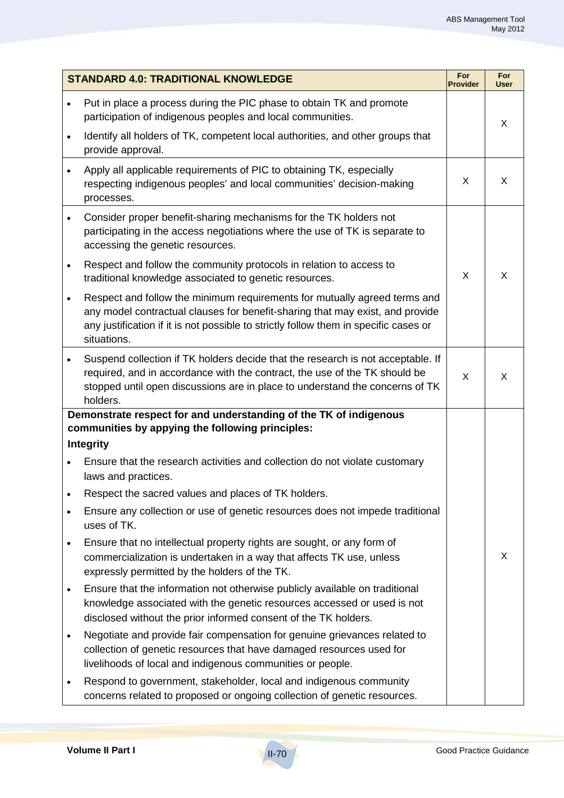| <b>STANDARD 4.0: TRADITIONAL KNOWLEDGE</b> |                                                                                                                                                                                                                                                                   | For<br><b>Provider</b> | For<br>User |
|--------------------------------------------|-------------------------------------------------------------------------------------------------------------------------------------------------------------------------------------------------------------------------------------------------------------------|------------------------|-------------|
| $\bullet$                                  | Put in place a process during the PIC phase to obtain TK and promote<br>participation of indigenous peoples and local communities.                                                                                                                                |                        | X           |
| $\bullet$                                  | Identify all holders of TK, competent local authorities, and other groups that<br>provide approval.                                                                                                                                                               |                        |             |
| $\bullet$                                  | Apply all applicable requirements of PIC to obtaining TK, especially<br>respecting indigenous peoples' and local communities' decision-making<br>processes.                                                                                                       | X                      | X           |
| $\bullet$                                  | Consider proper benefit-sharing mechanisms for the TK holders not<br>participating in the access negotiations where the use of TK is separate to<br>accessing the genetic resources.                                                                              |                        |             |
| $\bullet$                                  | Respect and follow the community protocols in relation to access to<br>traditional knowledge associated to genetic resources.                                                                                                                                     | X                      | X           |
| $\bullet$                                  | Respect and follow the minimum requirements for mutually agreed terms and<br>any model contractual clauses for benefit-sharing that may exist, and provide<br>any justification if it is not possible to strictly follow them in specific cases or<br>situations. |                        |             |
| $\bullet$                                  | Suspend collection if TK holders decide that the research is not acceptable. If<br>required, and in accordance with the contract, the use of the TK should be<br>stopped until open discussions are in place to understand the concerns of TK<br>holders.         | X                      | X.          |
|                                            | Demonstrate respect for and understanding of the TK of indigenous                                                                                                                                                                                                 |                        |             |
|                                            | communities by appying the following principles:<br><b>Integrity</b>                                                                                                                                                                                              |                        |             |
|                                            | Ensure that the research activities and collection do not violate customary<br>laws and practices.                                                                                                                                                                |                        |             |
| $\bullet$                                  | Respect the sacred values and places of TK holders.                                                                                                                                                                                                               |                        |             |
| $\bullet$                                  | Ensure any collection or use of genetic resources does not impede traditional<br>uses of TK.                                                                                                                                                                      |                        |             |
| $\bullet$                                  | Ensure that no intellectual property rights are sought, or any form of<br>commercialization is undertaken in a way that affects TK use, unless<br>expressly permitted by the holders of the TK.                                                                   |                        | X           |
| $\bullet$                                  | Ensure that the information not otherwise publicly available on traditional<br>knowledge associated with the genetic resources accessed or used is not<br>disclosed without the prior informed consent of the TK holders.                                         |                        |             |
| $\bullet$                                  | Negotiate and provide fair compensation for genuine grievances related to<br>collection of genetic resources that have damaged resources used for<br>livelihoods of local and indigenous communities or people.                                                   |                        |             |
| $\bullet$                                  | Respond to government, stakeholder, local and indigenous community<br>concerns related to proposed or ongoing collection of genetic resources.                                                                                                                    |                        |             |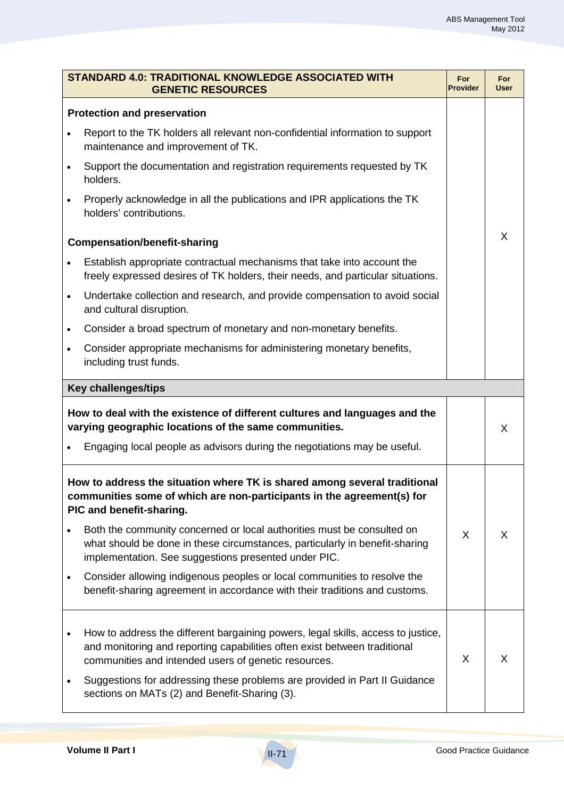| STANDARD 4.0: TRADITIONAL KNOWLEDGE ASSOCIATED WITH<br><b>GENETIC RESOURCES</b>                                                                                                 |                                                                                                                                                                                                                       | For<br><b>Provider</b> | <b>For</b><br><b>User</b> |
|---------------------------------------------------------------------------------------------------------------------------------------------------------------------------------|-----------------------------------------------------------------------------------------------------------------------------------------------------------------------------------------------------------------------|------------------------|---------------------------|
| <b>Protection and preservation</b>                                                                                                                                              |                                                                                                                                                                                                                       |                        |                           |
|                                                                                                                                                                                 | Report to the TK holders all relevant non-confidential information to support<br>maintenance and improvement of TK.                                                                                                   |                        |                           |
| $\bullet$                                                                                                                                                                       | Support the documentation and registration requirements requested by TK<br>holders.                                                                                                                                   |                        |                           |
|                                                                                                                                                                                 | Properly acknowledge in all the publications and IPR applications the TK<br>holders' contributions.                                                                                                                   |                        |                           |
|                                                                                                                                                                                 | <b>Compensation/benefit-sharing</b>                                                                                                                                                                                   |                        | X                         |
|                                                                                                                                                                                 | Establish appropriate contractual mechanisms that take into account the<br>freely expressed desires of TK holders, their needs, and particular situations.                                                            |                        |                           |
| $\bullet$                                                                                                                                                                       | Undertake collection and research, and provide compensation to avoid social<br>and cultural disruption.                                                                                                               |                        |                           |
| $\bullet$                                                                                                                                                                       | Consider a broad spectrum of monetary and non-monetary benefits.                                                                                                                                                      |                        |                           |
| $\bullet$                                                                                                                                                                       | Consider appropriate mechanisms for administering monetary benefits,<br>including trust funds.                                                                                                                        |                        |                           |
|                                                                                                                                                                                 | <b>Key challenges/tips</b>                                                                                                                                                                                            |                        |                           |
|                                                                                                                                                                                 | How to deal with the existence of different cultures and languages and the<br>varying geographic locations of the same communities.                                                                                   |                        | X                         |
|                                                                                                                                                                                 | Engaging local people as advisors during the negotiations may be useful.                                                                                                                                              |                        |                           |
| How to address the situation where TK is shared among several traditional<br>communities some of which are non-participants in the agreement(s) for<br>PIC and benefit-sharing. |                                                                                                                                                                                                                       |                        |                           |
|                                                                                                                                                                                 | Both the community concerned or local authorities must be consulted on<br>what should be done in these circumstances, particularly in benefit-sharing<br>implementation. See suggestions presented under PIC.         | X                      | X                         |
| $\bullet$                                                                                                                                                                       | Consider allowing indigenous peoples or local communities to resolve the<br>benefit-sharing agreement in accordance with their traditions and customs.                                                                |                        |                           |
| $\bullet$                                                                                                                                                                       | How to address the different bargaining powers, legal skills, access to justice,<br>and monitoring and reporting capabilities often exist between traditional<br>communities and intended users of genetic resources. | X                      | X                         |
|                                                                                                                                                                                 | Suggestions for addressing these problems are provided in Part II Guidance<br>sections on MATs (2) and Benefit-Sharing (3).                                                                                           |                        |                           |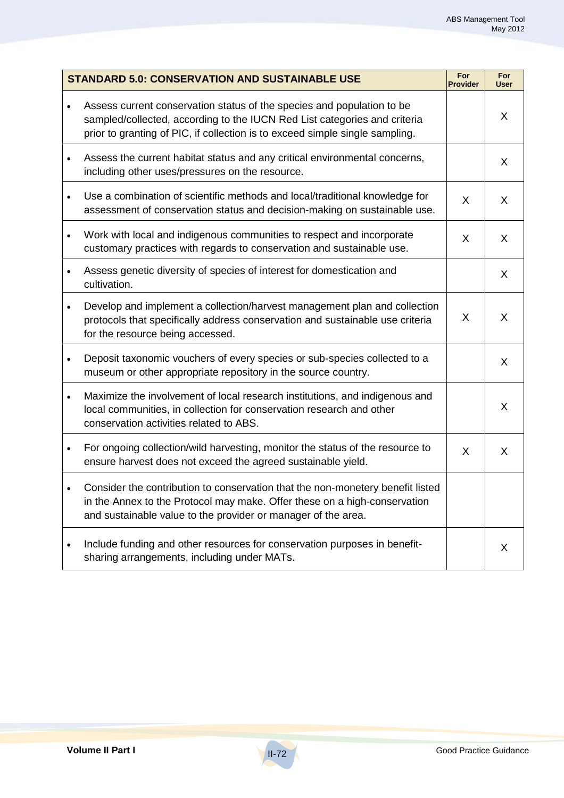| <b>STANDARD 5.0: CONSERVATION AND SUSTAINABLE USE</b> |                                                                                                                                                                                                                                     | For<br><b>Provider</b> | For<br><b>User</b> |
|-------------------------------------------------------|-------------------------------------------------------------------------------------------------------------------------------------------------------------------------------------------------------------------------------------|------------------------|--------------------|
| $\bullet$                                             | Assess current conservation status of the species and population to be<br>sampled/collected, according to the IUCN Red List categories and criteria<br>prior to granting of PIC, if collection is to exceed simple single sampling. |                        | X                  |
| $\bullet$                                             | Assess the current habitat status and any critical environmental concerns,<br>including other uses/pressures on the resource.                                                                                                       |                        | X                  |
| $\bullet$                                             | Use a combination of scientific methods and local/traditional knowledge for<br>assessment of conservation status and decision-making on sustainable use.                                                                            | X                      | X                  |
| $\bullet$                                             | Work with local and indigenous communities to respect and incorporate<br>customary practices with regards to conservation and sustainable use.                                                                                      | X                      | X                  |
| $\bullet$                                             | Assess genetic diversity of species of interest for domestication and<br>cultivation.                                                                                                                                               |                        | X                  |
| $\bullet$                                             | Develop and implement a collection/harvest management plan and collection<br>protocols that specifically address conservation and sustainable use criteria<br>for the resource being accessed.                                      | X                      | $\sf X$            |
| $\bullet$                                             | Deposit taxonomic vouchers of every species or sub-species collected to a<br>museum or other appropriate repository in the source country.                                                                                          |                        | X                  |
| $\bullet$                                             | Maximize the involvement of local research institutions, and indigenous and<br>local communities, in collection for conservation research and other<br>conservation activities related to ABS.                                      |                        | X                  |
| $\bullet$                                             | For ongoing collection/wild harvesting, monitor the status of the resource to<br>ensure harvest does not exceed the agreed sustainable yield.                                                                                       | X                      | X                  |
|                                                       | Consider the contribution to conservation that the non-monetery benefit listed<br>in the Annex to the Protocol may make. Offer these on a high-conservation<br>and sustainable value to the provider or manager of the area.        |                        |                    |
| ٠                                                     | Include funding and other resources for conservation purposes in benefit-<br>sharing arrangements, including under MATs.                                                                                                            |                        | X                  |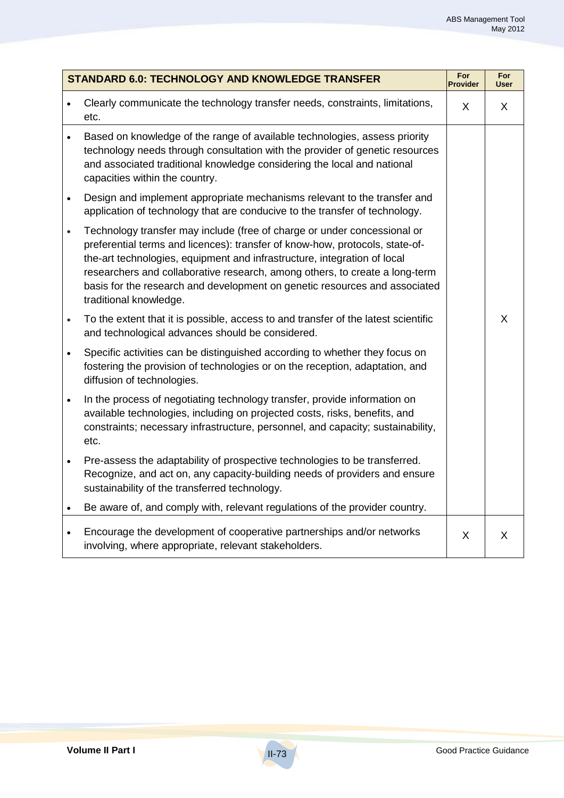| <b>STANDARD 6.0: TECHNOLOGY AND KNOWLEDGE TRANSFER</b> |                                                                                                                                                                                                                                                                                                                                                                                                                             | For<br><b>Provider</b> | For<br><b>User</b> |
|--------------------------------------------------------|-----------------------------------------------------------------------------------------------------------------------------------------------------------------------------------------------------------------------------------------------------------------------------------------------------------------------------------------------------------------------------------------------------------------------------|------------------------|--------------------|
|                                                        | Clearly communicate the technology transfer needs, constraints, limitations,<br>etc.                                                                                                                                                                                                                                                                                                                                        | X                      | X                  |
| $\bullet$                                              | Based on knowledge of the range of available technologies, assess priority<br>technology needs through consultation with the provider of genetic resources<br>and associated traditional knowledge considering the local and national<br>capacities within the country.                                                                                                                                                     |                        |                    |
| $\bullet$                                              | Design and implement appropriate mechanisms relevant to the transfer and<br>application of technology that are conducive to the transfer of technology.                                                                                                                                                                                                                                                                     |                        |                    |
| $\bullet$                                              | Technology transfer may include (free of charge or under concessional or<br>preferential terms and licences): transfer of know-how, protocols, state-of-<br>the-art technologies, equipment and infrastructure, integration of local<br>researchers and collaborative research, among others, to create a long-term<br>basis for the research and development on genetic resources and associated<br>traditional knowledge. |                        |                    |
| $\bullet$                                              | To the extent that it is possible, access to and transfer of the latest scientific<br>and technological advances should be considered.                                                                                                                                                                                                                                                                                      |                        | X                  |
| $\bullet$                                              | Specific activities can be distinguished according to whether they focus on<br>fostering the provision of technologies or on the reception, adaptation, and<br>diffusion of technologies.                                                                                                                                                                                                                                   |                        |                    |
| $\bullet$                                              | In the process of negotiating technology transfer, provide information on<br>available technologies, including on projected costs, risks, benefits, and<br>constraints; necessary infrastructure, personnel, and capacity; sustainability,<br>etc.                                                                                                                                                                          |                        |                    |
| $\bullet$                                              | Pre-assess the adaptability of prospective technologies to be transferred.<br>Recognize, and act on, any capacity-building needs of providers and ensure<br>sustainability of the transferred technology.                                                                                                                                                                                                                   |                        |                    |
| $\bullet$                                              | Be aware of, and comply with, relevant regulations of the provider country.                                                                                                                                                                                                                                                                                                                                                 |                        |                    |
| $\bullet$                                              | Encourage the development of cooperative partnerships and/or networks<br>involving, where appropriate, relevant stakeholders.                                                                                                                                                                                                                                                                                               | X                      | X                  |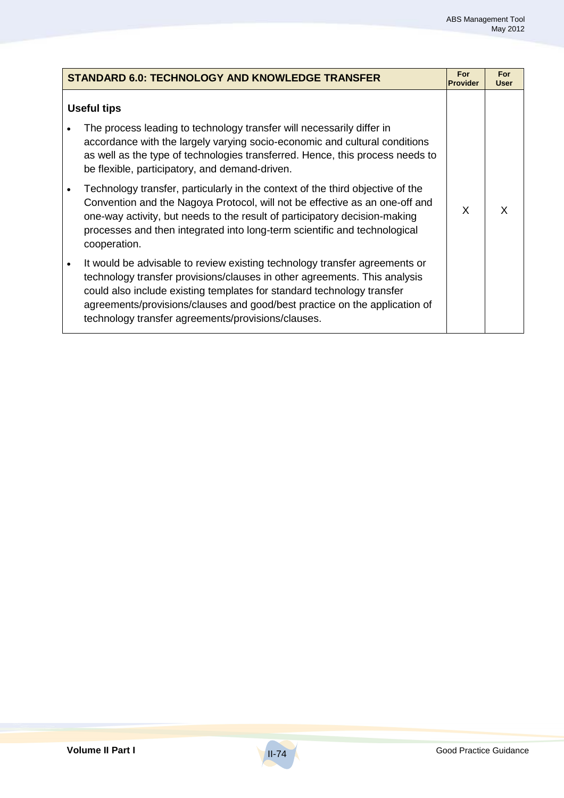|           | <b>STANDARD 6.0: TECHNOLOGY AND KNOWLEDGE TRANSFER</b>                                                                                                                                                                                                                                                                                                                | For<br><b>Provider</b> | For<br><b>User</b> |
|-----------|-----------------------------------------------------------------------------------------------------------------------------------------------------------------------------------------------------------------------------------------------------------------------------------------------------------------------------------------------------------------------|------------------------|--------------------|
|           | <b>Useful tips</b>                                                                                                                                                                                                                                                                                                                                                    |                        |                    |
|           | The process leading to technology transfer will necessarily differ in<br>accordance with the largely varying socio-economic and cultural conditions<br>as well as the type of technologies transferred. Hence, this process needs to<br>be flexible, participatory, and demand-driven.                                                                                |                        |                    |
|           | Technology transfer, particularly in the context of the third objective of the<br>Convention and the Nagoya Protocol, will not be effective as an one-off and<br>one-way activity, but needs to the result of participatory decision-making<br>processes and then integrated into long-term scientific and technological<br>cooperation.                              | X                      | x                  |
| $\bullet$ | It would be advisable to review existing technology transfer agreements or<br>technology transfer provisions/clauses in other agreements. This analysis<br>could also include existing templates for standard technology transfer<br>agreements/provisions/clauses and good/best practice on the application of<br>technology transfer agreements/provisions/clauses. |                        |                    |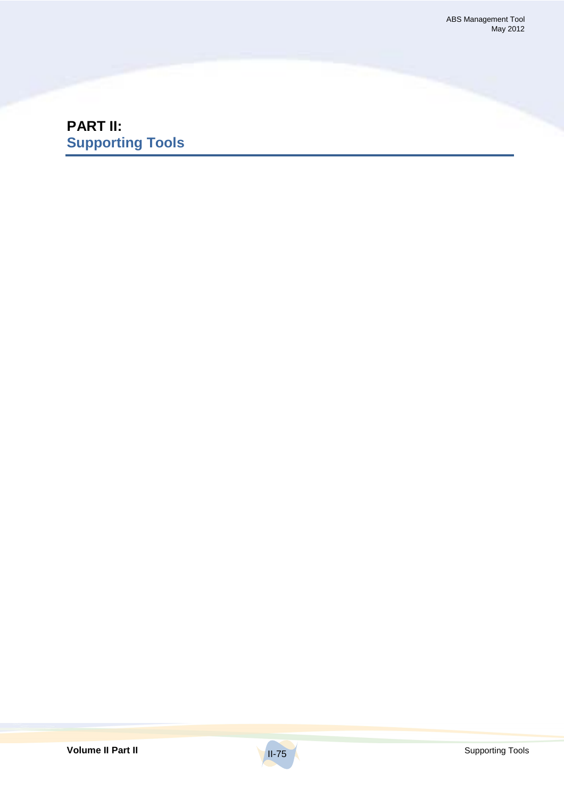# **PART II: Supporting Tools**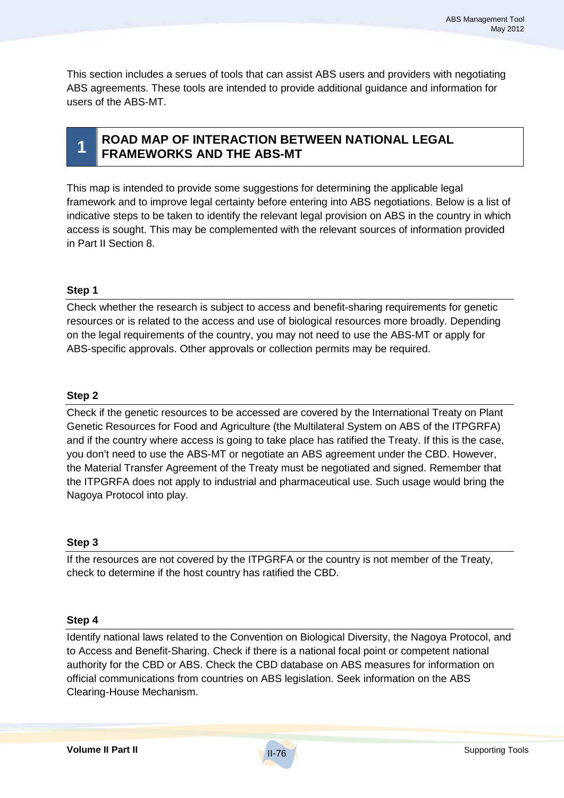This section includes a serues of tools that can assist ABS users and providers with negotiating ABS agreements. These tools are intended to provide additional guidance and information for users of the ABS-MT.



# **1 ROAD MAP OF INTERACTION BETWEEN NATIONAL LEGAL FRAMEWORKS AND THE ABS-MT**

This map is intended to provide some suggestions for determining the applicable legal framework and to improve legal certainty before entering into ABS negotiations. Below is a list of indicative steps to be taken to identify the relevant legal provision on ABS in the country in which access is sought. This may be complemented with the relevant sources of information provided in Part II Section 8.

## **Step 1**

Check whether the research is subject to access and benefit-sharing requirements for genetic resources or is related to the access and use of biological resources more broadly. Depending on the legal requirements of the country, you may not need to use the ABS-MT or apply for ABS-specific approvals. Other approvals or collection permits may be required.

### **Step 2**

Check if the genetic resources to be accessed are covered by the International Treaty on Plant Genetic Resources for Food and Agriculture (the Multilateral System on ABS of the ITPGRFA) and if the country where access is going to take place has ratified the Treaty. If this is the case, you don't need to use the ABS-MT or negotiate an ABS agreement under the CBD. However, the Material Transfer Agreement of the Treaty must be negotiated and signed. Remember that the ITPGRFA does not apply to industrial and pharmaceutical use. Such usage would bring the Nagoya Protocol into play.

### **Step 3**

If the resources are not covered by the ITPGRFA or the country is not member of the Treaty, check to determine if the host country has ratified the CBD.

### **Step 4**

Identify national laws related to the Convention on Biological Diversity, the Nagoya Protocol, and to Access and Benefit-Sharing. Check if there is a national focal point or competent national authority for the CBD or ABS. Check the CBD database on ABS measures for information on official communications from countries on ABS legislation. Seek information on the ABS Clearing-House Mechanism.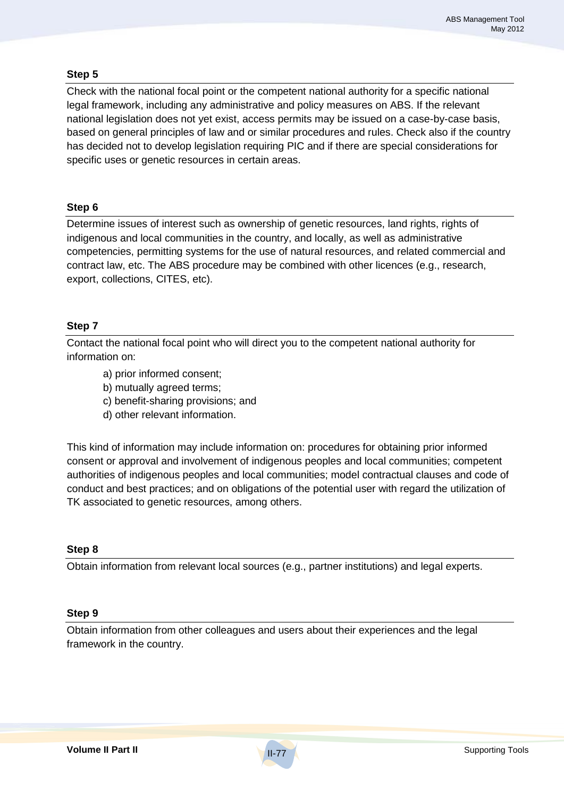## **Step 5**

Check with the national focal point or the competent national authority for a specific national legal framework, including any administrative and policy measures on ABS. If the relevant national legislation does not yet exist, access permits may be issued on a case-by-case basis, based on general principles of law and or similar procedures and rules. Check also if the country has decided not to develop legislation requiring PIC and if there are special considerations for specific uses or genetic resources in certain areas.

### **Step 6**

Determine issues of interest such as ownership of genetic resources, land rights, rights of indigenous and local communities in the country, and locally, as well as administrative competencies, permitting systems for the use of natural resources, and related commercial and contract law, etc. The ABS procedure may be combined with other licences (e.g., research, export, collections, CITES, etc).

## **Step 7**

Contact the national focal point who will direct you to the competent national authority for information on:

- a) prior informed consent;
- b) mutually agreed terms;
- c) benefit-sharing provisions; and
- d) other relevant information.

This kind of information may include information on: procedures for obtaining prior informed consent or approval and involvement of indigenous peoples and local communities; competent authorities of indigenous peoples and local communities; model contractual clauses and code of conduct and best practices; and on obligations of the potential user with regard the utilization of TK associated to genetic resources, among others.

### **Step 8**

Obtain information from relevant local sources (e.g., partner institutions) and legal experts.

### **Step 9**

Obtain information from other colleagues and users about their experiences and the legal framework in the country.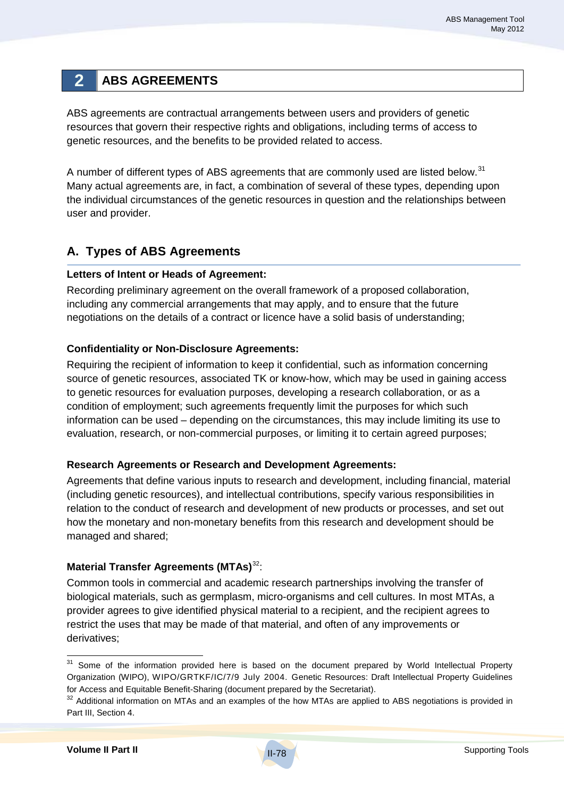# **2 ABS AGREEMENTS**

ABS agreements are contractual arrangements between users and providers of genetic resources that govern their respective rights and obligations, including terms of access to genetic resources, and the benefits to be provided related to access.

A number of different types of ABS agreements that are commonly used are listed below.<sup>31</sup> Many actual agreements are, in fact, a combination of several of these types, depending upon the individual circumstances of the genetic resources in question and the relationships between user and provider.

# **A. Types of ABS Agreements**

### **Letters of Intent or Heads of Agreement:**

Recording preliminary agreement on the overall framework of a proposed collaboration, including any commercial arrangements that may apply, and to ensure that the future negotiations on the details of a contract or licence have a solid basis of understanding;

### **Confidentiality or Non-Disclosure Agreements:**

Requiring the recipient of information to keep it confidential, such as information concerning source of genetic resources, associated TK or know-how, which may be used in gaining access to genetic resources for evaluation purposes, developing a research collaboration, or as a condition of employment; such agreements frequently limit the purposes for which such information can be used – depending on the circumstances, this may include limiting its use to evaluation, research, or non-commercial purposes, or limiting it to certain agreed purposes;

## **Research Agreements or Research and Development Agreements:**

Agreements that define various inputs to research and development, including financial, material (including genetic resources), and intellectual contributions, specify various responsibilities in relation to the conduct of research and development of new products or processes, and set out how the monetary and non-monetary benefits from this research and development should be managed and shared;

# **Material Transfer Agreements (MTAs)**<sup>32</sup> :

Common tools in commercial and academic research partnerships involving the transfer of biological materials, such as germplasm, micro-organisms and cell cultures. In most MTAs, a provider agrees to give identified physical material to a recipient, and the recipient agrees to restrict the uses that may be made of that material, and often of any improvements or derivatives;

<sup>&</sup>lt;sup>31</sup> Some of the information provided here is based on the document prepared by World Intellectual Property Organization (WIPO), WIPO/GRTKF/IC/7/9 July 2004. Genetic Resources: Draft Intellectual Property Guidelines for Access and Equitable Benefit-Sharing (document prepared by the Secretariat).

<sup>&</sup>lt;sup>32</sup> Additional information on MTAs and an examples of the how MTAs are applied to ABS negotiations is provided in Part III, Section 4.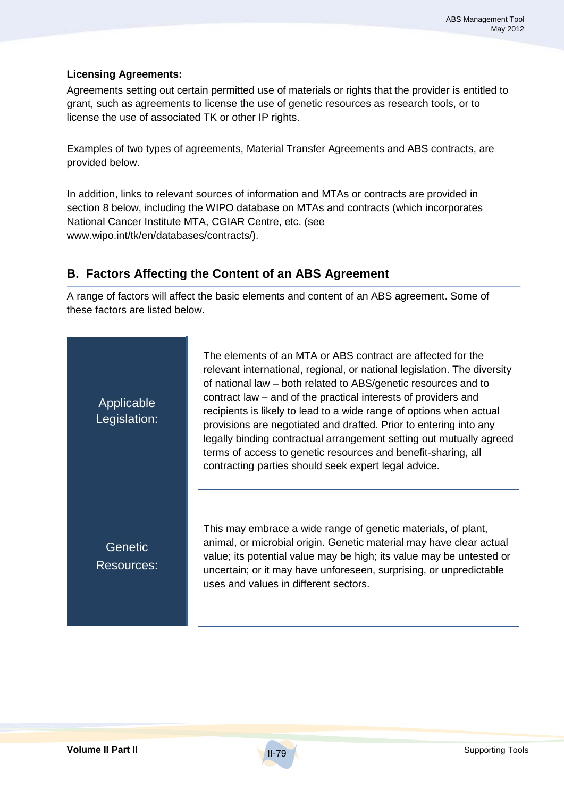## **Licensing Agreements:**

Agreements setting out certain permitted use of materials or rights that the provider is entitled to grant, such as agreements to license the use of genetic resources as research tools, or to license the use of associated TK or other IP rights.

Examples of two types of agreements, Material Transfer Agreements and ABS contracts, are provided below.

In addition, links to relevant sources of information and MTAs or contracts are provided in section 8 below, including the WIPO database on MTAs and contracts (which incorporates National Cancer Institute MTA, CGIAR Centre, etc. (see www.wipo.int/tk/en/databases/contracts/).

# **B. Factors Affecting the Content of an ABS Agreement**

A range of factors will affect the basic elements and content of an ABS agreement. Some of these factors are listed below.

| Applicable<br>Legislation:   | The elements of an MTA or ABS contract are affected for the<br>relevant international, regional, or national legislation. The diversity<br>of national law – both related to ABS/genetic resources and to<br>contract law – and of the practical interests of providers and<br>recipients is likely to lead to a wide range of options when actual<br>provisions are negotiated and drafted. Prior to entering into any<br>legally binding contractual arrangement setting out mutually agreed<br>terms of access to genetic resources and benefit-sharing, all<br>contracting parties should seek expert legal advice. |
|------------------------------|-------------------------------------------------------------------------------------------------------------------------------------------------------------------------------------------------------------------------------------------------------------------------------------------------------------------------------------------------------------------------------------------------------------------------------------------------------------------------------------------------------------------------------------------------------------------------------------------------------------------------|
| Genetic<br><b>Resources:</b> | This may embrace a wide range of genetic materials, of plant,<br>animal, or microbial origin. Genetic material may have clear actual<br>value; its potential value may be high; its value may be untested or<br>uncertain; or it may have unforeseen, surprising, or unpredictable<br>uses and values in different sectors.                                                                                                                                                                                                                                                                                             |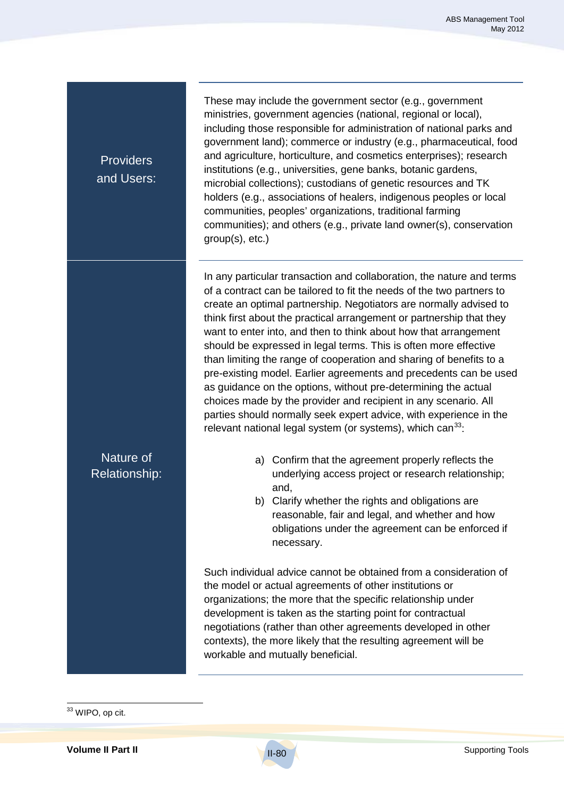**Providers** and Users:

Nature of Relationship: These may include the government sector (e.g., government ministries, government agencies (national, regional or local), including those responsible for administration of national parks and government land); commerce or industry (e.g., pharmaceutical, food and agriculture, horticulture, and cosmetics enterprises); research institutions (e.g., universities, gene banks, botanic gardens, microbial collections); custodians of genetic resources and TK holders (e.g., associations of healers, indigenous peoples or local communities, peoples' organizations, traditional farming communities); and others (e.g., private land owner(s), conservation group(s), etc.)

In any particular transaction and collaboration, the nature and terms of a contract can be tailored to fit the needs of the two partners to create an optimal partnership. Negotiators are normally advised to think first about the practical arrangement or partnership that they want to enter into, and then to think about how that arrangement should be expressed in legal terms. This is often more effective than limiting the range of cooperation and sharing of benefits to a pre-existing model. Earlier agreements and precedents can be used as guidance on the options, without pre-determining the actual choices made by the provider and recipient in any scenario. All parties should normally seek expert advice, with experience in the relevant national legal system (or systems), which  $can<sup>33</sup>$ :

- a) Confirm that the agreement properly reflects the underlying access project or research relationship; and,
- b) Clarify whether the rights and obligations are reasonable, fair and legal, and whether and how obligations under the agreement can be enforced if necessary.

Such individual advice cannot be obtained from a consideration of the model or actual agreements of other institutions or organizations; the more that the specific relationship under development is taken as the starting point for contractual negotiations (rather than other agreements developed in other contexts), the more likely that the resulting agreement will be workable and mutually beneficial.

<sup>&</sup>lt;sup>33</sup> WIPO, op cit.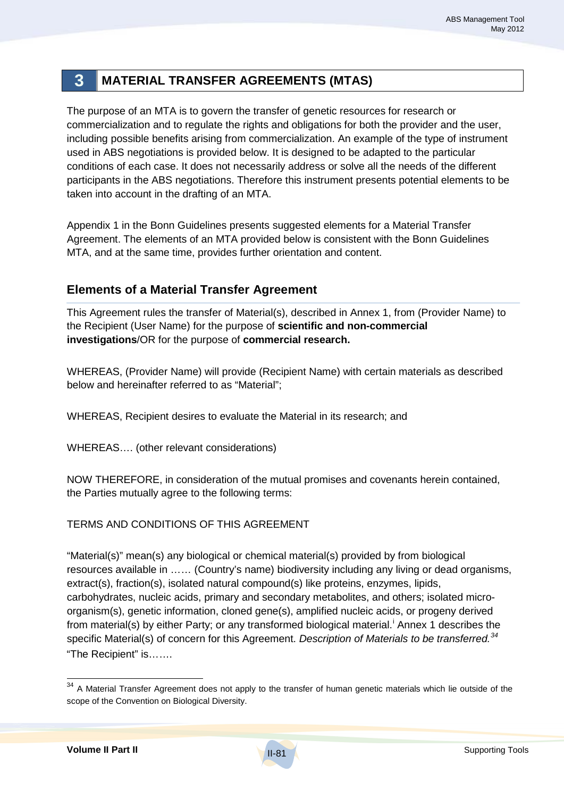# **3 MATERIAL TRANSFER AGREEMENTS (MTAS)**

The purpose of an MTA is to govern the transfer of genetic resources for research or commercialization and to regulate the rights and obligations for both the provider and the user, including possible benefits arising from commercialization. An example of the type of instrument used in ABS negotiations is provided below. It is designed to be adapted to the particular conditions of each case. It does not necessarily address or solve all the needs of the different participants in the ABS negotiations. Therefore this instrument presents potential elements to be taken into account in the drafting of an MTA.

Appendix 1 in the Bonn Guidelines presents suggested elements for a Material Transfer Agreement. The elements of an MTA provided below is consistent with the Bonn Guidelines MTA, and at the same time, provides further orientation and content.

# **Elements of a Material Transfer Agreement**

This Agreement rules the transfer of Material(s), described in Annex 1, from (Provider Name) to the Recipient (User Name) for the purpose of **scientific and non-commercial investigations**/OR for the purpose of **commercial research.** 

WHEREAS, (Provider Name) will provide (Recipient Name) with certain materials as described below and hereinafter referred to as "Material";

WHEREAS, Recipient desires to evaluate the Material in its research; and

WHEREAS…. (other relevant considerations)

NOW THEREFORE, in consideration of the mutual promises and covenants herein contained, the Parties mutually agree to the following terms:

## TERMS AND CONDITIONS OF THIS AGREEMENT

"Material(s)" mean(s) any biological or chemical material(s) provided by from biological resources available in …… (Country's name) biodiversity including any living or dead organisms, extract(s), fraction(s), isolated natural compound(s) like proteins, enzymes, lipids, carbohydrates, nucleic acids, primary and secondary metabolites, and others; isolated microorganism(s), genetic information, cloned gene(s), amplified nucleic acids, or progeny derived from material(s) by either Party; or any transformed biological material.<sup>i</sup> Annex 1 describes the specific Material(s) of concern for this Agreement. *Description of Materials to be transferred.<sup>34</sup>* "The Recipient" is…….

<sup>&</sup>lt;sup>34</sup> A Material Transfer Agreement does not apply to the transfer of human genetic materials which lie outside of the scope of the Convention on Biological Diversity.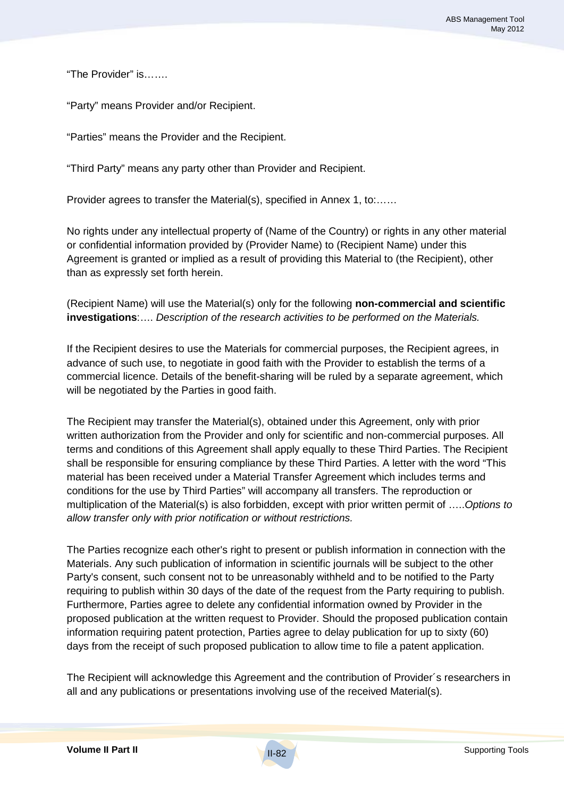"The Provider" is…….

"Party" means Provider and/or Recipient.

"Parties" means the Provider and the Recipient.

"Third Party" means any party other than Provider and Recipient.

Provider agrees to transfer the Material(s), specified in Annex 1, to:……

No rights under any intellectual property of (Name of the Country) or rights in any other material or confidential information provided by (Provider Name) to (Recipient Name) under this Agreement is granted or implied as a result of providing this Material to (the Recipient), other than as expressly set forth herein.

(Recipient Name) will use the Material(s) only for the following **non-commercial and scientific investigations**:…. *Description of the research activities to be performed on the Materials.*

If the Recipient desires to use the Materials for commercial purposes, the Recipient agrees, in advance of such use, to negotiate in good faith with the Provider to establish the terms of a commercial licence. Details of the benefit-sharing will be ruled by a separate agreement, which will be negotiated by the Parties in good faith.

The Recipient may transfer the Material(s), obtained under this Agreement, only with prior written authorization from the Provider and only for scientific and non-commercial purposes. All terms and conditions of this Agreement shall apply equally to these Third Parties. The Recipient shall be responsible for ensuring compliance by these Third Parties. A letter with the word "This material has been received under a Material Transfer Agreement which includes terms and conditions for the use by Third Parties" will accompany all transfers. The reproduction or multiplication of the Material(s) is also forbidden, except with prior written permit of …..*Options to allow transfer only with prior notification or without restrictions.*

The Parties recognize each other's right to present or publish information in connection with the Materials. Any such publication of information in scientific journals will be subject to the other Party's consent, such consent not to be unreasonably withheld and to be notified to the Party requiring to publish within 30 days of the date of the request from the Party requiring to publish. Furthermore, Parties agree to delete any confidential information owned by Provider in the proposed publication at the written request to Provider. Should the proposed publication contain information requiring patent protection, Parties agree to delay publication for up to sixty (60) days from the receipt of such proposed publication to allow time to file a patent application.

The Recipient will acknowledge this Agreement and the contribution of Provider´s researchers in all and any publications or presentations involving use of the received Material(s).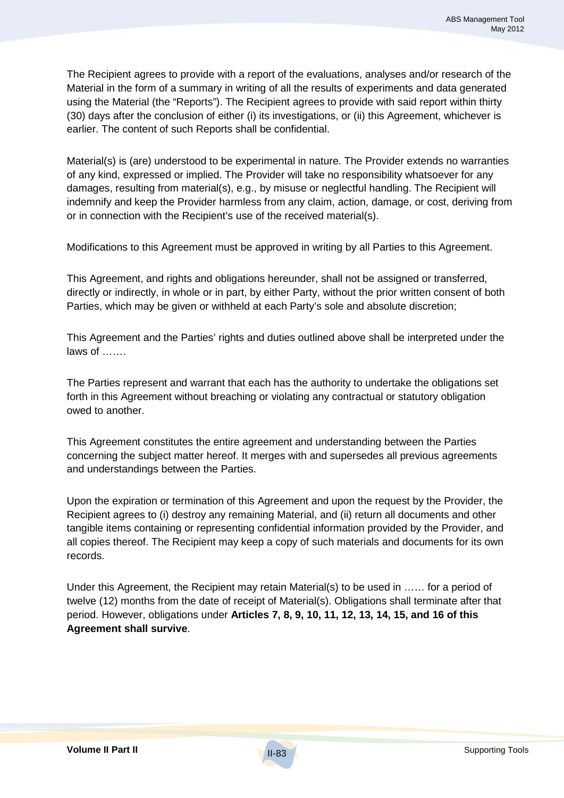The Recipient agrees to provide with a report of the evaluations, analyses and/or research of the Material in the form of a summary in writing of all the results of experiments and data generated using the Material (the "Reports"). The Recipient agrees to provide with said report within thirty (30) days after the conclusion of either (i) its investigations, or (ii) this Agreement, whichever is earlier. The content of such Reports shall be confidential.

Material(s) is (are) understood to be experimental in nature. The Provider extends no warranties of any kind, expressed or implied. The Provider will take no responsibility whatsoever for any damages, resulting from material(s), e.g., by misuse or neglectful handling. The Recipient will indemnify and keep the Provider harmless from any claim, action, damage, or cost, deriving from or in connection with the Recipient's use of the received material(s).

Modifications to this Agreement must be approved in writing by all Parties to this Agreement.

This Agreement, and rights and obligations hereunder, shall not be assigned or transferred, directly or indirectly, in whole or in part, by either Party, without the prior written consent of both Parties, which may be given or withheld at each Party's sole and absolute discretion;

This Agreement and the Parties' rights and duties outlined above shall be interpreted under the laws of …….

The Parties represent and warrant that each has the authority to undertake the obligations set forth in this Agreement without breaching or violating any contractual or statutory obligation owed to another.

This Agreement constitutes the entire agreement and understanding between the Parties concerning the subject matter hereof. It merges with and supersedes all previous agreements and understandings between the Parties.

Upon the expiration or termination of this Agreement and upon the request by the Provider, the Recipient agrees to (i) destroy any remaining Material, and (ii) return all documents and other tangible items containing or representing confidential information provided by the Provider, and all copies thereof. The Recipient may keep a copy of such materials and documents for its own records.

Under this Agreement, the Recipient may retain Material(s) to be used in …… for a period of twelve (12) months from the date of receipt of Material(s). Obligations shall terminate after that period. However, obligations under **Articles 7, 8, 9, 10, 11, 12, 13, 14, 15, and 16 of this Agreement shall survive**.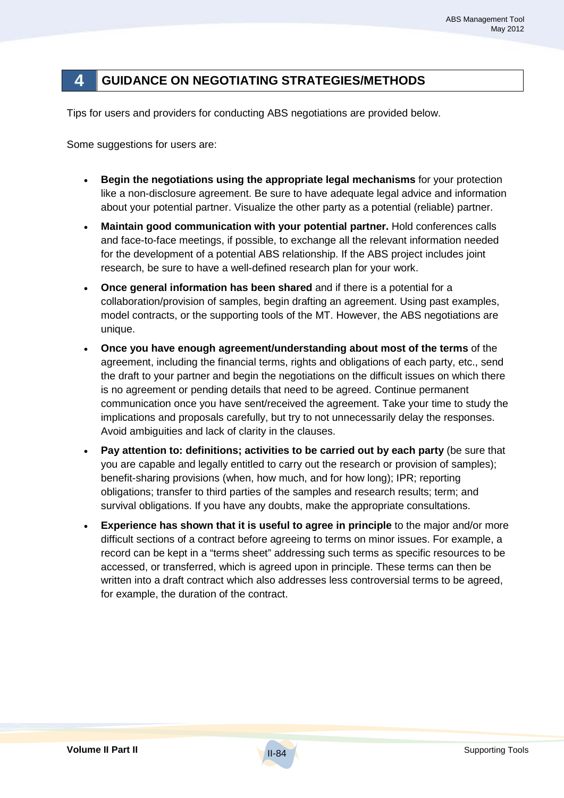# **4 GUIDANCE ON NEGOTIATING STRATEGIES/METHODS**

Tips for users and providers for conducting ABS negotiations are provided below.

Some suggestions for users are:

- **Begin the negotiations using the appropriate legal mechanisms** for your protection like a non-disclosure agreement. Be sure to have adequate legal advice and information about your potential partner. Visualize the other party as a potential (reliable) partner.
- **Maintain good communication with your potential partner.** Hold conferences calls and face-to-face meetings, if possible, to exchange all the relevant information needed for the development of a potential ABS relationship. If the ABS project includes joint research, be sure to have a well-defined research plan for your work.
- **Once general information has been shared** and if there is a potential for a collaboration/provision of samples, begin drafting an agreement. Using past examples, model contracts, or the supporting tools of the MT. However, the ABS negotiations are unique.
- **Once you have enough agreement/understanding about most of the terms** of the agreement, including the financial terms, rights and obligations of each party, etc., send the draft to your partner and begin the negotiations on the difficult issues on which there is no agreement or pending details that need to be agreed. Continue permanent communication once you have sent/received the agreement. Take your time to study the implications and proposals carefully, but try to not unnecessarily delay the responses. Avoid ambiguities and lack of clarity in the clauses.
- **Pay attention to: definitions; activities to be carried out by each party** (be sure that you are capable and legally entitled to carry out the research or provision of samples); benefit-sharing provisions (when, how much, and for how long); IPR; reporting obligations; transfer to third parties of the samples and research results; term; and survival obligations. If you have any doubts, make the appropriate consultations.
- **Experience has shown that it is useful to agree in principle** to the major and/or more difficult sections of a contract before agreeing to terms on minor issues. For example, a record can be kept in a "terms sheet" addressing such terms as specific resources to be accessed, or transferred, which is agreed upon in principle. These terms can then be written into a draft contract which also addresses less controversial terms to be agreed, for example, the duration of the contract.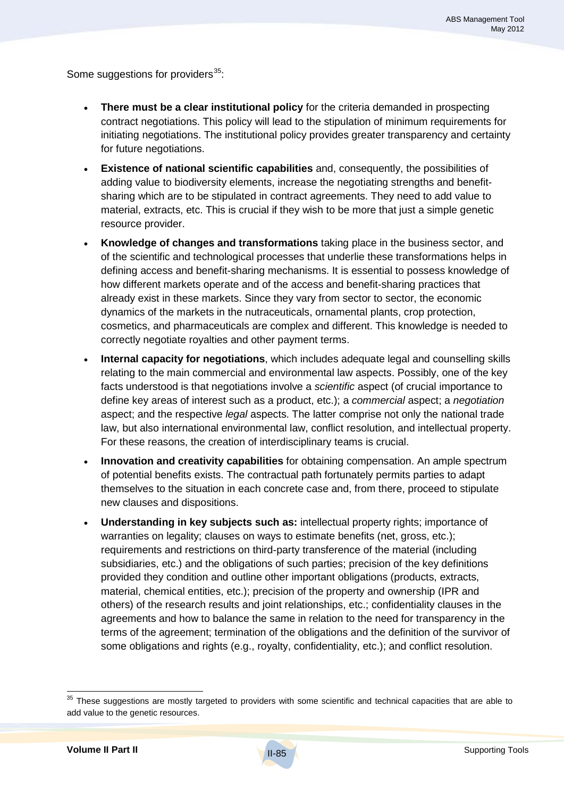Some suggestions for providers $35$ :

- **There must be a clear institutional policy** for the criteria demanded in prospecting contract negotiations. This policy will lead to the stipulation of minimum requirements for initiating negotiations. The institutional policy provides greater transparency and certainty for future negotiations.
- **Existence of national scientific capabilities** and, consequently, the possibilities of adding value to biodiversity elements, increase the negotiating strengths and benefitsharing which are to be stipulated in contract agreements. They need to add value to material, extracts, etc. This is crucial if they wish to be more that just a simple genetic resource provider.
- **Knowledge of changes and transformations** taking place in the business sector, and of the scientific and technological processes that underlie these transformations helps in defining access and benefit-sharing mechanisms. It is essential to possess knowledge of how different markets operate and of the access and benefit-sharing practices that already exist in these markets. Since they vary from sector to sector, the economic dynamics of the markets in the nutraceuticals, ornamental plants, crop protection, cosmetics, and pharmaceuticals are complex and different. This knowledge is needed to correctly negotiate royalties and other payment terms.
- **Internal capacity for negotiations**, which includes adequate legal and counselling skills relating to the main commercial and environmental law aspects. Possibly, one of the key facts understood is that negotiations involve a *scientific* aspect (of crucial importance to define key areas of interest such as a product, etc.); a *commercial* aspect; a *negotiation* aspect; and the respective *legal* aspects. The latter comprise not only the national trade law, but also international environmental law, conflict resolution, and intellectual property. For these reasons, the creation of interdisciplinary teams is crucial.
- **Innovation and creativity capabilities** for obtaining compensation. An ample spectrum of potential benefits exists. The contractual path fortunately permits parties to adapt themselves to the situation in each concrete case and, from there, proceed to stipulate new clauses and dispositions.
- **Understanding in key subjects such as:** intellectual property rights; importance of warranties on legality; clauses on ways to estimate benefits (net, gross, etc.); requirements and restrictions on third-party transference of the material (including subsidiaries, etc.) and the obligations of such parties; precision of the key definitions provided they condition and outline other important obligations (products, extracts, material, chemical entities, etc.); precision of the property and ownership (IPR and others) of the research results and joint relationships, etc.; confidentiality clauses in the agreements and how to balance the same in relation to the need for transparency in the terms of the agreement; termination of the obligations and the definition of the survivor of some obligations and rights (e.g., royalty, confidentiality, etc.); and conflict resolution.

 $35$  These suggestions are mostly targeted to providers with some scientific and technical capacities that are able to add value to the genetic resources.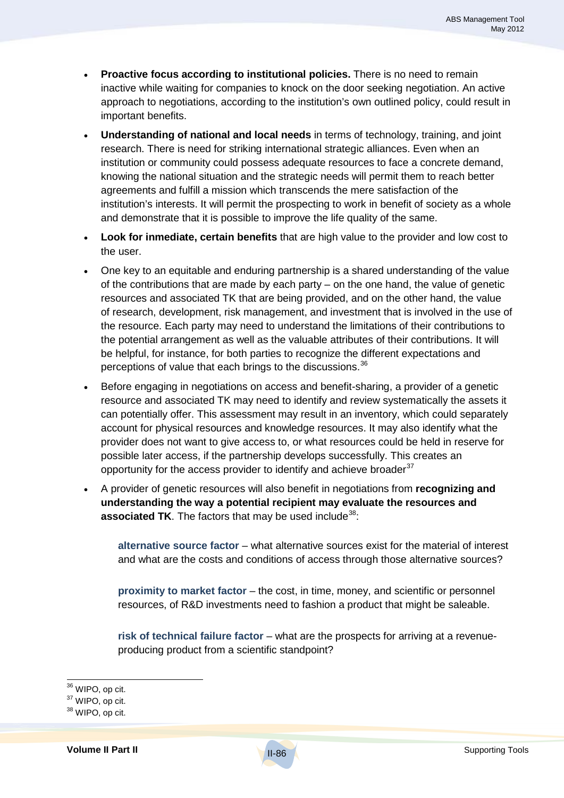- **Proactive focus according to institutional policies.** There is no need to remain inactive while waiting for companies to knock on the door seeking negotiation. An active approach to negotiations, according to the institution's own outlined policy, could result in important benefits.
- **Understanding of national and local needs** in terms of technology, training, and joint research. There is need for striking international strategic alliances. Even when an institution or community could possess adequate resources to face a concrete demand, knowing the national situation and the strategic needs will permit them to reach better agreements and fulfill a mission which transcends the mere satisfaction of the institution's interests. It will permit the prospecting to work in benefit of society as a whole and demonstrate that it is possible to improve the life quality of the same.
- **Look for inmediate, certain benefits** that are high value to the provider and low cost to the user.
- One key to an equitable and enduring partnership is a shared understanding of the value of the contributions that are made by each party – on the one hand, the value of genetic resources and associated TK that are being provided, and on the other hand, the value of research, development, risk management, and investment that is involved in the use of the resource. Each party may need to understand the limitations of their contributions to the potential arrangement as well as the valuable attributes of their contributions. It will be helpful, for instance, for both parties to recognize the different expectations and perceptions of value that each brings to the discussions.<sup>36</sup>
- Before engaging in negotiations on access and benefit-sharing, a provider of a genetic resource and associated TK may need to identify and review systematically the assets it can potentially offer. This assessment may result in an inventory, which could separately account for physical resources and knowledge resources. It may also identify what the provider does not want to give access to, or what resources could be held in reserve for possible later access, if the partnership develops successfully. This creates an opportunity for the access provider to identify and achieve broader $37$
- A provider of genetic resources will also benefit in negotiations from **recognizing and understanding the way a potential recipient may evaluate the resources and associated TK**. The factors that may be used include<sup>38</sup>:

**alternative source factor** – what alternative sources exist for the material of interest and what are the costs and conditions of access through those alternative sources?

**proximity to market factor** – the cost, in time, money, and scientific or personnel resources, of R&D investments need to fashion a product that might be saleable.

**risk of technical failure factor** – what are the prospects for arriving at a revenueproducing product from a scientific standpoint?

36 WIPO, op cit.

<sup>&</sup>lt;sup>37</sup> WIPO, op cit.

<sup>38</sup> WIPO, op cit.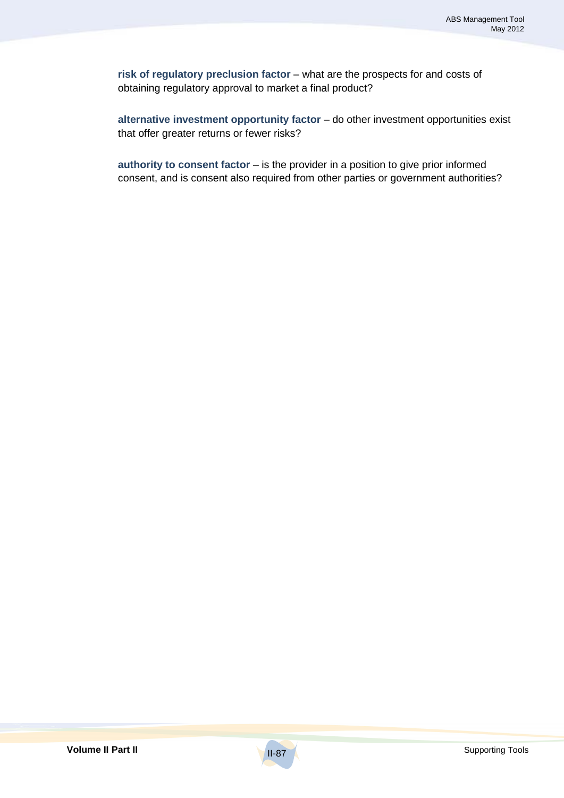**risk of regulatory preclusion factor** – what are the prospects for and costs of obtaining regulatory approval to market a final product?

**alternative investment opportunity factor** – do other investment opportunities exist that offer greater returns or fewer risks?

**authority to consent factor** – is the provider in a position to give prior informed consent, and is consent also required from other parties or government authorities?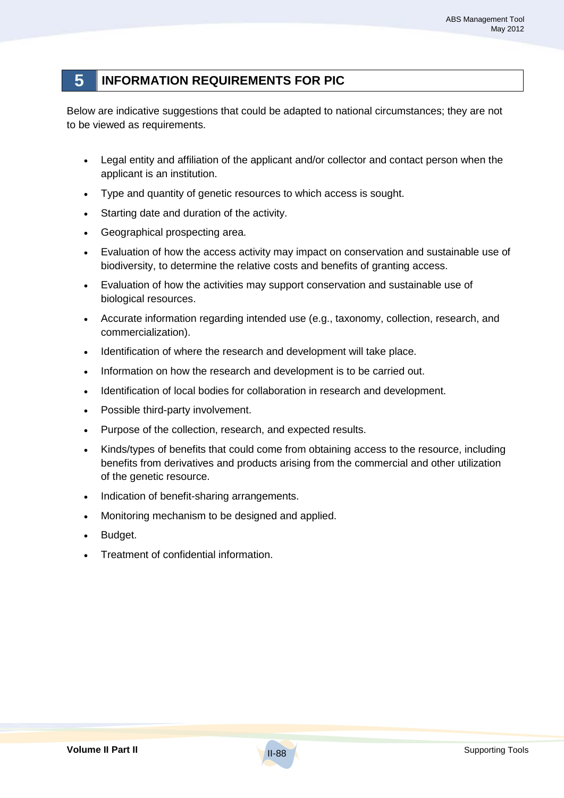# **5 INFORMATION REQUIREMENTS FOR PIC**

Below are indicative suggestions that could be adapted to national circumstances; they are not to be viewed as requirements.

- Legal entity and affiliation of the applicant and/or collector and contact person when the applicant is an institution.
- Type and quantity of genetic resources to which access is sought.
- Starting date and duration of the activity.
- Geographical prospecting area.
- Evaluation of how the access activity may impact on conservation and sustainable use of biodiversity, to determine the relative costs and benefits of granting access.
- Evaluation of how the activities may support conservation and sustainable use of biological resources.
- Accurate information regarding intended use (e.g., taxonomy, collection, research, and commercialization).
- Identification of where the research and development will take place.
- Information on how the research and development is to be carried out.
- Identification of local bodies for collaboration in research and development.
- Possible third-party involvement.
- Purpose of the collection, research, and expected results.
- Kinds/types of benefits that could come from obtaining access to the resource, including benefits from derivatives and products arising from the commercial and other utilization of the genetic resource.
- Indication of benefit-sharing arrangements.
- Monitoring mechanism to be designed and applied.
- Budget.
- Treatment of confidential information.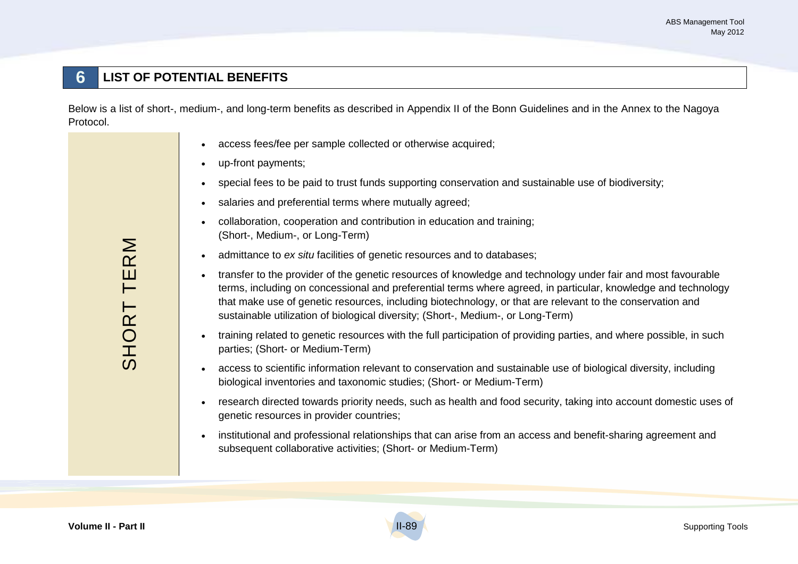# **6 LIST OF POTENTIAL BENEFITS**

Below is a list of short-, medium-, and long-term benefits as described in Appendix II of the Bonn Guidelines and in the Annex to the Nagoya Protocol.

- access fees/fee per sample collected or otherwise acquired;
- up-front payments;
- special fees to be paid to trust funds supporting conservation and sustainable use of biodiversity;
- salaries and preferential terms where mutually agreed;
- collaboration, cooperation and contribution in education and training; (Short-, Medium-, or Long-Term)
- admittance to *ex situ* facilities of genetic resources and to databases;
- transfer to the provider of the genetic resources of knowledge and technology under fair and most favourable terms, including on concessional and preferential terms where agreed, in particular, knowledge and technology that make use of genetic resources, including biotechnology, or that are relevant to the conservation and sustainable utilization of biological diversity; (Short-, Medium-, or Long-Term)
- training related to genetic resources with the full participation of providing parties, and where possible, in such parties; (Short- or Medium-Term)
- access to scientific information relevant to conservation and sustainable use of biological diversity, including biological inventories and taxonomic studies; (Short- or Medium-Term)
- research directed towards priority needs, such as health and food security, taking into account domestic uses of genetic resources in provider countries;
- institutional and professional relationships that can arise from an access and benefit-sharing agreement and subsequent collaborative activities; (Short- or Medium-Term)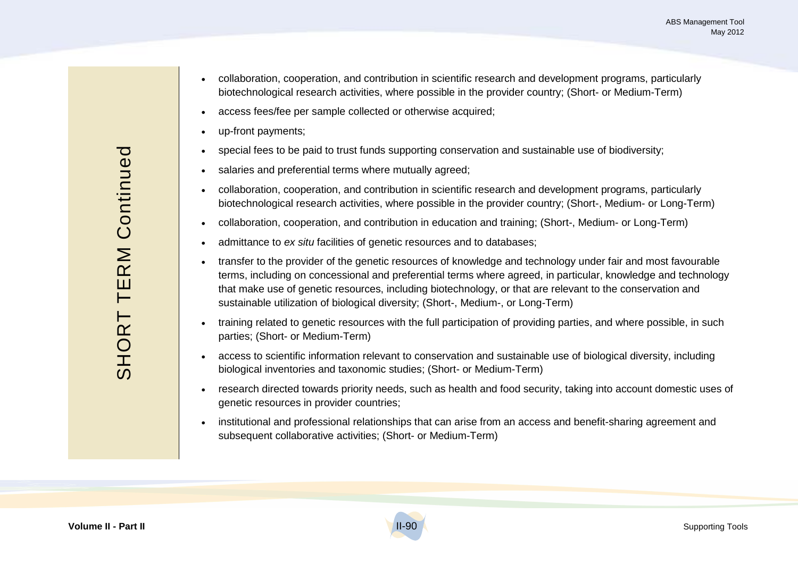- collaboration, cooperation, and contribution in scientific research and development programs, particularly biotechnological research activities, where possible in the provider country; (Short- or Medium-Term)
- access fees/fee per sample collected or otherwise acquired;
- up-front payments;
- special fees to be paid to trust funds supporting conservation and sustainable use of biodiversity;
- salaries and preferential terms where mutually agreed;
- collaboration, cooperation, and contribution in scientific research and development programs, particularly biotechnological research activities, where possible in the provider country; (Short-, Medium- or Long-Term)
- collaboration, cooperation, and contribution in education and training; (Short-, Medium- or Long-Term)
- admittance to *ex situ* facilities of genetic resources and to databases;
- transfer to the provider of the genetic resources of knowledge and technology under fair and most favourable terms, including on concessional and preferential terms where agreed, in particular, knowledge and technology that make use of genetic resources, including biotechnology, or that are relevant to the conservation and sustainable utilization of biological diversity; (Short-, Medium-, or Long-Term)
- training related to genetic resources with the full participation of providing parties, and where possible, in such parties; (Short- or Medium-Term)
- access to scientific information relevant to conservation and sustainable use of biological diversity, including biological inventories and taxonomic studies; (Short- or Medium-Term)
- research directed towards priority needs, such as health and food security, taking into account domestic uses of genetic resources in provider countries;
- institutional and professional relationships that can arise from an access and benefit-sharing agreement and subsequent collaborative activities; (Short- or Medium-Term)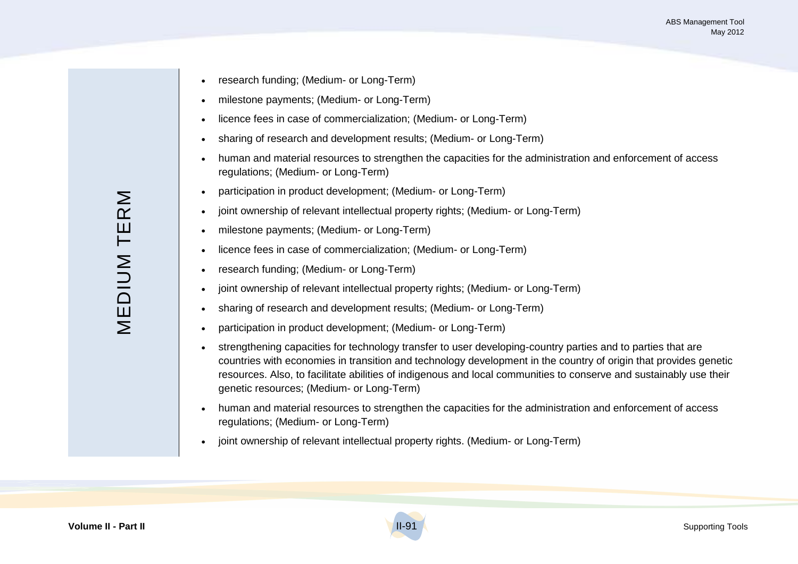- research funding; (Medium- or Long-Term)
- milestone payments; (Medium- or Long-Term)
- licence fees in case of commercialization; (Medium- or Long-Term)
- sharing of research and development results; (Medium- or Long-Term)
- human and material resources to strengthen the capacities for the administration and enforcement of access regulations; (Medium- or Long-Term)
- participation in product development; (Medium- or Long-Term)
- joint ownership of relevant intellectual property rights; (Medium- or Long-Term)
- milestone payments; (Medium- or Long-Term)
- licence fees in case of commercialization; (Medium- or Long-Term)
- research funding; (Medium- or Long-Term)
- joint ownership of relevant intellectual property rights; (Medium- or Long-Term)
- sharing of research and development results; (Medium- or Long-Term)
- participation in product development; (Medium- or Long-Term)
- strengthening capacities for technology transfer to user developing-country parties and to parties that are countries with economies in transition and technology development in the country of origin that provides genetic resources. Also, to facilitate abilities of indigenous and local communities to conserve and sustainably use their genetic resources; (Medium- or Long-Term)
- human and material resources to strengthen the capacities for the administration and enforcement of access regulations; (Medium- or Long-Term)
- joint ownership of relevant intellectual property rights. (Medium- or Long-Term)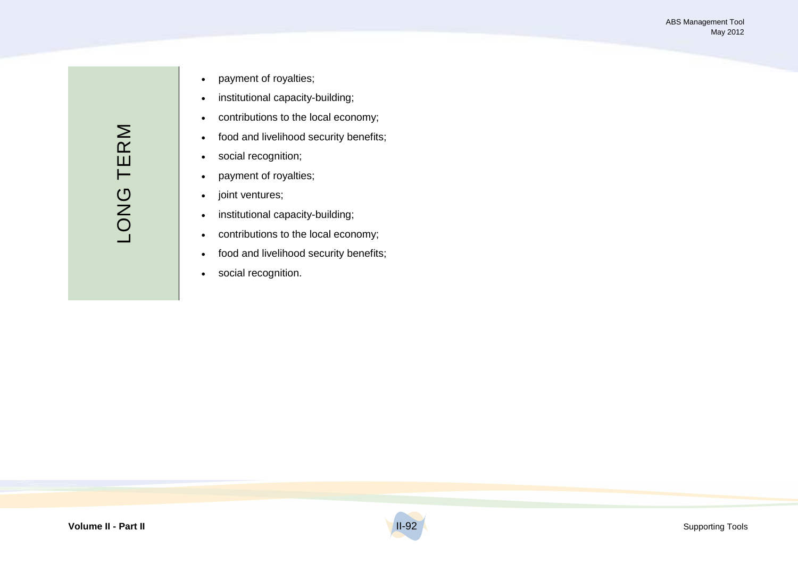- payment of royalties;
- institutional capacity-building;
- contributions to the local economy;
- food and livelihood security benefits;
- social recognition;
- payment of royalties;
- joint ventures;
- institutional capacity-building;
- contributions to the local economy;
- food and livelihood security benefits;
- social recognition.

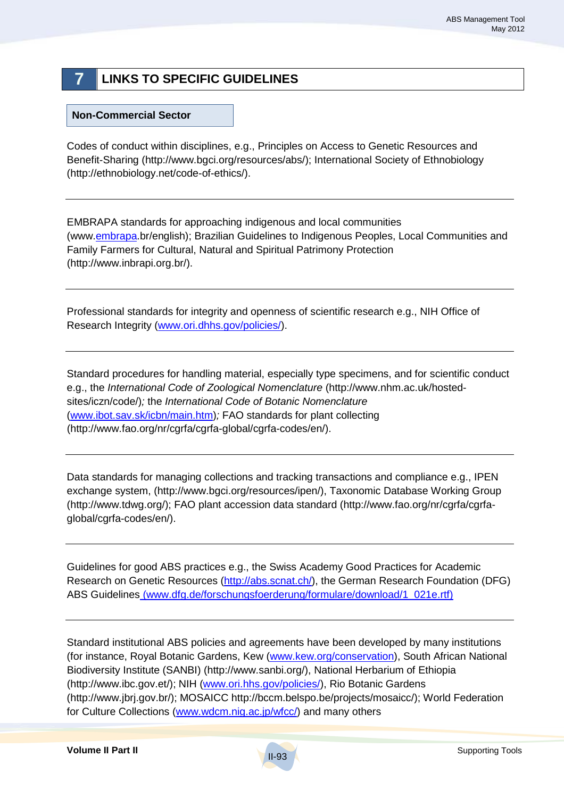# **7 LINKS TO SPECIFIC GUIDELINES**

#### **Non-Commercial Sector**

Codes of conduct within disciplines, e.g., Principles on Access to Genetic Resources and Benefit-Sharing (http://www.bgci.org/resources/abs/); International Society of Ethnobiology (http://ethnobiology.net/code-of-ethics/).

EMBRAPA standards for approaching indigenous and local communities (www.embrapa.br/english); Brazilian Guidelines to Indigenous Peoples, Local Communities and Family Farmers for Cultural, Natural and Spiritual Patrimony Protection (http://www.inbrapi.org.br/).

Professional standards for integrity and openness of scientific research e.g., NIH Office of Research Integrity (www.ori.dhhs.gov/policies/).

Standard procedures for handling material, especially type specimens, and for scientific conduct e.g., the *International Code of Zoological Nomenclature* (http://www.nhm.ac.uk/hostedsites/iczn/code/)*;* the *International Code of Botanic Nomenclature*  (www.ibot.sav.sk/icbn/main.htm)*;* FAO standards for plant collecting (http://www.fao.org/nr/cgrfa/cgrfa-global/cgrfa-codes/en/).

Data standards for managing collections and tracking transactions and compliance e.g., IPEN exchange system, (http://www.bgci.org/resources/ipen/), Taxonomic Database Working Group (http://www.tdwg.org/); FAO plant accession data standard (http://www.fao.org/nr/cgrfa/cgrfaglobal/cgrfa-codes/en/).

Guidelines for good ABS practices e.g., the Swiss Academy Good Practices for Academic Research on Genetic Resources (http://abs.scnat.ch/), the German Research Foundation (DFG) ABS Guidelines (www.dfg.de/forschungsfoerderung/formulare/download/1\_021e.rtf)

Standard institutional ABS policies and agreements have been developed by many institutions (for instance, Royal Botanic Gardens, Kew (www.kew.org/conservation), South African National Biodiversity Institute (SANBI) (http://www.sanbi.org/), National Herbarium of Ethiopia (http://www.ibc.gov.et/); NIH (www.ori.hhs.gov/policies/), Rio Botanic Gardens (http://www.jbrj.gov.br/); MOSAICC http://bccm.belspo.be/projects/mosaicc/); World Federation for Culture Collections (www.wdcm.nig.ac.jp/wfcc/) and many others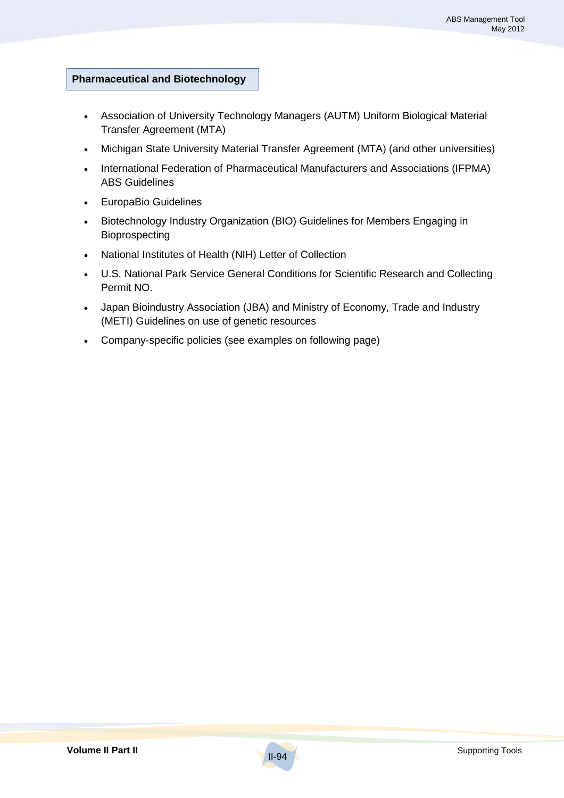## **Pharmaceutical and Biotechnology**

- Association of University Technology Managers (AUTM) Uniform Biological Material Transfer Agreement (MTA)
- Michigan State University Material Transfer Agreement (MTA) (and other universities)
- International Federation of Pharmaceutical Manufacturers and Associations (IFPMA) ABS Guidelines
- EuropaBio Guidelines
- Biotechnology Industry Organization (BIO) Guidelines for Members Engaging in Bioprospecting
- National Institutes of Health (NIH) Letter of Collection
- U.S. National Park Service General Conditions for Scientific Research and Collecting Permit NO.
- Japan Bioindustry Association (JBA) and Ministry of Economy, Trade and Industry (METI) Guidelines on use of genetic resources
- Company-specific policies (see examples on following page)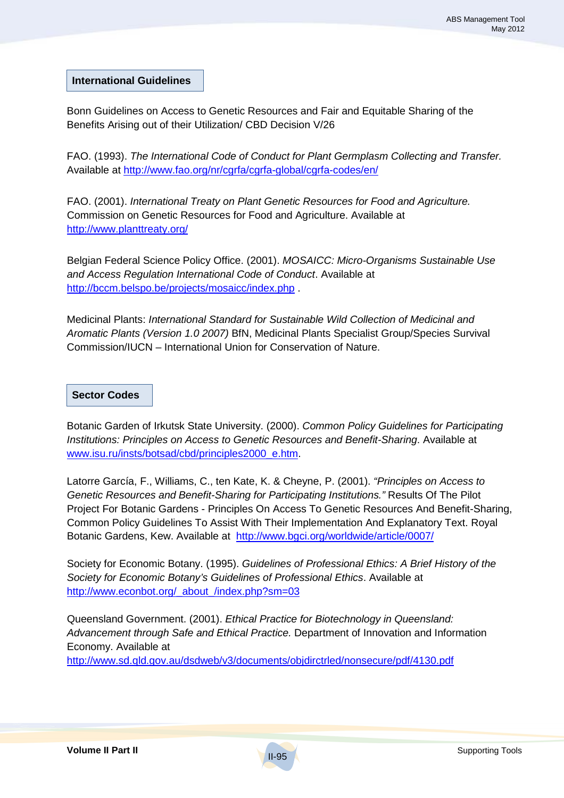**International Guidelines**

Bonn Guidelines on Access to Genetic Resources and Fair and Equitable Sharing of the Benefits Arising out of their Utilization/ CBD Decision V/26

FAO. (1993). *The International Code of Conduct for Plant Germplasm Collecting and Transfer.* Available at http://www.fao.org/nr/cgrfa/cgrfa-global/cgrfa-codes/en/

FAO. (2001). *International Treaty on Plant Genetic Resources for Food and Agriculture.* Commission on Genetic Resources for Food and Agriculture. Available at http://www.planttreaty.org/

Belgian Federal Science Policy Office. (2001). *MOSAICC: Micro-Organisms Sustainable Use and Access Regulation International Code of Conduct*. Available at http://bccm.belspo.be/projects/mosaicc/index.php .

Medicinal Plants: *International Standard for Sustainable Wild Collection of Medicinal and Aromatic Plants (Version 1.0 2007)* BfN, Medicinal Plants Specialist Group/Species Survival Commission/IUCN – International Union for Conservation of Nature.

### **Sector Codes**

Botanic Garden of Irkutsk State University. (2000). *Common Policy Guidelines for Participating Institutions: Principles on Access to Genetic Resources and Benefit-Sharing*. Available at www.isu.ru/insts/botsad/cbd/principles2000\_e.htm.

Latorre García, F., Williams, C., ten Kate, K. & Cheyne, P. (2001). *"Principles on Access to Genetic Resources and Benefit-Sharing for Participating Institutions."* Results Of The Pilot Project For Botanic Gardens - Principles On Access To Genetic Resources And Benefit-Sharing, Common Policy Guidelines To Assist With Their Implementation And Explanatory Text. Royal Botanic Gardens, Kew. Available at http://www.bgci.org/worldwide/article/0007/

Society for Economic Botany. (1995). *Guidelines of Professional Ethics: A Brief History of the Society for Economic Botany's Guidelines of Professional Ethics*. Available at http://www.econbot.org/\_about\_/index.php?sm=03

Queensland Government. (2001). *Ethical Practice for Biotechnology in Queensland: Advancement through Safe and Ethical Practice.* Department of Innovation and Information Economy. Available at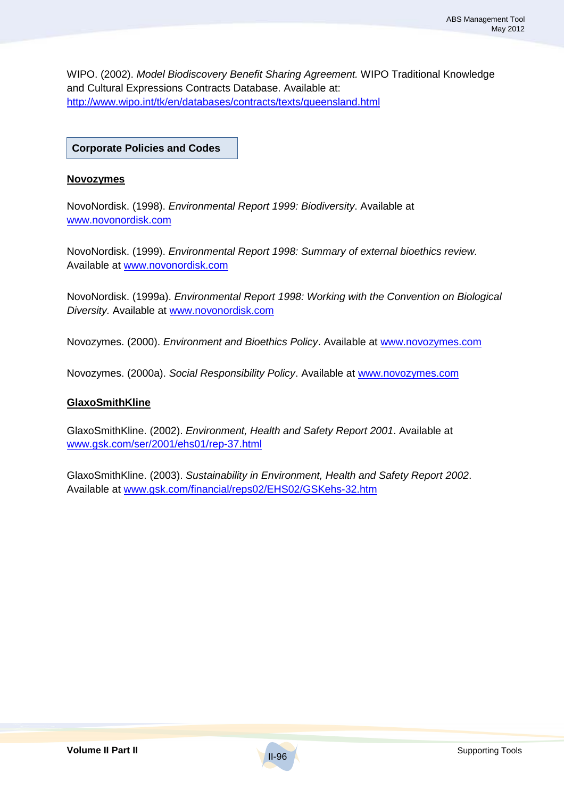WIPO. (2002). *Model Biodiscovery Benefit Sharing Agreement.* WIPO Traditional Knowledge and Cultural Expressions Contracts Database. Available at: http://www.wipo.int/tk/en/databases/contracts/texts/queensland.html

**Corporate Policies and Codes**

#### **Novozymes**

NovoNordisk. (1998). *Environmental Report 1999: Biodiversity*. Available at www.novonordisk.com

NovoNordisk. (1999). *Environmental Report 1998: Summary of external bioethics review.* Available at www.novonordisk.com

NovoNordisk. (1999a). *Environmental Report 1998: Working with the Convention on Biological Diversity.* Available at www.novonordisk.com

Novozymes. (2000). *Environment and Bioethics Policy*. Available at www.novozymes.com

Novozymes. (2000a). *Social Responsibility Policy*. Available at www.novozymes.com

#### **GlaxoSmithKline**

GlaxoSmithKline. (2002). *Environment, Health and Safety Report 2001*. Available at www.gsk.com/ser/2001/ehs01/rep-37.html

GlaxoSmithKline. (2003). *Sustainability in Environment, Health and Safety Report 2002*. Available at www.gsk.com/financial/reps02/EHS02/GSKehs-32.htm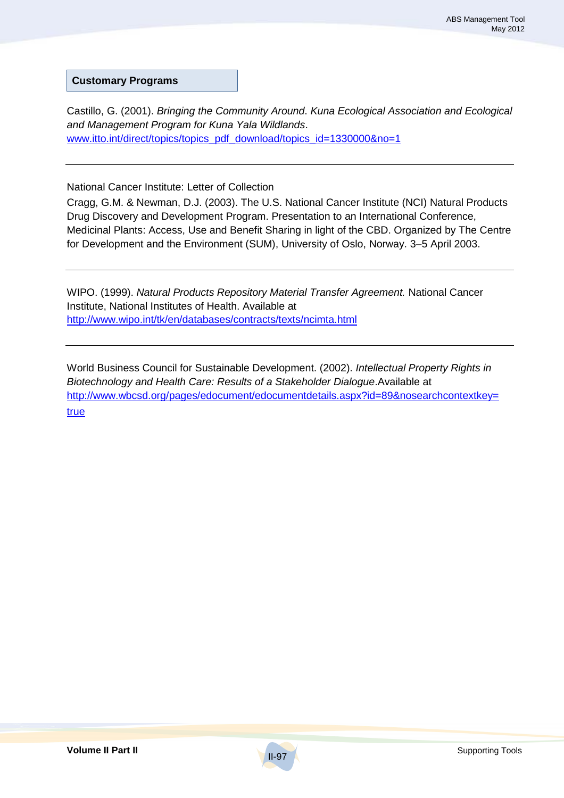**Customary Programs**

Castillo, G. (2001). *Bringing the Community Around*. *Kuna Ecological Association and Ecological and Management Program for Kuna Yala Wildlands*. www.itto.int/direct/topics/topics\_pdf\_download/topics\_id=1330000&no=1

National Cancer Institute: Letter of Collection

Cragg, G.M. & Newman, D.J. (2003). The U.S. National Cancer Institute (NCI) Natural Products Drug Discovery and Development Program. Presentation to an International Conference, Medicinal Plants: Access, Use and Benefit Sharing in light of the CBD. Organized by The Centre for Development and the Environment (SUM), University of Oslo, Norway. 3–5 April 2003.

WIPO. (1999). *Natural Products Repository Material Transfer Agreement.* National Cancer Institute, National Institutes of Health. Available at http://www.wipo.int/tk/en/databases/contracts/texts/ncimta.html

World Business Council for Sustainable Development. (2002). *Intellectual Property Rights in Biotechnology and Health Care: Results of a Stakeholder Dialogue*.Available at http://www.wbcsd.org/pages/edocument/edocumentdetails.aspx?id=89&nosearchcontextkey= true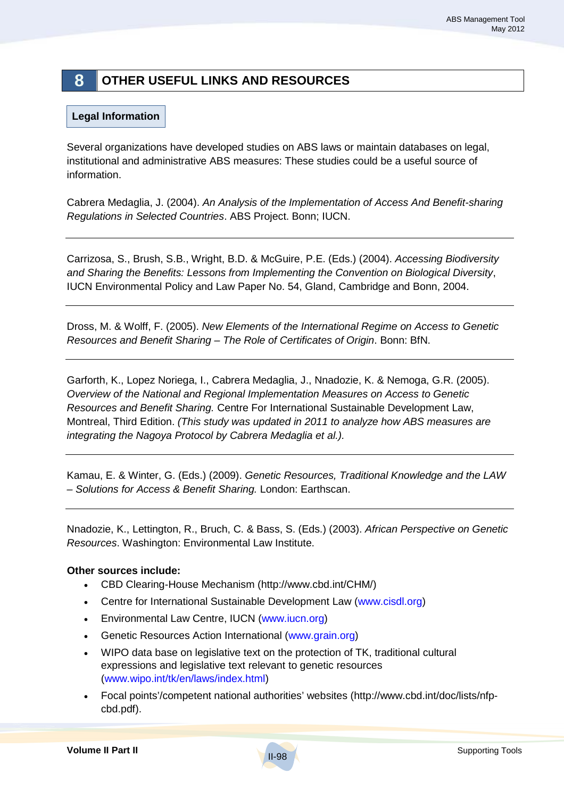# **8 OTHER USEFUL LINKS AND RESOURCES**

## **Legal Information**

Several organizations have developed studies on ABS laws or maintain databases on legal, institutional and administrative ABS measures: These studies could be a useful source of information.

Cabrera Medaglia, J. (2004). *An Analysis of the Implementation of Access And Benefit-sharing Regulations in Selected Countries*. ABS Project. Bonn; IUCN.

Carrizosa, S., Brush, S.B., Wright, B.D. & McGuire, P.E. (Eds.) (2004). *Accessing Biodiversity and Sharing the Benefits: Lessons from Implementing the Convention on Biological Diversity*, IUCN Environmental Policy and Law Paper No. 54, Gland, Cambridge and Bonn, 2004.

Dross, M. & Wolff, F. (2005). *New Elements of the International Regime on Access to Genetic Resources and Benefit Sharing – The Role of Certificates of Origin*. Bonn: BfN.

Garforth, K., Lopez Noriega, I., Cabrera Medaglia, J., Nnadozie, K. & Nemoga, G.R. (2005). *Overview of the National and Regional Implementation Measures on Access to Genetic Resources and Benefit Sharing.* Centre For International Sustainable Development Law, Montreal, Third Edition. *(This study was updated in 2011 to analyze how ABS measures are integrating the Nagoya Protocol by Cabrera Medaglia et al.).* 

Kamau, E. & Winter, G. (Eds.) (2009). *Genetic Resources, Traditional Knowledge and the LAW – Solutions for Access & Benefit Sharing.* London: Earthscan.

Nnadozie, K., Lettington, R., Bruch, C. & Bass, S. (Eds.) (2003). *African Perspective on Genetic Resources*. Washington: Environmental Law Institute.

### **Other sources include:**

- CBD Clearing-House Mechanism (http://www.cbd.int/CHM/)
- Centre for International Sustainable Development Law (www.cisdl.org)
- Environmental Law Centre, IUCN (www.iucn.org)
- Genetic Resources Action International (www.grain.org)
- WIPO data base on legislative text on the protection of TK, traditional cultural expressions and legislative text relevant to genetic resources (www.wipo.int/tk/en/laws/index.html)
- Focal points'/competent national authorities' websites (http://www.cbd.int/doc/lists/nfpcbd.pdf).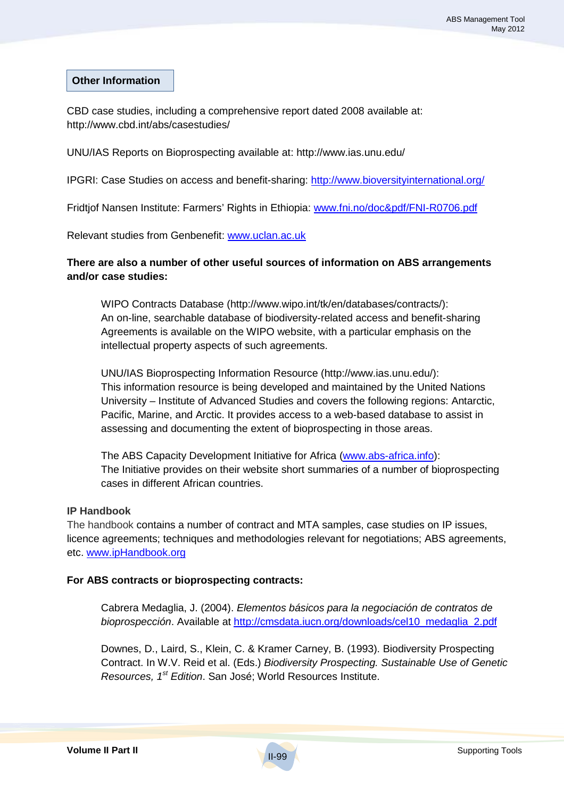#### **Other Information**

CBD case studies, including a comprehensive report dated 2008 available at: http://www.cbd.int/abs/casestudies/

UNU/IAS Reports on Bioprospecting available at: http://www.ias.unu.edu/

IPGRI: Case Studies on access and benefit-sharing: http://www.bioversityinternational.org/

Fridtjof Nansen Institute: Farmers' Rights in Ethiopia: www.fni.no/doc&pdf/FNI-R0706.pdf

Relevant studies from Genbenefit: www.uclan.ac.uk

### **There are also a number of other useful sources of information on ABS arrangements and/or case studies:**

WIPO Contracts Database (http://www.wipo.int/tk/en/databases/contracts/): An on-line, searchable database of biodiversity-related access and benefit-sharing Agreements is available on the WIPO website, with a particular emphasis on the intellectual property aspects of such agreements.

UNU/IAS Bioprospecting Information Resource (http://www.ias.unu.edu/): This information resource is being developed and maintained by the United Nations University – Institute of Advanced Studies and covers the following regions: Antarctic, Pacific, Marine, and Arctic. It provides access to a web-based database to assist in assessing and documenting the extent of bioprospecting in those areas.

The ABS Capacity Development Initiative for Africa (www.abs-africa.info): The Initiative provides on their website short summaries of a number of bioprospecting cases in different African countries.

#### **IP Handbook**

The handbook contains a number of contract and MTA samples, case studies on IP issues, licence agreements; techniques and methodologies relevant for negotiations; ABS agreements, etc. www.ipHandbook.org

#### **For ABS contracts or bioprospecting contracts:**

Cabrera Medaglia, J. (2004). *Elementos básicos para la negociación de contratos de bioprospección*. Available at http://cmsdata.iucn.org/downloads/cel10\_medaglia\_2.pdf

Downes, D., Laird, S., Klein, C. & Kramer Carney, B. (1993). Biodiversity Prospecting Contract. In W.V. Reid et al. (Eds.) *Biodiversity Prospecting. Sustainable Use of Genetic Resources, 1st Edition*. San José; World Resources Institute.